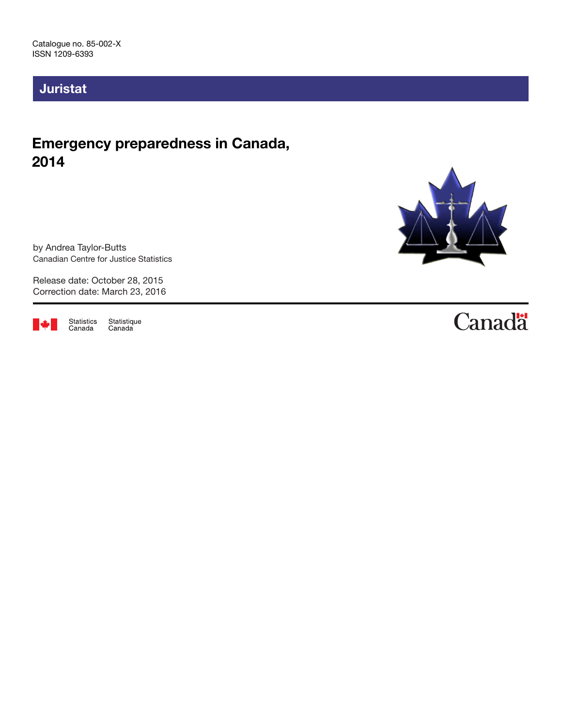# Juristat

# Emergency preparedness in Canada, 2014

by Andrea Taylor-Butts Canadian Centre for Justice Statistics

Release date: October 28, 2015 Correction date: March 23, 2016



Statistics<br>Canada Statistique<br>Canada



# **Canadä**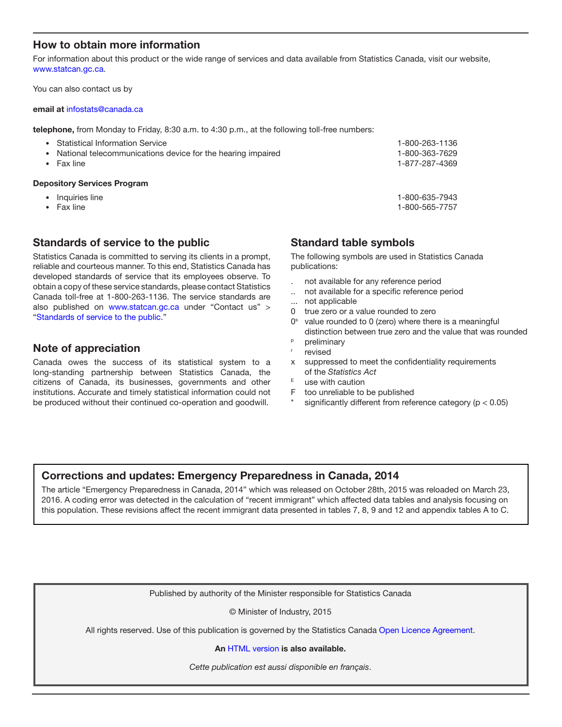### How to obtain more information

For information about this product or the wide range of services and data available from Statistics Canada, visit our website, [www.statcan.gc.ca.](http://www.statcan.gc.ca)

You can also contact us by

#### email at [infostats@canada.ca](mailto:infostats%40canada.ca?subject=)

telephone, from Monday to Friday, 8:30 a.m. to 4:30 p.m., at the following toll-free numbers:

| National telecommunications device for the hearing impaired<br>٠<br>Fax line |                | <b>Depository Services Program</b> |  |
|------------------------------------------------------------------------------|----------------|------------------------------------|--|
|                                                                              | 1-877-287-4369 |                                    |  |
|                                                                              | 1-800-363-7629 |                                    |  |
|                                                                              | 1-800-263-1136 | • Statistical Information Service  |  |

- Inquiries line 1-800-635-7943
- Fax line 1-800-565-7757
- 

### Standards of service to the public

Statistics Canada is committed to serving its clients in a prompt, reliable and courteous manner. To this end, Statistics Canada has developed standards of service that its employees observe. To obtain a copy of these service standards, please contact Statistics Canada toll-free at 1-800-263-1136. The service standards are also published on www.statcan.gc.ca under "Contact us" > "[Standards of service to the public](http://www.statcan.gc.ca/eng/about/service/standards)."

### Note of appreciation

Canada owes the success of its statistical system to a long-standing partnership between Statistics Canada, the citizens of Canada, its businesses, governments and other institutions. Accurate and timely statistical information could not be produced without their continued co-operation and goodwill.

### Standard table symbols

The following symbols are used in Statistics Canada publications:

- . not available for any reference period
- .. not available for a specific reference period
- ... not applicable
- 0 true zero or a value rounded to zero
- $0<sup>s</sup>$  value rounded to 0 (zero) where there is a meaningful distinction between true zero and the value that was rounded
- <sup>p</sup> preliminary
- revised
- x suppressed to meet the confidentiality requirements of the *Statistics Act*
- $E$  use with caution
- F too unreliable to be published
- significantly different from reference category ( $p < 0.05$ )

### Corrections and updates: Emergency Preparedness in Canada, 2014

The article "Emergency Preparedness in Canada, 2014" which was released on October 28th, 2015 was reloaded on March 23, 2016. A coding error was detected in the calculation of "recent immigrant" which affected data tables and analysis focusing on this population. These revisions affect the recent immigrant data presented in tables 7, 8, 9 and 12 and appendix tables A to C.

Published by authority of the Minister responsible for Statistics Canada

© Minister of Industry, 2015

All rights reserved. Use of this publication is governed by the Statistics Canada [Open Licence Agreement](http://www.statcan.gc.ca/eng/reference/licence-eng.htm).

#### An [HTML version](http://www.statcan.gc.ca/pub/85-002-x/2015001/article/14234-eng.htm) is also available.

*Cette publication est aussi disponible en français*.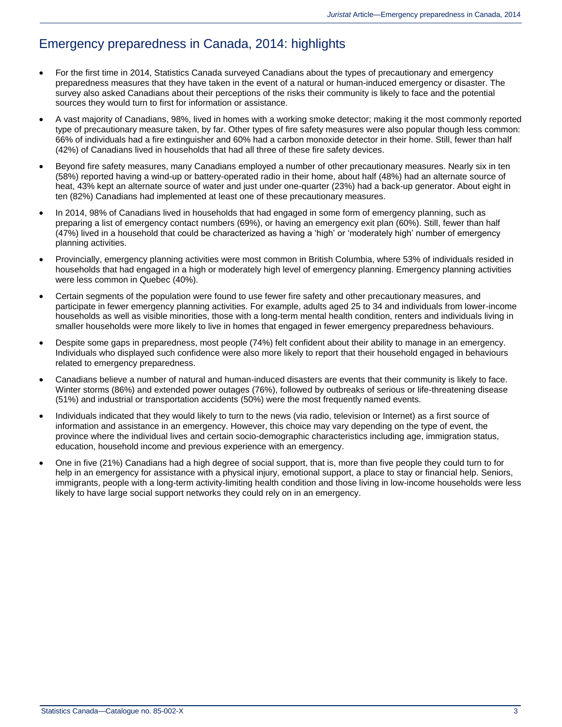# Emergency preparedness in Canada, 2014: highlights

- For the first time in 2014, Statistics Canada surveyed Canadians about the types of precautionary and emergency preparedness measures that they have taken in the event of a natural or human-induced emergency or disaster. The survey also asked Canadians about their perceptions of the risks their community is likely to face and the potential sources they would turn to first for information or assistance.
- A vast majority of Canadians, 98%, lived in homes with a working smoke detector; making it the most commonly reported type of precautionary measure taken, by far. Other types of fire safety measures were also popular though less common: 66% of individuals had a fire extinguisher and 60% had a carbon monoxide detector in their home. Still, fewer than half (42%) of Canadians lived in households that had all three of these fire safety devices.
- Beyond fire safety measures, many Canadians employed a number of other precautionary measures. Nearly six in ten (58%) reported having a wind-up or battery-operated radio in their home, about half (48%) had an alternate source of heat, 43% kept an alternate source of water and just under one-quarter (23%) had a back-up generator. About eight in ten (82%) Canadians had implemented at least one of these precautionary measures.
- In 2014, 98% of Canadians lived in households that had engaged in some form of emergency planning, such as preparing a list of emergency contact numbers (69%), or having an emergency exit plan (60%). Still, fewer than half (47%) lived in a household that could be characterized as having a 'high' or 'moderately high' number of emergency planning activities.
- Provincially, emergency planning activities were most common in British Columbia, where 53% of individuals resided in households that had engaged in a high or moderately high level of emergency planning. Emergency planning activities were less common in Quebec (40%).
- Certain segments of the population were found to use fewer fire safety and other precautionary measures, and participate in fewer emergency planning activities. For example, adults aged 25 to 34 and individuals from lower-income households as well as visible minorities, those with a long-term mental health condition, renters and individuals living in smaller households were more likely to live in homes that engaged in fewer emergency preparedness behaviours.
- Despite some gaps in preparedness, most people (74%) felt confident about their ability to manage in an emergency. Individuals who displayed such confidence were also more likely to report that their household engaged in behaviours related to emergency preparedness.
- Canadians believe a number of natural and human-induced disasters are events that their community is likely to face. Winter storms (86%) and extended power outages (76%), followed by outbreaks of serious or life-threatening disease (51%) and industrial or transportation accidents (50%) were the most frequently named events.
- Individuals indicated that they would likely to turn to the news (via radio, television or Internet) as a first source of information and assistance in an emergency. However, this choice may vary depending on the type of event, the province where the individual lives and certain socio-demographic characteristics including age, immigration status, education, household income and previous experience with an emergency.
- One in five (21%) Canadians had a high degree of social support, that is, more than five people they could turn to for help in an emergency for assistance with a physical injury, emotional support, a place to stay or financial help. Seniors, immigrants, people with a long-term activity-limiting health condition and those living in low-income households were less likely to have large social support networks they could rely on in an emergency.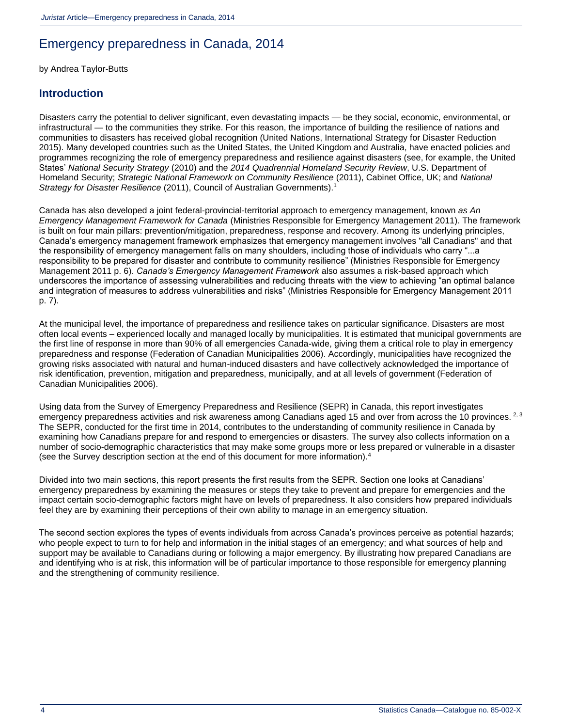# Emergency preparedness in Canada, 2014

by Andrea Taylor-Butts

### **Introduction**

Disasters carry the potential to deliver significant, even devastating impacts — be they social, economic, environmental, or infrastructural — to the communities they strike. For this reason, the importance of building the resilience of nations and communities to disasters has received global recognition (United Nations, International Strategy for Disaster Reduction 2015). Many developed countries such as the United States, the United Kingdom and Australia, have enacted policies and programmes recognizing the role of emergency preparedness and resilience against disasters (see, for example, the United States' *National Security Strategy* (2010) and the *2014 Quadrennial Homeland Security Review*, U.S. Department of Homeland Security; *Strategic National Framework on Community Resilience* (2011), Cabinet Office, UK; and *National Strategy for Disaster Resilience* (2011), Council of Australian Governments)[.](http://wwwstaging.statcan.gc.ca/pub/85-002-x/2015001/article/14234-eng.htm#n01)<sup>1</sup>

Canada has also developed a joint federal-provincial-territorial approach to emergency management, known *as An Emergency Management Framework for Canada* (Ministries Responsible for Emergency Management 2011). The framework is built on four main pillars: prevention/mitigation, preparedness, response and recovery. Among its underlying principles, Canada's emergency management framework emphasizes that emergency management involves "all Canadians" and that the responsibility of emergency management falls on many shoulders, including those of individuals who carry "...a responsibility to be prepared for disaster and contribute to community resilience" (Ministries Responsible for Emergency Management 2011 p. 6). *Canada's Emergency Management Framework* also assumes a risk-based approach which underscores the importance of assessing vulnerabilities and reducing threats with the view to achieving "an optimal balance and integration of measures to address vulnerabilities and risks" (Ministries Responsible for Emergency Management 2011 p. 7).

At the municipal level, the importance of preparedness and resilience takes on particular significance. Disasters are most often local events – experienced locally and managed locally by municipalities. It is estimated that municipal governments are the first line of response in more than 90% of all emergencies Canada-wide, giving them a critical role to play in emergency preparedness and response (Federation of Canadian Municipalities 2006). Accordingly, municipalities have recognized the growing risks associated with natural and human-induced disasters and have collectively acknowledged the importance of risk identification, prevention, mitigation and preparedness, municipally, and at all levels of government (Federation of Canadian Municipalities 2006).

Using data from the Survey of Emergency Preparedness and Resilience (SEPR) in Canada, this report investigates emergency preparedness activities and risk awareness among Canadians aged 15 and over from across the 10 provinces. <sup>[2,](http://wwwstaging.statcan.gc.ca/pub/85-002-x/2015001/article/14234-eng.htm#n02) [3](http://wwwstaging.statcan.gc.ca/pub/85-002-x/2015001/article/14234-eng.htm#n03)</sup> The SEPR, conducted for the first time in 2014, contributes to the understanding of community resilience in Canada by examining how Canadians prepare for and respond to emergencies or disasters. The survey also collects information on a number of socio-demographic characteristics that may make some groups more or less prepared or vulnerable in a disaster (see the Survey description section at the end of this document for more information).<sup>[4](http://wwwstaging.statcan.gc.ca/pub/85-002-x/2015001/article/14234-eng.htm#n04)</sup>

Divided into two main sections, this report presents the first results from the SEPR. Section one looks at Canadians' emergency preparedness by examining the measures or steps they take to prevent and prepare for emergencies and the impact certain socio-demographic factors might have on levels of preparedness. It also considers how prepared individuals feel they are by examining their perceptions of their own ability to manage in an emergency situation.

The second section explores the types of events individuals from across Canada's provinces perceive as potential hazards; who people expect to turn to for help and information in the initial stages of an emergency; and what sources of help and support may be available to Canadians during or following a major emergency. By illustrating how prepared Canadians are and identifying who is at risk, this information will be of particular importance to those responsible for emergency planning and the strengthening of community resilience.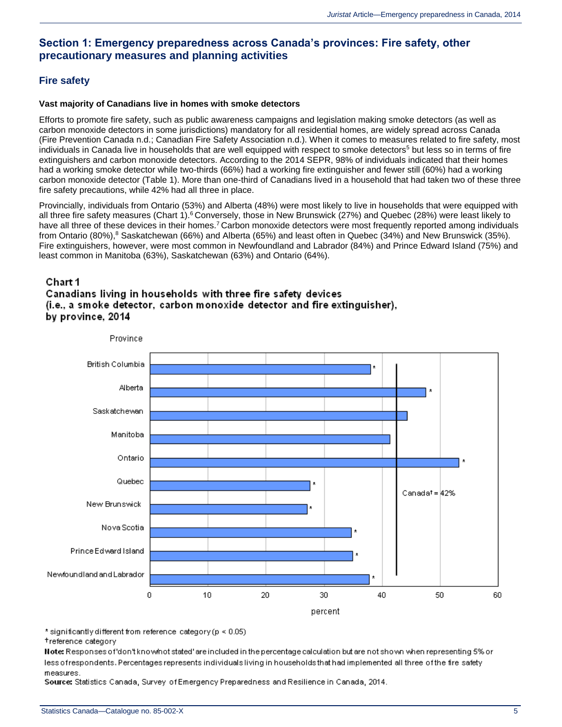### **Section 1: Emergency preparedness across Canada's provinces: Fire safety, other precautionary measures and planning activities**

### **Fire safety**

#### **Vast majority of Canadians live in homes with smoke detectors**

Efforts to promote fire safety, such as public awareness campaigns and legislation making smoke detectors (as well as carbon monoxide detectors in some jurisdictions) mandatory for all residential homes, are widely spread across Canada (Fire Prevention Canada n.d.; Canadian Fire Safety Association n.d.). When it comes to measures related to fire safety, most individuals in Canada live in households that are well equipped with respect to smoke detectors<sup>[5](http://wwwstaging.statcan.gc.ca/pub/85-002-x/2015001/article/14234-eng.htm#n05)</sup> but less so in terms of fire extinguishers and carbon monoxide detectors. According to the 2014 SEPR, 98% of individuals indicated that their homes had a working smoke detector while two-thirds (66%) had a working fire extinguisher and fewer still (60%) had a working carbon monoxide detector (Table 1). More than one-third of Canadians lived in a household that had taken two of these three fire safety precautions, while 42% had all three in place.

Provincially, individuals from Ontario (53%) and Alberta (48%) were most likely to live in households that were equipped with all three fire safety measures (Chart 1).<sup>[6](http://wwwstaging.statcan.gc.ca/pub/85-002-x/2015001/article/14234-eng.htm#n06)</sup> Conversely, those in New Brunswick (27%) and Quebec (28%) were least likely to have all three of these devices in their homes.<sup>[7](http://wwwstaging.statcan.gc.ca/pub/85-002-x/2015001/article/14234-eng.htm#n07)</sup> Carbon monoxide detectors were most frequently reported among individuals from Ontario ([8](http://wwwstaging.statcan.gc.ca/pub/85-002-x/2015001/article/14234-eng.htm#n08)0%),<sup>8</sup> Saskatchewan (66%) and Alberta (65%) and least often in Quebec (34%) and New Brunswick (35%). Fire extinguishers, however, were most common in Newfoundland and Labrador (84%) and Prince Edward Island (75%) and least common in Manitoba (63%), Saskatchewan (63%) and Ontario (64%).

### Chart 1

### Canadians living in households with three fire safety devices (i.e., a smoke detector, carbon monoxide detector and fire extinguisher), by province, 2014



\* significantly different from reference category (p < 0.05)

#### treference category

Note: Responses of don't know hot stated 'are included in the percentage calculation but are not shown when representing 5% or less ofrespondents. Percentages represents individuals living in households that had implemented all three of the fire safety measures.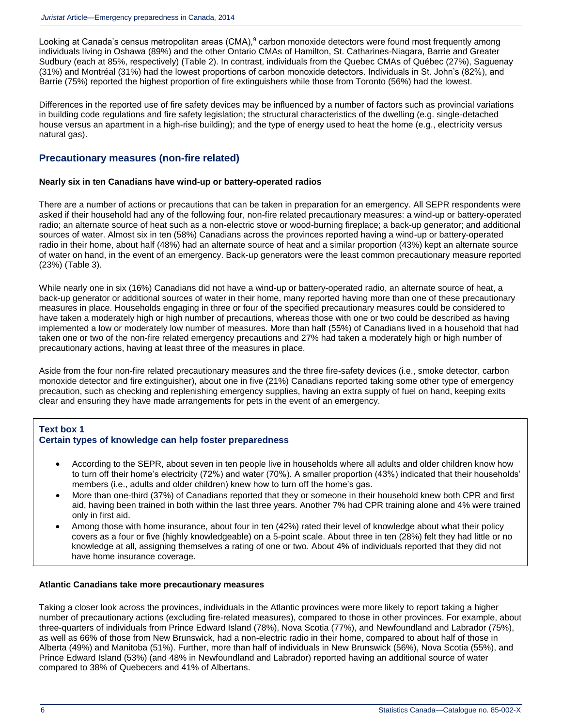Looking at Canada's census metropolitan areas (CMA),<sup>[9](http://wwwstaging.statcan.gc.ca/pub/85-002-x/2015001/article/14234-eng.htm#n09)</sup> carbon monoxide detectors were found most frequently among individuals living in Oshawa (89%) and the other Ontario CMAs of Hamilton, St. Catharines-Niagara, Barrie and Greater Sudbury (each at 85%, respectively) (Table 2). In contrast, individuals from the Quebec CMAs of Québec (27%), Saguenay (31%) and Montréal (31%) had the lowest proportions of carbon monoxide detectors. Individuals in St. John's (82%), and Barrie (75%) reported the highest proportion of fire extinguishers while those from Toronto (56%) had the lowest.

Differences in the reported use of fire safety devices may be influenced by a number of factors such as provincial variations in building code regulations and fire safety legislation; the structural characteristics of the dwelling (e.g. single-detached house versus an apartment in a high-rise building); and the type of energy used to heat the home (e.g., electricity versus natural gas).

### **Precautionary measures (non-fire related)**

#### **Nearly six in ten Canadians have wind-up or battery-operated radios**

There are a number of actions or precautions that can be taken in preparation for an emergency. All SEPR respondents were asked if their household had any of the following four, non-fire related precautionary measures: a wind-up or battery-operated radio; an alternate source of heat such as a non-electric stove or wood-burning fireplace; a back-up generator; and additional sources of water. Almost six in ten (58%) Canadians across the provinces reported having a wind-up or battery-operated radio in their home, about half (48%) had an alternate source of heat and a similar proportion (43%) kept an alternate source of water on hand, in the event of an emergency. Back-up generators were the least common precautionary measure reported (23%) (Table 3).

While nearly one in six (16%) Canadians did not have a wind-up or battery-operated radio, an alternate source of heat, a back-up generator or additional sources of water in their home, many reported having more than one of these precautionary measures in place. Households engaging in three or four of the specified precautionary measures could be considered to have taken a moderately high or high number of precautions, whereas those with one or two could be described as having implemented a low or moderately low number of measures. More than half (55%) of Canadians lived in a household that had taken one or two of the non-fire related emergency precautions and 27% had taken a moderately high or high number of precautionary actions, having at least three of the measures in place.

Aside from the four non-fire related precautionary measures and the three fire-safety devices (i.e., smoke detector, carbon monoxide detector and fire extinguisher), about one in five (21%) Canadians reported taking some other type of emergency precaution, such as checking and replenishing emergency supplies, having an extra supply of fuel on hand, keeping exits clear and ensuring they have made arrangements for pets in the event of an emergency.

### **Text box 1**

### **Certain types of knowledge can help foster preparedness**

- According to the SEPR, about seven in ten people live in households where all adults and older children know how to turn off their home's electricity (72%) and water (70%). A smaller proportion (43%) indicated that their households' members (i.e., adults and older children) knew how to turn off the home's gas.
- More than one-third (37%) of Canadians reported that they or someone in their household knew both CPR and first aid, having been trained in both within the last three years. Another 7% had CPR training alone and 4% were trained only in first aid.
- Among those with home insurance, about four in ten (42%) rated their level of knowledge about what their policy covers as a four or five (highly knowledgeable) on a 5-point scale. About three in ten (28%) felt they had little or no knowledge at all, assigning themselves a rating of one or two. About 4% of individuals reported that they did not have home insurance coverage.

#### **Atlantic Canadians take more precautionary measures**

Taking a closer look across the provinces, individuals in the Atlantic provinces were more likely to report taking a higher number of precautionary actions (excluding fire-related measures), compared to those in other provinces. For example, about three-quarters of individuals from Prince Edward Island (78%), Nova Scotia (77%), and Newfoundland and Labrador (75%), as well as 66% of those from New Brunswick, had a non-electric radio in their home, compared to about half of those in Alberta (49%) and Manitoba (51%). Further, more than half of individuals in New Brunswick (56%), Nova Scotia (55%), and Prince Edward Island (53%) (and 48% in Newfoundland and Labrador) reported having an additional source of water compared to 38% of Quebecers and 41% of Albertans.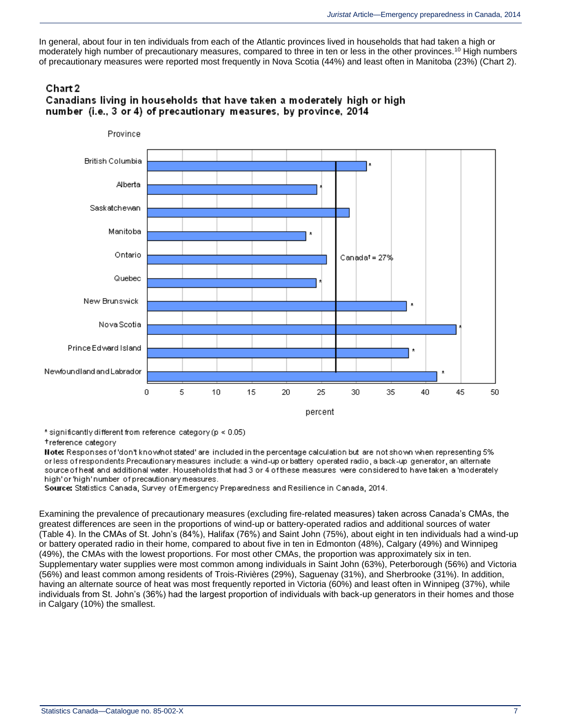In general, about four in ten individuals from each of the Atlantic provinces lived in households that had taken a high or moderately high number of precautionary measures, compared to three in ten or less in the other provinces.<sup>[10](http://wwwstaging.statcan.gc.ca/pub/85-002-x/2015001/article/14234-eng.htm#n10)</sup> High numbers of precautionary measures were reported most frequently in Nova Scotia (44%) and least often in Manitoba (23%) (Chart 2).

### Chart 2 Canadians living in households that have taken a moderately high or high number (i.e., 3 or 4) of precautionary measures, by province, 2014



\* significantly different from reference category (p < 0.05)

#### +reference category

Note: Responses of 'don't know/not stated' are included in the percentage calculation but are not shown when representing 5% or less of respondents.Precautionary measures include: a wind-up or battery operated radio, a back-up generator, an alternate source of heat and additional water. Households that had 3 or 4 of these measures were considered to have taken a 'moderately high'or'high'number of precautionary measures.

Source: Statistics Canada, Survey of Emergency Preparedness and Resilience in Canada, 2014.

Examining the prevalence of precautionary measures (excluding fire-related measures) taken across Canada's CMAs, the greatest differences are seen in the proportions of wind-up or battery-operated radios and additional sources of water (Table 4). In the CMAs of St. John's (84%), Halifax (76%) and Saint John (75%), about eight in ten individuals had a wind-up or battery operated radio in their home, compared to about five in ten in Edmonton (48%), Calgary (49%) and Winnipeg (49%), the CMAs with the lowest proportions. For most other CMAs, the proportion was approximately six in ten. Supplementary water supplies were most common among individuals in Saint John (63%), Peterborough (56%) and Victoria (56%) and least common among residents of Trois-Rivières (29%), Saguenay (31%), and Sherbrooke (31%). In addition, having an alternate source of heat was most frequently reported in Victoria (60%) and least often in Winnipeg (37%), while individuals from St. John's (36%) had the largest proportion of individuals with back-up generators in their homes and those in Calgary (10%) the smallest.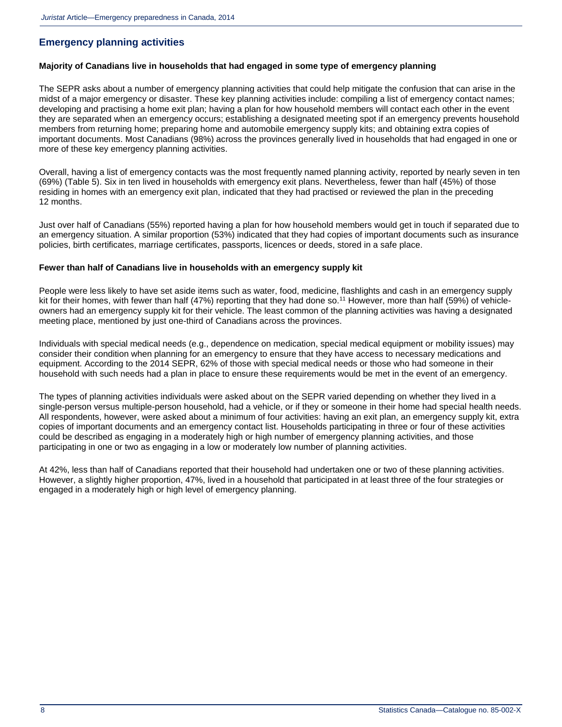### **Emergency planning activities**

#### **Majority of Canadians live in households that had engaged in some type of emergency planning**

The SEPR asks about a number of emergency planning activities that could help mitigate the confusion that can arise in the midst of a major emergency or disaster. These key planning activities include: compiling a list of emergency contact names; developing and practising a home exit plan; having a plan for how household members will contact each other in the event they are separated when an emergency occurs; establishing a designated meeting spot if an emergency prevents household members from returning home; preparing home and automobile emergency supply kits; and obtaining extra copies of important documents. Most Canadians (98%) across the provinces generally lived in households that had engaged in one or more of these key emergency planning activities.

Overall, having a list of emergency contacts was the most frequently named planning activity, reported by nearly seven in ten (69%) (Table 5). Six in ten lived in households with emergency exit plans. Nevertheless, fewer than half (45%) of those residing in homes with an emergency exit plan, indicated that they had practised or reviewed the plan in the preceding 12 months.

Just over half of Canadians (55%) reported having a plan for how household members would get in touch if separated due to an emergency situation. A similar proportion (53%) indicated that they had copies of important documents such as insurance policies, birth certificates, marriage certificates, passports, licences or deeds, stored in a safe place.

#### **Fewer than half of Canadians live in households with an emergency supply kit**

People were less likely to have set aside items such as water, food, medicine, flashlights and cash in an emergency supply kit for their homes, with fewer than half (47%) reporting that they had done so.<sup>[11](http://wwwstaging.statcan.gc.ca/pub/85-002-x/2015001/article/14234-eng.htm#n11)</sup> However, more than half (59%) of vehicleowners had an emergency supply kit for their vehicle. The least common of the planning activities was having a designated meeting place, mentioned by just one-third of Canadians across the provinces.

Individuals with special medical needs (e.g., dependence on medication, special medical equipment or mobility issues) may consider their condition when planning for an emergency to ensure that they have access to necessary medications and equipment. According to the 2014 SEPR, 62% of those with special medical needs or those who had someone in their household with such needs had a plan in place to ensure these requirements would be met in the event of an emergency.

The types of planning activities individuals were asked about on the SEPR varied depending on whether they lived in a single-person versus multiple-person household, had a vehicle, or if they or someone in their home had special health needs. All respondents, however, were asked about a minimum of four activities: having an exit plan, an emergency supply kit, extra copies of important documents and an emergency contact list. Households participating in three or four of these activities could be described as engaging in a moderately high or high number of emergency planning activities, and those participating in one or two as engaging in a low or moderately low number of planning activities.

At 42%, less than half of Canadians reported that their household had undertaken one or two of these planning activities. However, a slightly higher proportion, 47%, lived in a household that participated in at least three of the four strategies or engaged in a moderately high or high level of emergency planning.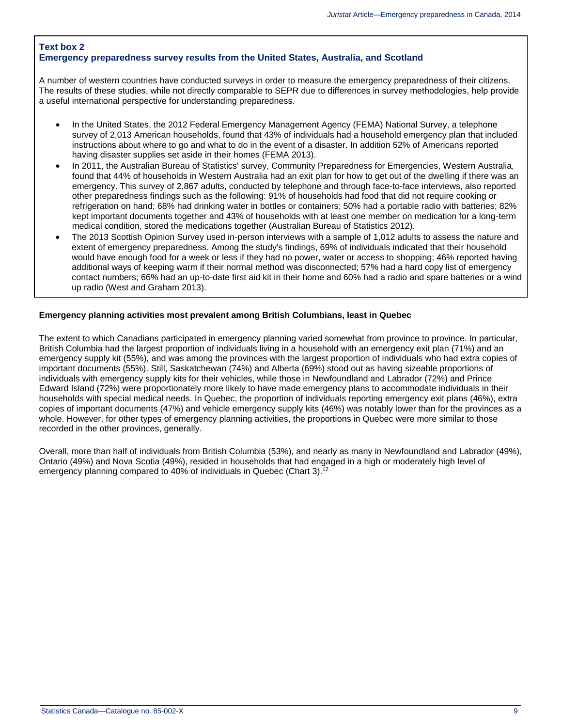#### **Text box 2 Emergency preparedness survey results from the United States, Australia, and Scotland**

A number of western countries have conducted surveys in order to measure the emergency preparedness of their citizens. The results of these studies, while not directly comparable to SEPR due to differences in survey methodologies, help provide a useful international perspective for understanding preparedness.

- In the United States, the 2012 Federal Emergency Management Agency (FEMA) National Survey, a telephone survey of 2,013 American households, found that 43% of individuals had a household emergency plan that included instructions about where to go and what to do in the event of a disaster. In addition 52% of Americans reported having disaster supplies set aside in their homes (FEMA 2013).
- In 2011, the Australian Bureau of Statistics' survey, Community Preparedness for Emergencies, Western Australia, found that 44% of households in Western Australia had an exit plan for how to get out of the dwelling if there was an emergency. This survey of 2,867 adults, conducted by telephone and through face-to-face interviews, also reported other preparedness findings such as the following: 91% of households had food that did not require cooking or refrigeration on hand; 68% had drinking water in bottles or containers; 50% had a portable radio with batteries; 82% kept important documents together and 43% of households with at least one member on medication for a long-term medical condition, stored the medications together (Australian Bureau of Statistics 2012).
- The 2013 Scottish Opinion Survey used in-person interviews with a sample of 1,012 adults to assess the nature and extent of emergency preparedness. Among the study's findings, 69% of individuals indicated that their household would have enough food for a week or less if they had no power, water or access to shopping; 46% reported having additional ways of keeping warm if their normal method was disconnected; 57% had a hard copy list of emergency contact numbers; 66% had an up-to-date first aid kit in their home and 60% had a radio and spare batteries or a wind up radio (West and Graham 2013).

#### **Emergency planning activities most prevalent among British Columbians, least in Quebec**

The extent to which Canadians participated in emergency planning varied somewhat from province to province. In particular, British Columbia had the largest proportion of individuals living in a household with an emergency exit plan (71%) and an emergency supply kit (55%), and was among the provinces with the largest proportion of individuals who had extra copies of important documents (55%). Still, Saskatchewan (74%) and Alberta (69%) stood out as having sizeable proportions of individuals with emergency supply kits for their vehicles, while those in Newfoundland and Labrador (72%) and Prince Edward Island (72%) were proportionately more likely to have made emergency plans to accommodate individuals in their households with special medical needs. In Quebec, the proportion of individuals reporting emergency exit plans (46%), extra copies of important documents (47%) and vehicle emergency supply kits (46%) was notably lower than for the provinces as a whole. However, for other types of emergency planning activities, the proportions in Quebec were more similar to those recorded in the other provinces, generally.

Overall, more than half of individuals from British Columbia (53%), and nearly as many in Newfoundland and Labrador (49%), Ontario (49%) and Nova Scotia (49%), resided in households that had engaged in a high or moderately high level of emergency planning compared to 40% of individuals in Quebec (Chart 3).<sup>[12](http://wwwstaging.statcan.gc.ca/pub/85-002-x/2015001/article/14234-eng.htm#n12)</sup>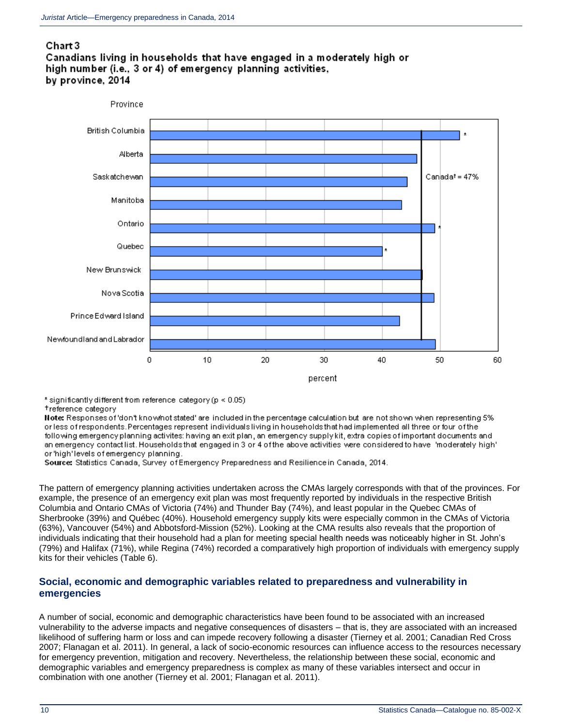## Chart 3





\* significantly different from reference category (p < 0.05)

+reference category

Note: Responses of 'don't know/not stated' are included in the percentage calculation but are not shown when representing 5% or less of respondents. Percentages represent individuals living in households that had implemented all three or four of the following emergency planning activites: having an exit plan, an emergency supply kit, extra-copies of important documents and an emergency contact list. Households that engaged in 3 or 4 of the above activities were considered to have "moderately high" or 'high' levels of emergency planning.

Source: Statistics Canada, Survey of Emergency Preparedness and Resilience in Canada, 2014.

The pattern of emergency planning activities undertaken across the CMAs largely corresponds with that of the provinces. For example, the presence of an emergency exit plan was most frequently reported by individuals in the respective British Columbia and Ontario CMAs of Victoria (74%) and Thunder Bay (74%), and least popular in the Quebec CMAs of Sherbrooke (39%) and Québec (40%). Household emergency supply kits were especially common in the CMAs of Victoria (63%), Vancouver (54%) and Abbotsford-Mission (52%). Looking at the CMA results also reveals that the proportion of individuals indicating that their household had a plan for meeting special health needs was noticeably higher in St. John's (79%) and Halifax (71%), while Regina (74%) recorded a comparatively high proportion of individuals with emergency supply kits for their vehicles (Table 6).

### **Social, economic and demographic variables related to preparedness and vulnerability in emergencies**

A number of social, economic and demographic characteristics have been found to be associated with an increased vulnerability to the adverse impacts and negative consequences of disasters – that is, they are associated with an increased likelihood of suffering harm or loss and can impede recovery following a disaster (Tierney et al. 2001; Canadian Red Cross 2007; Flanagan et al. 2011). In general, a lack of socio-economic resources can influence access to the resources necessary for emergency prevention, mitigation and recovery. Nevertheless, the relationship between these social, economic and demographic variables and emergency preparedness is complex as many of these variables intersect and occur in combination with one another (Tierney et al. 2001; Flanagan et al. 2011).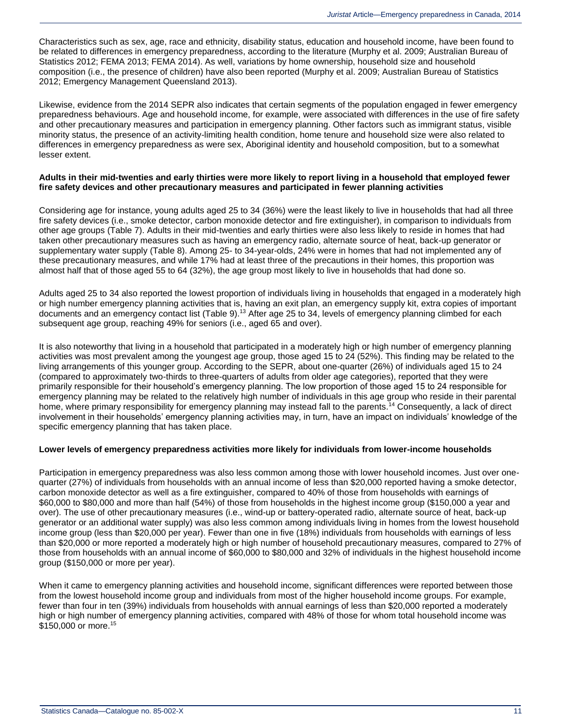Characteristics such as sex, age, race and ethnicity, disability status, education and household income, have been found to be related to differences in emergency preparedness, according to the literature (Murphy et al. 2009; Australian Bureau of Statistics 2012; FEMA 2013; FEMA 2014). As well, variations by home ownership, household size and household composition (i.e., the presence of children) have also been reported (Murphy et al. 2009; Australian Bureau of Statistics 2012; Emergency Management Queensland 2013).

Likewise, evidence from the 2014 SEPR also indicates that certain segments of the population engaged in fewer emergency preparedness behaviours. Age and household income, for example, were associated with differences in the use of fire safety and other precautionary measures and participation in emergency planning. Other factors such as immigrant status, visible minority status, the presence of an activity-limiting health condition, home tenure and household size were also related to differences in emergency preparedness as were sex, Aboriginal identity and household composition, but to a somewhat lesser extent.

#### **Adults in their mid-twenties and early thirties were more likely to report living in a household that employed fewer fire safety devices and other precautionary measures and participated in fewer planning activities**

Considering age for instance, young adults aged 25 to 34 (36%) were the least likely to live in households that had all three fire safety devices (i.e., smoke detector, carbon monoxide detector and fire extinguisher), in comparison to individuals from other age groups (Table 7). Adults in their mid-twenties and early thirties were also less likely to reside in homes that had taken other precautionary measures such as having an emergency radio, alternate source of heat, back-up generator or supplementary water supply (Table 8). Among 25- to 34-year-olds, 24% were in homes that had not implemented any of these precautionary measures, and while 17% had at least three of the precautions in their homes, this proportion was almost half that of those aged 55 to 64 (32%), the age group most likely to live in households that had done so.

Adults aged 25 to 34 also reported the lowest proportion of individuals living in households that engaged in a moderately high or high number emergency planning activities that is, having an exit plan, an emergency supply kit, extra copies of important documents and an emergency contact list (Table 9).<sup>[13](http://wwwstaging.statcan.gc.ca/pub/85-002-x/2015001/article/14234-eng.htm#n13)</sup> After age 25 to 34, levels of emergency planning climbed for each subsequent age group, reaching 49% for seniors (i.e., aged 65 and over).

It is also noteworthy that living in a household that participated in a moderately high or high number of emergency planning activities was most prevalent among the youngest age group, those aged 15 to 24 (52%). This finding may be related to the living arrangements of this younger group. According to the SEPR, about one-quarter (26%) of individuals aged 15 to 24 (compared to approximately two-thirds to three-quarters of adults from older age categories), reported that they were primarily responsible for their household's emergency planning. The low proportion of those aged 15 to 24 responsible for emergency planning may be related to the relatively high number of individuals in this age group who reside in their parental home, where primary responsibility for emergency planning may instead fall to the parents.<sup>[14](http://wwwstaging.statcan.gc.ca/pub/85-002-x/2015001/article/14234-eng.htm#n14)</sup> Consequently, a lack of direct involvement in their households' emergency planning activities may, in turn, have an impact on individuals' knowledge of the specific emergency planning that has taken place.

#### **Lower levels of emergency preparedness activities more likely for individuals from lower-income households**

Participation in emergency preparedness was also less common among those with lower household incomes. Just over onequarter (27%) of individuals from households with an annual income of less than \$20,000 reported having a smoke detector, carbon monoxide detector as well as a fire extinguisher, compared to 40% of those from households with earnings of \$60,000 to \$80,000 and more than half (54%) of those from households in the highest income group (\$150,000 a year and over). The use of other precautionary measures (i.e., wind-up or battery-operated radio, alternate source of heat, back-up generator or an additional water supply) was also less common among individuals living in homes from the lowest household income group (less than \$20,000 per year). Fewer than one in five (18%) individuals from households with earnings of less than \$20,000 or more reported a moderately high or high number of household precautionary measures, compared to 27% of those from households with an annual income of \$60,000 to \$80,000 and 32% of individuals in the highest household income group (\$150,000 or more per year).

When it came to emergency planning activities and household income, significant differences were reported between those from the lowest household income group and individuals from most of the higher household income groups. For example, fewer than four in ten (39%) individuals from households with annual earnings of less than \$20,000 reported a moderately high or high number of emergency planning activities, compared with 48% of those for whom total household income was \$[15](http://wwwstaging.statcan.gc.ca/pub/85-002-x/2015001/article/14234-eng.htm#n15)0,000 or more.<sup>15</sup>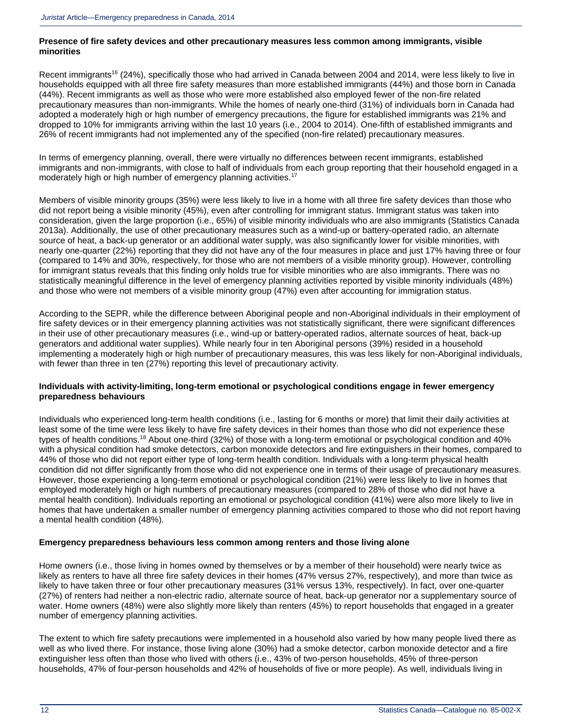#### **Presence of fire safety devices and other precautionary measures less common among immigrants, visible minorities**

Recent immigrants<sup>[16](http://wwwstaging.statcan.gc.ca/pub/85-002-x/2015001/article/14234-eng.htm#n16)</sup> (24%), specifically those who had arrived in Canada between 2004 and 2014, were less likely to live in households equipped with all three fire safety measures than more established immigrants (44%) and those born in Canada (44%). Recent immigrants as well as those who were more established also employed fewer of the non-fire related precautionary measures than non-immigrants. While the homes of nearly one-third (31%) of individuals born in Canada had adopted a moderately high or high number of emergency precautions, the figure for established immigrants was 21% and dropped to 10% for immigrants arriving within the last 10 years (i.e., 2004 to 2014). One-fifth of established immigrants and 26% of recent immigrants had not implemented any of the specified (non-fire related) precautionary measures.

In terms of emergency planning, overall, there were virtually no differences between recent immigrants, established immigrants and non-immigrants, with close to half of individuals from each group reporting that their household engaged in a moderately high or high number of emergency planning activities.<sup>[17](http://wwwstaging.statcan.gc.ca/pub/85-002-x/2015001/article/14234-eng.htm#n17)</sup>

Members of visible minority groups (35%) were less likely to live in a home with all three fire safety devices than those who did not report being a visible minority (45%), even after controlling for immigrant status. Immigrant status was taken into consideration, given the large proportion (i.e., 65%) of visible minority individuals who are also immigrants (Statistics Canada 2013a). Additionally, the use of other precautionary measures such as a wind-up or battery-operated radio, an alternate source of heat, a back-up generator or an additional water supply, was also significantly lower for visible minorities, with nearly one-quarter (22%) reporting that they did not have any of the four measures in place and just 17% having three or four (compared to 14% and 30%, respectively, for those who are not members of a visible minority group). However, controlling for immigrant status reveals that this finding only holds true for visible minorities who are also immigrants. There was no statistically meaningful difference in the level of emergency planning activities reported by visible minority individuals (48%) and those who were not members of a visible minority group (47%) even after accounting for immigration status.

According to the SEPR, while the difference between Aboriginal people and non-Aboriginal individuals in their employment of fire safety devices or in their emergency planning activities was not statistically significant, there were significant differences in their use of other precautionary measures (i.e., wind-up or battery-operated radios, alternate sources of heat, back-up generators and additional water supplies). While nearly four in ten Aboriginal persons (39%) resided in a household implementing a moderately high or high number of precautionary measures, this was less likely for non-Aboriginal individuals, with fewer than three in ten (27%) reporting this level of precautionary activity.

#### **Individuals with activity-limiting, long-term emotional or psychological conditions engage in fewer emergency preparedness behaviours**

Individuals who experienced long-term health conditions (i.e., lasting for 6 months or more) that limit their daily activities at least some of the time were less likely to have fire safety devices in their homes than those who did not experience these types of health conditions.[18](http://wwwstaging.statcan.gc.ca/pub/85-002-x/2015001/article/14234-eng.htm#n18) About one-third (32%) of those with a long-term emotional or psychological condition and 40% with a physical condition had smoke detectors, carbon monoxide detectors and fire extinguishers in their homes, compared to 44% of those who did not report either type of long-term health condition. Individuals with a long-term physical health condition did not differ significantly from those who did not experience one in terms of their usage of precautionary measures. However, those experiencing a long-term emotional or psychological condition (21%) were less likely to live in homes that employed moderately high or high numbers of precautionary measures (compared to 28% of those who did not have a mental health condition). Individuals reporting an emotional or psychological condition (41%) were also more likely to live in homes that have undertaken a smaller number of emergency planning activities compared to those who did not report having a mental health condition (48%).

#### **Emergency preparedness behaviours less common among renters and those living alone**

Home owners (i.e., those living in homes owned by themselves or by a member of their household) were nearly twice as likely as renters to have all three fire safety devices in their homes (47% versus 27%, respectively), and more than twice as likely to have taken three or four other precautionary measures (31% versus 13%, respectively). In fact, over one-quarter (27%) of renters had neither a non-electric radio, alternate source of heat, back-up generator nor a supplementary source of water. Home owners (48%) were also slightly more likely than renters (45%) to report households that engaged in a greater number of emergency planning activities.

The extent to which fire safety precautions were implemented in a household also varied by how many people lived there as well as who lived there. For instance, those living alone (30%) had a smoke detector, carbon monoxide detector and a fire extinguisher less often than those who lived with others (i.e., 43% of two-person households, 45% of three-person households, 47% of four-person households and 42% of households of five or more people). As well, individuals living in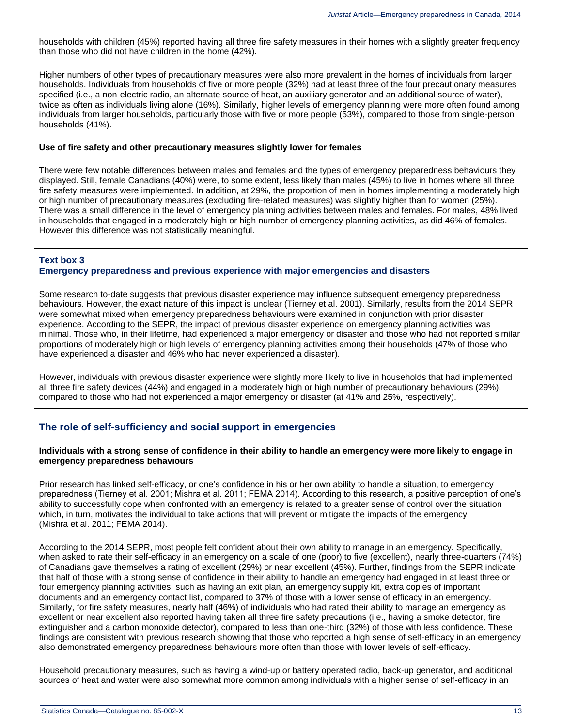households with children (45%) reported having all three fire safety measures in their homes with a slightly greater frequency than those who did not have children in the home (42%).

Higher numbers of other types of precautionary measures were also more prevalent in the homes of individuals from larger households. Individuals from households of five or more people (32%) had at least three of the four precautionary measures specified (i.e., a non-electric radio, an alternate source of heat, an auxiliary generator and an additional source of water), twice as often as individuals living alone (16%). Similarly, higher levels of emergency planning were more often found among individuals from larger households, particularly those with five or more people (53%), compared to those from single-person households (41%).

#### **Use of fire safety and other precautionary measures slightly lower for females**

There were few notable differences between males and females and the types of emergency preparedness behaviours they displayed. Still, female Canadians (40%) were, to some extent, less likely than males (45%) to live in homes where all three fire safety measures were implemented. In addition, at 29%, the proportion of men in homes implementing a moderately high or high number of precautionary measures (excluding fire-related measures) was slightly higher than for women (25%). There was a small difference in the level of emergency planning activities between males and females. For males, 48% lived in households that engaged in a moderately high or high number of emergency planning activities, as did 46% of females. However this difference was not statistically meaningful.

#### **Text box 3**

#### **Emergency preparedness and previous experience with major emergencies and disasters**

Some research to-date suggests that previous disaster experience may influence subsequent emergency preparedness behaviours. However, the exact nature of this impact is unclear (Tierney et al. 2001). Similarly, results from the 2014 SEPR were somewhat mixed when emergency preparedness behaviours were examined in conjunction with prior disaster experience. According to the SEPR, the impact of previous disaster experience on emergency planning activities was minimal. Those who, in their lifetime, had experienced a major emergency or disaster and those who had not reported similar proportions of moderately high or high levels of emergency planning activities among their households (47% of those who have experienced a disaster and 46% who had never experienced a disaster).

However, individuals with previous disaster experience were slightly more likely to live in households that had implemented all three fire safety devices (44%) and engaged in a moderately high or high number of precautionary behaviours (29%), compared to those who had not experienced a major emergency or disaster (at 41% and 25%, respectively).

### **The role of self-sufficiency and social support in emergencies**

#### **Individuals with a strong sense of confidence in their ability to handle an emergency were more likely to engage in emergency preparedness behaviours**

Prior research has linked self-efficacy, or one's confidence in his or her own ability to handle a situation, to emergency preparedness (Tierney et al. 2001; Mishra et al. 2011; FEMA 2014). According to this research, a positive perception of one's ability to successfully cope when confronted with an emergency is related to a greater sense of control over the situation which, in turn, motivates the individual to take actions that will prevent or mitigate the impacts of the emergency (Mishra et al. 2011; FEMA 2014).

According to the 2014 SEPR, most people felt confident about their own ability to manage in an emergency. Specifically, when asked to rate their self-efficacy in an emergency on a scale of one (poor) to five (excellent), nearly three-quarters (74%) of Canadians gave themselves a rating of excellent (29%) or near excellent (45%). Further, findings from the SEPR indicate that half of those with a strong sense of confidence in their ability to handle an emergency had engaged in at least three or four emergency planning activities, such as having an exit plan, an emergency supply kit, extra copies of important documents and an emergency contact list, compared to 37% of those with a lower sense of efficacy in an emergency. Similarly, for fire safety measures, nearly half (46%) of individuals who had rated their ability to manage an emergency as excellent or near excellent also reported having taken all three fire safety precautions (i.e., having a smoke detector, fire extinguisher and a carbon monoxide detector), compared to less than one-third (32%) of those with less confidence. These findings are consistent with previous research showing that those who reported a high sense of self-efficacy in an emergency also demonstrated emergency preparedness behaviours more often than those with lower levels of self-efficacy.

Household precautionary measures, such as having a wind-up or battery operated radio, back-up generator, and additional sources of heat and water were also somewhat more common among individuals with a higher sense of self-efficacy in an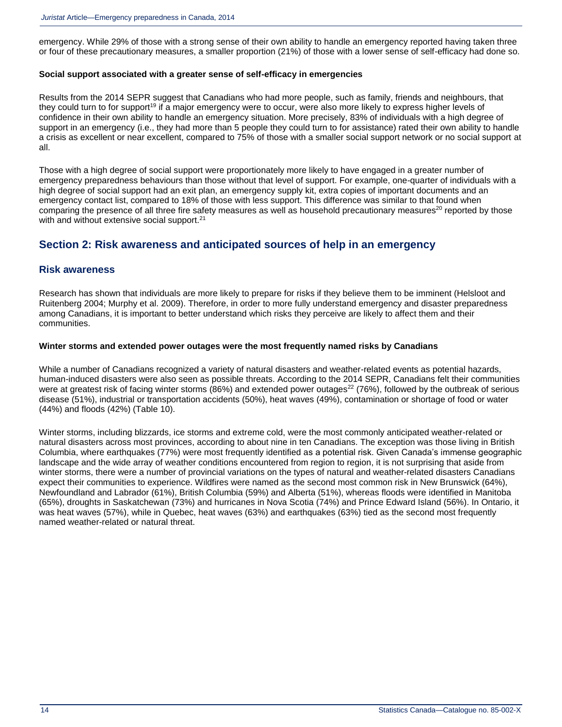emergency. While 29% of those with a strong sense of their own ability to handle an emergency reported having taken three or four of these precautionary measures, a smaller proportion (21%) of those with a lower sense of self-efficacy had done so.

#### **Social support associated with a greater sense of self-efficacy in emergencies**

Results from the 2014 SEPR suggest that Canadians who had more people, such as family, friends and neighbours, that they could turn to for support<sup>[19](http://wwwstaging.statcan.gc.ca/pub/85-002-x/2015001/article/14234-eng.htm#n19)</sup> if a major emergency were to occur, were also more likely to express higher levels of confidence in their own ability to handle an emergency situation. More precisely, 83% of individuals with a high degree of support in an emergency (i.e., they had more than 5 people they could turn to for assistance) rated their own ability to handle a crisis as excellent or near excellent, compared to 75% of those with a smaller social support network or no social support at all.

Those with a high degree of social support were proportionately more likely to have engaged in a greater number of emergency preparedness behaviours than those without that level of support. For example, one-quarter of individuals with a high degree of social support had an exit plan, an emergency supply kit, extra copies of important documents and an emergency contact list, compared to 18% of those with less support. This difference was similar to that found when comparing the presence of all three fire safety measures as well as household precautionary measures<sup>[20](http://wwwstaging.statcan.gc.ca/pub/85-002-x/2015001/article/14234-eng.htm#n20)</sup> reported by those with and without extensive social support.<sup>[21](http://wwwstaging.statcan.gc.ca/pub/85-002-x/2015001/article/14234-eng.htm#n21)</sup>

### **Section 2: Risk awareness and anticipated sources of help in an emergency**

#### **Risk awareness**

Research has shown that individuals are more likely to prepare for risks if they believe them to be imminent (Helsloot and Ruitenberg 2004; Murphy et al. 2009). Therefore, in order to more fully understand emergency and disaster preparedness among Canadians, it is important to better understand which risks they perceive are likely to affect them and their communities.

#### **Winter storms and extended power outages were the most frequently named risks by Canadians**

While a number of Canadians recognized a variety of natural disasters and weather-related events as potential hazards, human-induced disasters were also seen as possible threats. According to the 2014 SEPR, Canadians felt their communities were at greatest risk of facing winter storms (86%) and extended power outages<sup>[22](http://wwwstaging.statcan.gc.ca/pub/85-002-x/2015001/article/14234-eng.htm#n22)</sup> (76%), followed by the outbreak of serious disease (51%), industrial or transportation accidents (50%), heat waves (49%), contamination or shortage of food or water (44%) and floods (42%) (Table 10).

Winter storms, including blizzards, ice storms and extreme cold, were the most commonly anticipated weather-related or natural disasters across most provinces, according to about nine in ten Canadians. The exception was those living in British Columbia, where earthquakes (77%) were most frequently identified as a potential risk. Given Canada's immense geographic landscape and the wide array of weather conditions encountered from region to region, it is not surprising that aside from winter storms, there were a number of provincial variations on the types of natural and weather-related disasters Canadians expect their communities to experience. Wildfires were named as the second most common risk in New Brunswick (64%), Newfoundland and Labrador (61%), British Columbia (59%) and Alberta (51%), whereas floods were identified in Manitoba (65%), droughts in Saskatchewan (73%) and hurricanes in Nova Scotia (74%) and Prince Edward Island (56%). In Ontario, it was heat waves (57%), while in Quebec, heat waves (63%) and earthquakes (63%) tied as the second most frequently named weather-related or natural threat.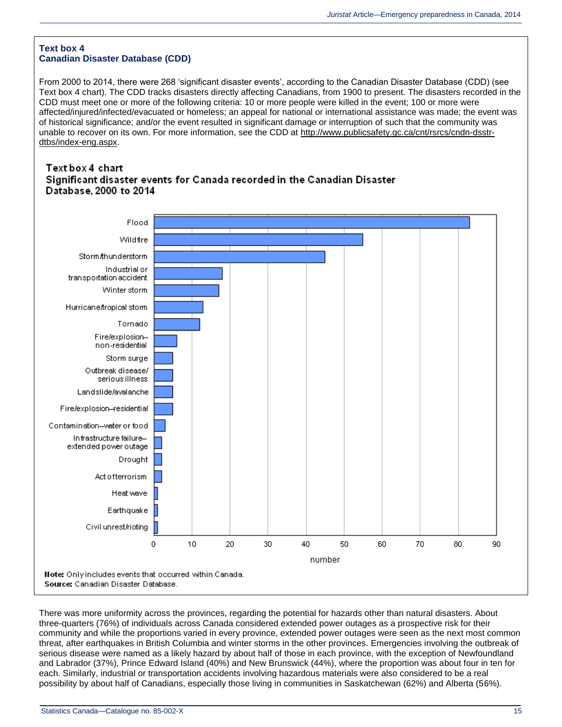#### **Text box 4 Canadian Disaster Database (CDD)**

From 2000 to 2014, there were 268 'significant disaster events', according to the Canadian Disaster Database (CDD) (see Text box 4 chart). The CDD tracks disasters directly affecting Canadians, from 1900 to present. The disasters recorded in the CDD must meet one or more of the following criteria: 10 or more people were killed in the event; 100 or more were affected/injured/infected/evacuated or homeless; an appeal for national or international assistance was made; the event was of historical significance; and/or the event resulted in significant damage or interruption of such that the community was unable to recover on its own. For more information, see the CDD at [http://www.publicsafety.gc.ca/cnt/rsrcs/cndn-dsstr](http://www.publicsafety.gc.ca/cnt/rsrcs/cndn-dsstr-dtbs/index-eng.aspx)[dtbs/index-eng.aspx.](http://www.publicsafety.gc.ca/cnt/rsrcs/cndn-dsstr-dtbs/index-eng.aspx)

### Text box 4 chart Significant disaster events for Canada recorded in the Canadian Disaster Database, 2000 to 2014



There was more uniformity across the provinces, regarding the potential for hazards other than natural disasters. About three-quarters (76%) of individuals across Canada considered extended power outages as a prospective risk for their community and while the proportions varied in every province, extended power outages were seen as the next most common threat, after earthquakes in British Columbia and winter storms in the other provinces. Emergencies involving the outbreak of serious disease were named as a likely hazard by about half of those in each province, with the exception of Newfoundland and Labrador (37%), Prince Edward Island (40%) and New Brunswick (44%), where the proportion was about four in ten for each. Similarly, industrial or transportation accidents involving hazardous materials were also considered to be a real possibility by about half of Canadians, especially those living in communities in Saskatchewan (62%) and Alberta (56%).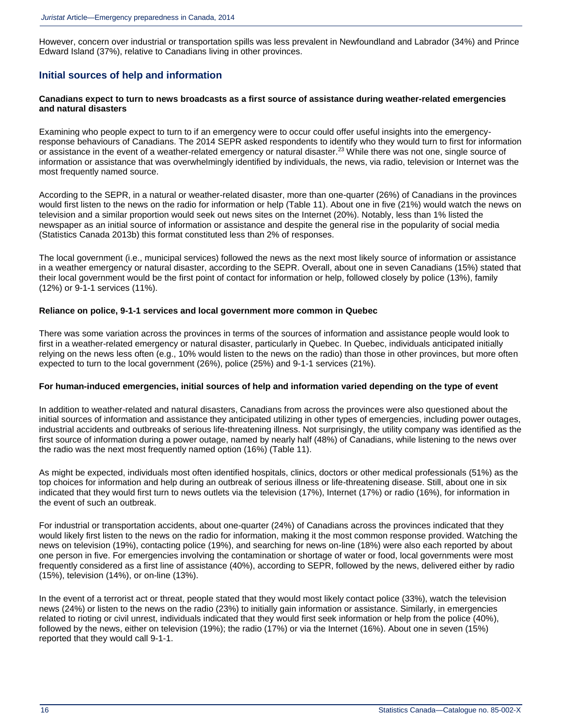However, concern over industrial or transportation spills was less prevalent in Newfoundland and Labrador (34%) and Prince Edward Island (37%), relative to Canadians living in other provinces.

### **Initial sources of help and information**

#### **Canadians expect to turn to news broadcasts as a first source of assistance during weather-related emergencies and natural disasters**

Examining who people expect to turn to if an emergency were to occur could offer useful insights into the emergencyresponse behaviours of Canadians. The 2014 SEPR asked respondents to identify who they would turn to first for information or assistance in the event of a weather-related emergency or natural disaster.<sup>[23](http://wwwstaging.statcan.gc.ca/pub/85-002-x/2015001/article/14234-eng.htm#n23)</sup> While there was not one, single source of information or assistance that was overwhelmingly identified by individuals, the news, via radio, television or Internet was the most frequently named source.

According to the SEPR, in a natural or weather-related disaster, more than one-quarter (26%) of Canadians in the provinces would first listen to the news on the radio for information or help (Table 11). About one in five (21%) would watch the news on television and a similar proportion would seek out news sites on the Internet (20%). Notably, less than 1% listed the newspaper as an initial source of information or assistance and despite the general rise in the popularity of social media [\(Statistics Canada 2013b\)](http://wwwstaging.statcan.gc.ca/pub/85-002-x/2015001/article/14234-eng.htm) this format constituted less than 2% of responses.

The local government (i.e., municipal services) followed the news as the next most likely source of information or assistance in a weather emergency or natural disaster, according to the SEPR. Overall, about one in seven Canadians (15%) stated that their local government would be the first point of contact for information or help, followed closely by police (13%), family (12%) or 9-1-1 services (11%).

#### **Reliance on police, 9-1-1 services and local government more common in Quebec**

There was some variation across the provinces in terms of the sources of information and assistance people would look to first in a weather-related emergency or natural disaster, particularly in Quebec. In Quebec, individuals anticipated initially relying on the news less often (e.g., 10% would listen to the news on the radio) than those in other provinces, but more often expected to turn to the local government (26%), police (25%) and 9-1-1 services (21%).

#### **For human-induced emergencies, initial sources of help and information varied depending on the type of event**

In addition to weather-related and natural disasters, Canadians from across the provinces were also questioned about the initial sources of information and assistance they anticipated utilizing in other types of emergencies, including power outages, industrial accidents and outbreaks of serious life-threatening illness. Not surprisingly, the utility company was identified as the first source of information during a power outage, named by nearly half (48%) of Canadians, while listening to the news over the radio was the next most frequently named option (16%) (Table 11).

As might be expected, individuals most often identified hospitals, clinics, doctors or other medical professionals (51%) as the top choices for information and help during an outbreak of serious illness or life-threatening disease. Still, about one in six indicated that they would first turn to news outlets via the television (17%), Internet (17%) or radio (16%), for information in the event of such an outbreak.

For industrial or transportation accidents, about one-quarter (24%) of Canadians across the provinces indicated that they would likely first listen to the news on the radio for information, making it the most common response provided. Watching the news on television (19%), contacting police (19%), and searching for news on-line (18%) were also each reported by about one person in five. For emergencies involving the contamination or shortage of water or food, local governments were most frequently considered as a first line of assistance (40%), according to SEPR, followed by the news, delivered either by radio (15%), television (14%), or on-line (13%).

In the event of a terrorist act or threat, people stated that they would most likely contact police (33%), watch the television news (24%) or listen to the news on the radio (23%) to initially gain information or assistance. Similarly, in emergencies related to rioting or civil unrest, individuals indicated that they would first seek information or help from the police (40%), followed by the news, either on television (19%); the radio (17%) or via the Internet (16%). About one in seven (15%) reported that they would call 9-1-1.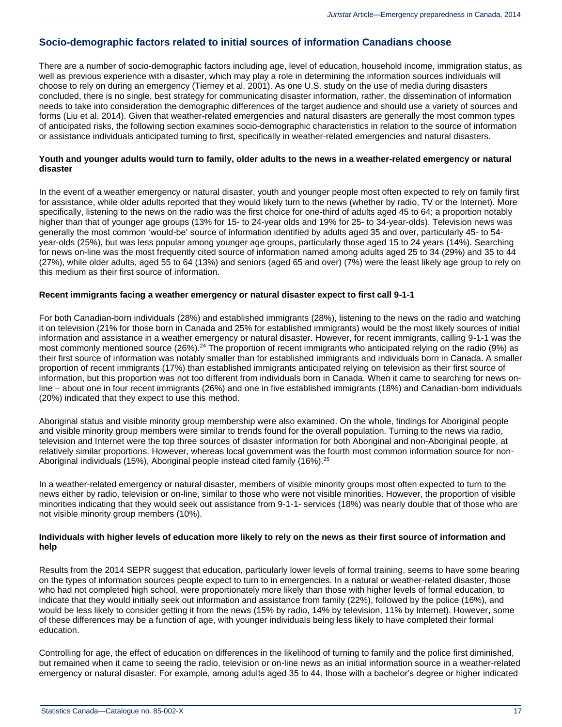### **Socio-demographic factors related to initial sources of information Canadians choose**

There are a number of socio-demographic factors including age, level of education, household income, immigration status, as well as previous experience with a disaster, which may play a role in determining the information sources individuals will choose to rely on during an emergency (Tierney et al. 2001). As one U.S. study on the use of media during disasters concluded, there is no single, best strategy for communicating disaster information, rather, the dissemination of information needs to take into consideration the demographic differences of the target audience and should use a variety of sources and forms (Liu et al. 2014). Given that weather-related emergencies and natural disasters are generally the most common types of anticipated risks, the following section examines socio-demographic characteristics in relation to the source of information or assistance individuals anticipated turning to first, specifically in weather-related emergencies and natural disasters.

#### **Youth and younger adults would turn to family, older adults to the news in a weather-related emergency or natural disaster**

In the event of a weather emergency or natural disaster, youth and younger people most often expected to rely on family first for assistance, while older adults reported that they would likely turn to the news (whether by radio, TV or the Internet). More specifically, listening to the news on the radio was the first choice for one-third of adults aged 45 to 64; a proportion notably higher than that of younger age groups (13% for 15- to 24-year olds and 19% for 25- to 34-year-olds). Television news was generally the most common 'would-be' source of information identified by adults aged 35 and over, particularly 45- to 54 year-olds (25%), but was less popular among younger age groups, particularly those aged 15 to 24 years (14%). Searching for news on-line was the most frequently cited source of information named among adults aged 25 to 34 (29%) and 35 to 44 (27%), while older adults, aged 55 to 64 (13%) and seniors (aged 65 and over) (7%) were the least likely age group to rely on this medium as their first source of information.

#### **Recent immigrants facing a weather emergency or natural disaster expect to first call 9-1-1**

For both Canadian-born individuals (28%) and established immigrants (28%), listening to the news on the radio and watching it on television (21% for those born in Canada and 25% for established immigrants) would be the most likely sources of initial information and assistance in a weather emergency or natural disaster. However, for recent immigrants, calling 9-1-1 was the most commonly mentioned source (26%).<sup>[24](http://wwwstaging.statcan.gc.ca/pub/85-002-x/2015001/article/14234-eng.htm#n24)</sup> The proportion of recent immigrants who anticipated relying on the radio (9%) as their first source of information was notably smaller than for established immigrants and individuals born in Canada. A smaller proportion of recent immigrants (17%) than established immigrants anticipated relying on television as their first source of information, but this proportion was not too different from individuals born in Canada. When it came to searching for news online – about one in four recent immigrants (26%) and one in five established immigrants (18%) and Canadian-born individuals (20%) indicated that they expect to use this method.

Aboriginal status and visible minority group membership were also examined. On the whole, findings for Aboriginal people and visible minority group members were similar to trends found for the overall population. Turning to the news via radio, television and Internet were the top three sources of disaster information for both Aboriginal and non-Aboriginal people, at relatively similar proportions. However, whereas local government was the fourth most common information source for non-Aboriginal individuals (15%), Aboriginal people instead cited family (16%).<sup>[25](http://wwwstaging.statcan.gc.ca/pub/85-002-x/2015001/article/14234-eng.htm#n25)</sup>

In a weather-related emergency or natural disaster, members of visible minority groups most often expected to turn to the news either by radio, television or on-line, similar to those who were not visible minorities. However, the proportion of visible minorities indicating that they would seek out assistance from 9-1-1- services (18%) was nearly double that of those who are not visible minority group members (10%).

#### **Individuals with higher levels of education more likely to rely on the news as their first source of information and help**

Results from the 2014 SEPR suggest that education, particularly lower levels of formal training, seems to have some bearing on the types of information sources people expect to turn to in emergencies. In a natural or weather-related disaster, those who had not completed high school, were proportionately more likely than those with higher levels of formal education, to indicate that they would initially seek out information and assistance from family (22%), followed by the police (16%), and would be less likely to consider getting it from the news (15% by radio, 14% by television, 11% by Internet). However, some of these differences may be a function of age, with younger individuals being less likely to have completed their formal education.

Controlling for age, the effect of education on differences in the likelihood of turning to family and the police first diminished, but remained when it came to seeing the radio, television or on-line news as an initial information source in a weather-related emergency or natural disaster. For example, among adults aged 35 to 44, those with a bachelor's degree or higher indicated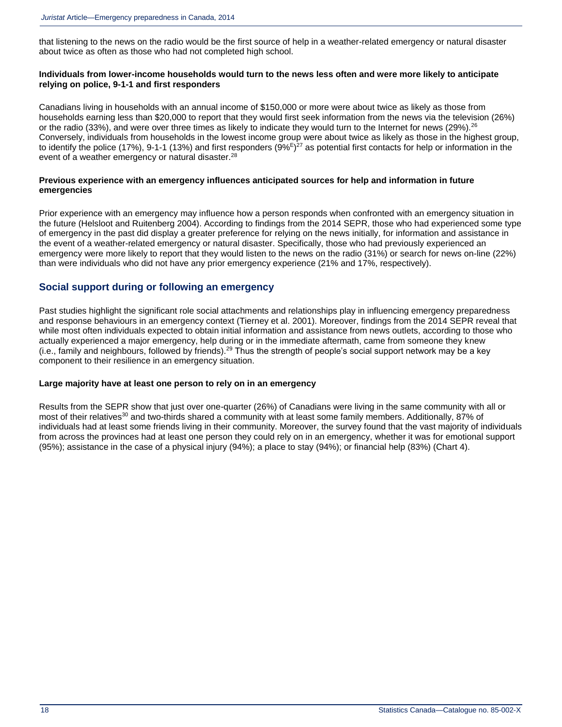that listening to the news on the radio would be the first source of help in a weather-related emergency or natural disaster about twice as often as those who had not completed high school.

#### **Individuals from lower-income households would turn to the news less often and were more likely to anticipate relying on police, 9-1-1 and first responders**

Canadians living in households with an annual income of \$150,000 or more were about twice as likely as those from households earning less than \$20,000 to report that they would first seek information from the news via the television (26%) or the radio (33%), and were over three times as likely to indicate they would turn to the Internet for news (29%).<sup>[26](http://wwwstaging.statcan.gc.ca/pub/85-002-x/2015001/article/14234-eng.htm#n26)</sup> Conversely, individuals from households in the lowest income group were about twice as likely as those in the highest group, to identify the police (17%), 9-1-1 (13%) and first responders (9% $E$ <sup>[27](http://wwwstaging.statcan.gc.ca/pub/85-002-x/2015001/article/14234-eng.htm#n27)</sup> as potential first contacts for help or information in the event of a weather emergency or natural disaster.<sup>[28](http://wwwstaging.statcan.gc.ca/pub/85-002-x/2015001/article/14234-eng.htm#n28)</sup>

#### **Previous experience with an emergency influences anticipated sources for help and information in future emergencies**

Prior experience with an emergency may influence how a person responds when confronted with an emergency situation in the future (Helsloot and Ruitenberg 2004). According to findings from the 2014 SEPR, those who had experienced some type of emergency in the past did display a greater preference for relying on the news initially, for information and assistance in the event of a weather-related emergency or natural disaster. Specifically, those who had previously experienced an emergency were more likely to report that they would listen to the news on the radio (31%) or search for news on-line (22%) than were individuals who did not have any prior emergency experience (21% and 17%, respectively).

### **Social support during or following an emergency**

Past studies highlight the significant role social attachments and relationships play in influencing emergency preparedness and response behaviours in an emergency context (Tierney et al. 2001). Moreover, findings from the 2014 SEPR reveal that while most often individuals expected to obtain initial information and assistance from news outlets, according to those who actually experienced a major emergency, help during or in the immediate aftermath, came from someone they knew (i.e., family and neighbours, followed by friends).<sup>[29](http://wwwstaging.statcan.gc.ca/pub/85-002-x/2015001/article/14234-eng.htm#n29)</sup> Thus the strength of people's social support network may be a key component to their resilience in an emergency situation.

#### **Large majority have at least one person to rely on in an emergency**

Results from the SEPR show that just over one-quarter (26%) of Canadians were living in the same community with all or most of their relatives<sup>[30](http://wwwstaging.statcan.gc.ca/pub/85-002-x/2015001/article/14234-eng.htm#n30)</sup> and two-thirds shared a community with at least some family members. Additionally, 87% of individuals had at least some friends living in their community. Moreover, the survey found that the vast majority of individuals from across the provinces had at least one person they could rely on in an emergency, whether it was for emotional support (95%); assistance in the case of a physical injury (94%); a place to stay (94%); or financial help (83%) (Chart 4).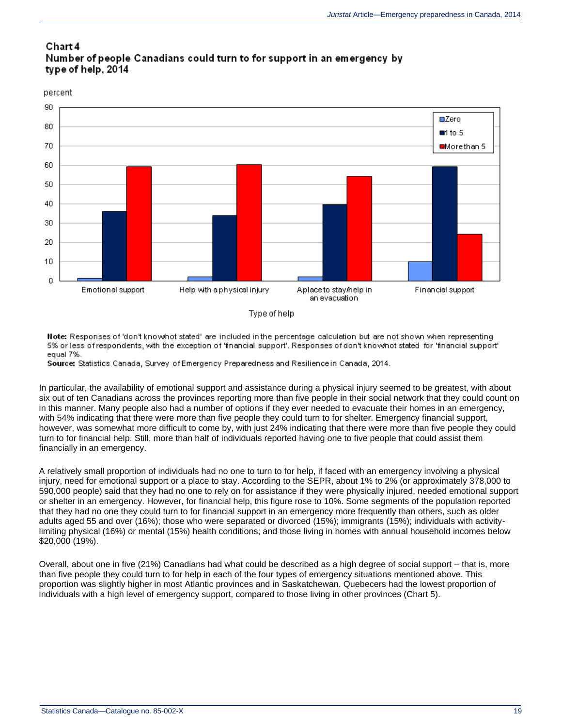### Chart 4 Number of people Canadians could turn to for support in an emergency by type of help, 2014

percent



Note: Responses of 'don't knowhot stated' are included in the percentage calculation but are not shown when representing 5% or less of respondents, with the exception of 'financial support'. Responses of don't knownot stated for 'financial support' equal 7%.

Source: Statistics Canada, Survey of Emergency Preparedness and Resilience in Canada, 2014.

In particular, the availability of emotional support and assistance during a physical injury seemed to be greatest, with about six out of ten Canadians across the provinces reporting more than five people in their social network that they could count on in this manner. Many people also had a number of options if they ever needed to evacuate their homes in an emergency, with 54% indicating that there were more than five people they could turn to for shelter. Emergency financial support, however, was somewhat more difficult to come by, with just 24% indicating that there were more than five people they could turn to for financial help. Still, more than half of individuals reported having one to five people that could assist them financially in an emergency.

A relatively small proportion of individuals had no one to turn to for help, if faced with an emergency involving a physical injury, need for emotional support or a place to stay. According to the SEPR, about 1% to 2% (or approximately 378,000 to 590,000 people) said that they had no one to rely on for assistance if they were physically injured, needed emotional support or shelter in an emergency. However, for financial help, this figure rose to 10%. Some segments of the population reported that they had no one they could turn to for financial support in an emergency more frequently than others, such as older adults aged 55 and over (16%); those who were separated or divorced (15%); immigrants (15%); individuals with activitylimiting physical (16%) or mental (15%) health conditions; and those living in homes with annual household incomes below \$20,000 (19%).

Overall, about one in five (21%) Canadians had what could be described as a high degree of social support – that is, more than five people they could turn to for help in each of the four types of emergency situations mentioned above. This proportion was slightly higher in most Atlantic provinces and in Saskatchewan. Quebecers had the lowest proportion of individuals with a high level of emergency support, compared to those living in other provinces (Chart 5).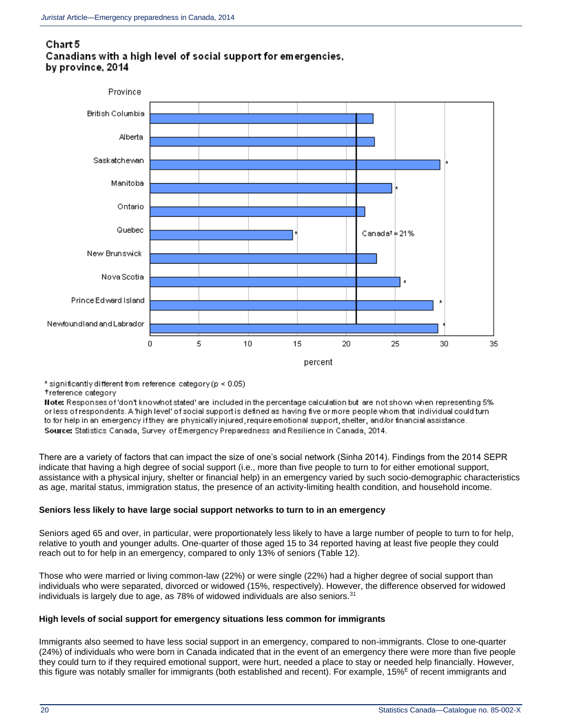### Chart 5 Canadians with a high level of social support for emergencies. by province, 2014



\* significantly different from reference category ( $p < 0.05$ ) treference category

Note: Responses of 'don't know/not stated' are included in the percentage calculation but are not shown when representing 5% or less of respondents. A 'high level' of social support is defined as having five or more people whom that individual could turn to for help in an-emergency if they are physically injured, require emotional support, shelter, and/or financial assistance. Source: Statistics Canada, Survey of Emergency Preparedness and Resilience in Canada, 2014.

There are a variety of factors that can impact the size of one's social network (Sinha 2014). Findings from the 2014 SEPR indicate that having a high degree of social support (i.e., more than five people to turn to for either emotional support, assistance with a physical injury, shelter or financial help) in an emergency varied by such socio-demographic characteristics as age, marital status, immigration status, the presence of an activity-limiting health condition, and household income.

### **Seniors less likely to have large social support networks to turn to in an emergency**

Seniors aged 65 and over, in particular, were proportionately less likely to have a large number of people to turn to for help, relative to youth and younger adults. One-quarter of those aged 15 to 34 reported having at least five people they could reach out to for help in an emergency, compared to only 13% of seniors (Table 12).

Those who were married or living common-law (22%) or were single (22%) had a higher degree of social support than individuals who were separated, divorced or widowed (15%, respectively). However, the difference observed for widowed individuals is largely due to age, as  $78\%$  of widowed individuals are also seniors. $31$ 

### **High levels of social support for emergency situations less common for immigrants**

Immigrants also seemed to have less social support in an emergency, compared to non-immigrants. Close to one-quarter (24%) of individuals who were born in Canada indicated that in the event of an emergency there were more than five people they could turn to if they required emotional support, were hurt, needed a place to stay or needed help financially. However, this figure was notably smaller for immigrants (both established and recent). For example, 15%<sup>E</sup> of recent immigrants and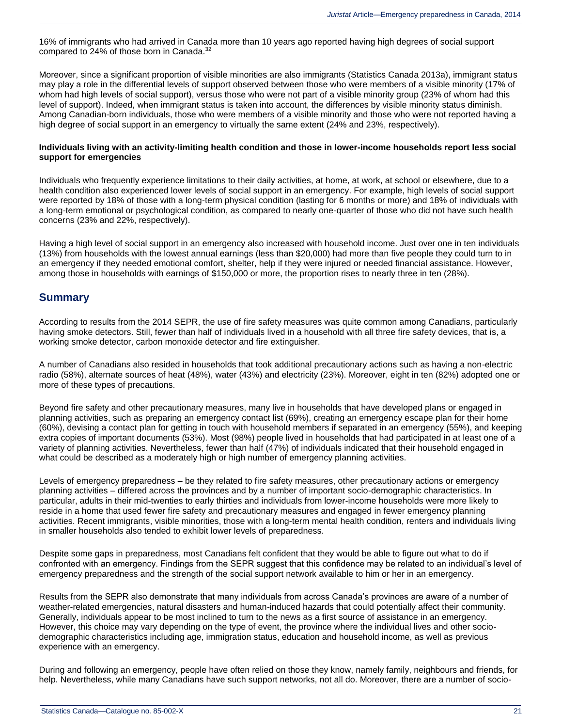16% of immigrants who had arrived in Canada more than 10 years ago reported having high degrees of social support compared to 24% of those born in Canada.<sup>[32](http://wwwstaging.statcan.gc.ca/pub/85-002-x/2015001/article/14234-eng.htm#n32)</sup>

Moreover, since a significant proportion of visible minorities are also immigrants (Statistics Canada 2013a), immigrant status may play a role in the differential levels of support observed between those who were members of a visible minority (17% of whom had high levels of social support), versus those who were not part of a visible minority group (23% of whom had this level of support). Indeed, when immigrant status is taken into account, the differences by visible minority status diminish. Among Canadian-born individuals, those who were members of a visible minority and those who were not reported having a high degree of social support in an emergency to virtually the same extent (24% and 23%, respectively).

#### **Individuals living with an activity-limiting health condition and those in lower-income households report less social support for emergencies**

Individuals who frequently experience limitations to their daily activities, at home, at work, at school or elsewhere, due to a health condition also experienced lower levels of social support in an emergency. For example, high levels of social support were reported by 18% of those with a long-term physical condition (lasting for 6 months or more) and 18% of individuals with a long-term emotional or psychological condition, as compared to nearly one-quarter of those who did not have such health concerns (23% and 22%, respectively).

Having a high level of social support in an emergency also increased with household income. Just over one in ten individuals (13%) from households with the lowest annual earnings (less than \$20,000) had more than five people they could turn to in an emergency if they needed emotional comfort, shelter, help if they were injured or needed financial assistance. However, among those in households with earnings of \$150,000 or more, the proportion rises to nearly three in ten (28%).

### **Summary**

According to results from the 2014 SEPR, the use of fire safety measures was quite common among Canadians, particularly having smoke detectors. Still, fewer than half of individuals lived in a household with all three fire safety devices, that is, a working smoke detector, carbon monoxide detector and fire extinguisher.

A number of Canadians also resided in households that took additional precautionary actions such as having a non-electric radio (58%), alternate sources of heat (48%), water (43%) and electricity (23%). Moreover, eight in ten (82%) adopted one or more of these types of precautions.

Beyond fire safety and other precautionary measures, many live in households that have developed plans or engaged in planning activities, such as preparing an emergency contact list (69%), creating an emergency escape plan for their home (60%), devising a contact plan for getting in touch with household members if separated in an emergency (55%), and keeping extra copies of important documents (53%). Most (98%) people lived in households that had participated in at least one of a variety of planning activities. Nevertheless, fewer than half (47%) of individuals indicated that their household engaged in what could be described as a moderately high or high number of emergency planning activities.

Levels of emergency preparedness – be they related to fire safety measures, other precautionary actions or emergency planning activities – differed across the provinces and by a number of important socio-demographic characteristics. In particular, adults in their mid-twenties to early thirties and individuals from lower-income households were more likely to reside in a home that used fewer fire safety and precautionary measures and engaged in fewer emergency planning activities. Recent immigrants, visible minorities, those with a long-term mental health condition, renters and individuals living in smaller households also tended to exhibit lower levels of preparedness.

Despite some gaps in preparedness, most Canadians felt confident that they would be able to figure out what to do if confronted with an emergency. Findings from the SEPR suggest that this confidence may be related to an individual's level of emergency preparedness and the strength of the social support network available to him or her in an emergency.

Results from the SEPR also demonstrate that many individuals from across Canada's provinces are aware of a number of weather-related emergencies, natural disasters and human-induced hazards that could potentially affect their community. Generally, individuals appear to be most inclined to turn to the news as a first source of assistance in an emergency. However, this choice may vary depending on the type of event, the province where the individual lives and other sociodemographic characteristics including age, immigration status, education and household income, as well as previous experience with an emergency.

During and following an emergency, people have often relied on those they know, namely family, neighbours and friends, for help. Nevertheless, while many Canadians have such support networks, not all do. Moreover, there are a number of socio-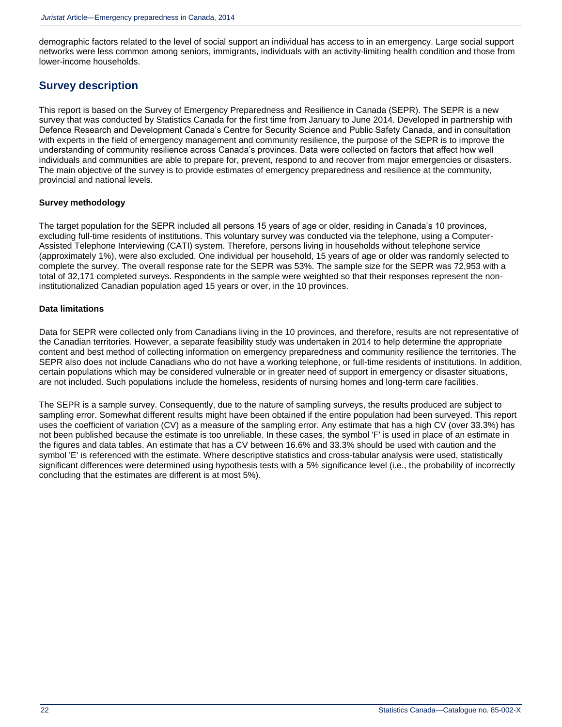demographic factors related to the level of social support an individual has access to in an emergency. Large social support networks were less common among seniors, immigrants, individuals with an activity-limiting health condition and those from lower-income households.

### **Survey description**

This report is based on the Survey of Emergency Preparedness and Resilience in Canada (SEPR). The SEPR is a new survey that was conducted by Statistics Canada for the first time from January to June 2014. Developed in partnership with Defence Research and Development Canada's Centre for Security Science and Public Safety Canada, and in consultation with experts in the field of emergency management and community resilience, the purpose of the SEPR is to improve the understanding of community resilience across Canada's provinces. Data were collected on factors that affect how well individuals and communities are able to prepare for, prevent, respond to and recover from major emergencies or disasters. The main objective of the survey is to provide estimates of emergency preparedness and resilience at the community, provincial and national levels.

#### **Survey methodology**

The target population for the SEPR included all persons 15 years of age or older, residing in Canada's 10 provinces, excluding full-time residents of institutions. This voluntary survey was conducted via the telephone, using a Computer-Assisted Telephone Interviewing (CATI) system. Therefore, persons living in households without telephone service (approximately 1%), were also excluded. One individual per household, 15 years of age or older was randomly selected to complete the survey. The overall response rate for the SEPR was 53%. The sample size for the SEPR was 72,953 with a total of 32,171 completed surveys. Respondents in the sample were weighted so that their responses represent the noninstitutionalized Canadian population aged 15 years or over, in the 10 provinces.

#### **Data limitations**

Data for SEPR were collected only from Canadians living in the 10 provinces, and therefore, results are not representative of the Canadian territories. However, a separate feasibility study was undertaken in 2014 to help determine the appropriate content and best method of collecting information on emergency preparedness and community resilience the territories. The SEPR also does not include Canadians who do not have a working telephone, or full-time residents of institutions. In addition, certain populations which may be considered vulnerable or in greater need of support in emergency or disaster situations, are not included. Such populations include the homeless, residents of nursing homes and long-term care facilities.

The SEPR is a sample survey. Consequently, due to the nature of sampling surveys, the results produced are subject to sampling error. Somewhat different results might have been obtained if the entire population had been surveyed. This report uses the coefficient of variation (CV) as a measure of the sampling error. Any estimate that has a high CV (over 33.3%) has not been published because the estimate is too unreliable. In these cases, the symbol 'F' is used in place of an estimate in the figures and data tables. An estimate that has a CV between 16.6% and 33.3% should be used with caution and the symbol 'E' is referenced with the estimate. Where descriptive statistics and cross-tabular analysis were used, statistically significant differences were determined using hypothesis tests with a 5% significance level (i.e., the probability of incorrectly concluding that the estimates are different is at most 5%).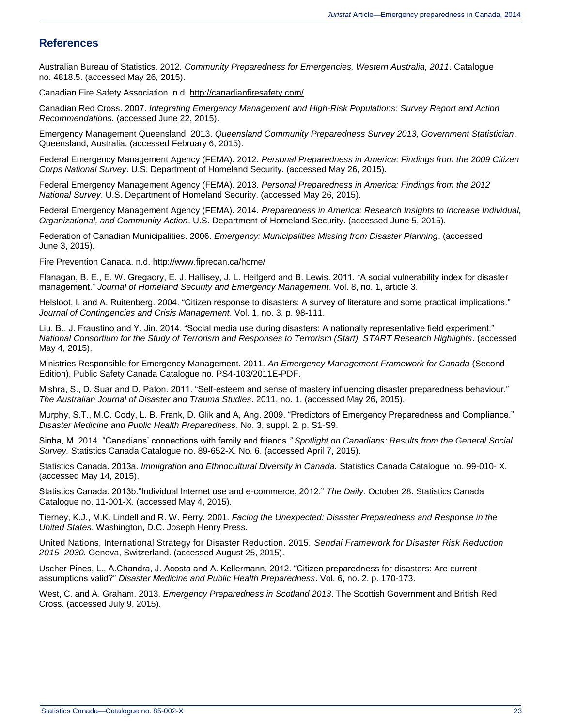### **References**

Australian Bureau of Statistics. 2012. *Community Preparedness for Emergencies, Western Australia, 2011*. Catalogue no. 4818.5. (accessed May 26, 2015).

Canadian Fire Safety Association. n.d.<http://canadianfiresafety.com/>

Canadian Red Cross. 2007. *Integrating Emergency Management and High-Risk Populations: Survey Report and Action Recommendations.* (accessed June 22, 2015).

Emergency Management Queensland. 2013. *Queensland Community Preparedness Survey 2013, Government Statistician*. Queensland, Australia. (accessed February 6, 2015).

Federal Emergency Management Agency (FEMA). 2012. *Personal Preparedness in America: Findings from the 2009 Citizen Corps National Survey*. U.S. Department of Homeland Security. (accessed May 26, 2015).

Federal Emergency Management Agency (FEMA). 2013. *Personal Preparedness in America: Findings from the 2012 National Survey*. U.S. Department of Homeland Security. (accessed May 26, 2015).

Federal Emergency Management Agency (FEMA). 2014. *Preparedness in America: Research Insights to Increase Individual, Organizational, and Community Action*. U.S. Department of Homeland Security. (accessed June 5, 2015).

Federation of Canadian Municipalities. 2006. *Emergency: Municipalities Missing from Disaster Planning*. (accessed June 3, 2015).

Fire Prevention Canada. n.d.<http://www.fiprecan.ca/home/>

Flanagan, B. E., E. W. Gregaory, E. J. Hallisey, J. L. Heitgerd and B. Lewis. 2011. "A social vulnerability index for disaster management." *Journal of Homeland Security and Emergency Management*. Vol. 8, no. 1, article 3.

Helsloot, I. and A. Ruitenberg. 2004. "Citizen response to disasters: A survey of literature and some practical implications." *Journal of Contingencies and Crisis Management*. Vol. 1, no. 3. p. 98-111.

Liu, B., J. Fraustino and Y. Jin. 2014. "Social media use during disasters: A nationally representative field experiment." *National Consortium for the Study of Terrorism and Responses to Terrorism (Start), START Research Highlights*. (accessed May 4, 2015).

Ministries Responsible for Emergency Management. 2011. *An Emergency Management Framework for Canada* (Second Edition). Public Safety Canada Catalogue no. PS4-103/2011E-PDF.

Mishra, S., D. Suar and D. Paton. 2011. "Self-esteem and sense of mastery influencing disaster preparedness behaviour." *The Australian Journal of Disaster and Trauma Studies*. 2011, no. 1. (accessed May 26, 2015).

Murphy, S.T., M.C. Cody, L. B. Frank, D. Glik and A, Ang. 2009. "Predictors of Emergency Preparedness and Compliance." *Disaster Medicine and Public Health Preparedness*. No. 3, suppl. 2. p. S1-S9.

Sinha, M. 2014. "Canadians' connections with family and friends*." Spotlight on Canadians: Results from the General Social Survey.* Statistics Canada Catalogue no. 89-652-X. No. 6. (accessed April 7, 2015).

Statistics Canada. 2013a. *Immigration and Ethnocultural Diversity in Canada.* Statistics Canada Catalogue no. 99-010- X. (accessed May 14, 2015).

Statistics Canada. 2013b."Individual Internet use and e-commerce, 2012." *The Daily.* October 28. Statistics Canada Catalogue no. 11-001-X. (accessed May 4, 2015).

Tierney, K.J., M.K. Lindell and R. W. Perry. 2001. *Facing the Unexpected: Disaster Preparedness and Response in the United States*. Washington, D.C. Joseph Henry Press.

United Nations, International Strategy for Disaster Reduction. 2015. *Sendai Framework for Disaster Risk Reduction 2015–2030.* Geneva, Switzerland. (accessed August 25, 2015).

Uscher-Pines, L., A.Chandra, J. Acosta and A. Kellermann. 2012. "Citizen preparedness for disasters: Are current assumptions valid?" *Disaster Medicine and Public Health Preparedness*. Vol. 6, no. 2. p. 170-173.

West, C. and A. Graham. 2013. *Emergency Preparedness in Scotland 2013*. The Scottish Government and British Red Cross. (accessed July 9, 2015).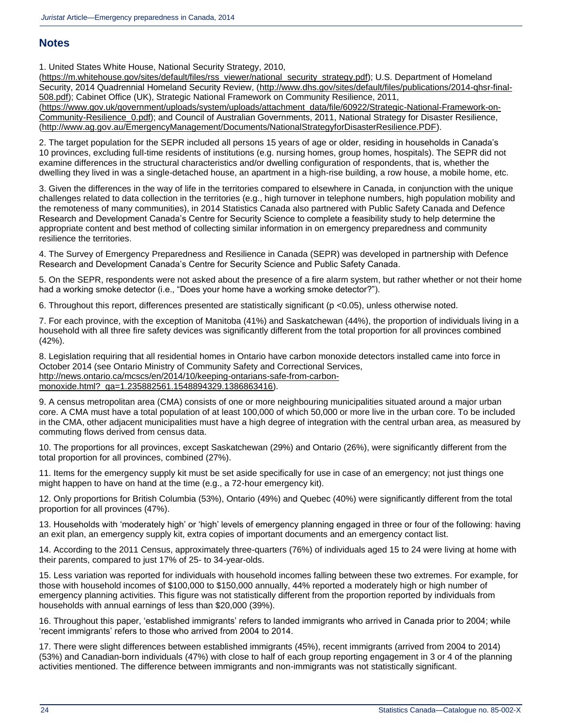### **Notes**

1. United States White House, National Security Strategy, 2010,

[\(https://m.whitehouse.gov/sites/default/files/rss\\_viewer/national\\_security\\_strategy.pdf\)](https://m.whitehouse.gov/sites/default/files/rss_viewer/national_security_strategy.pdf); U.S. Department of Homeland Security, 2014 Quadrennial Homeland Security Review, [\(http://www.dhs.gov/sites/default/files/publications/2014-qhsr-final-](http://www.dhs.gov/sites/default/files/publications/2014-qhsr-final-508.pdf)[508.pdf\)](http://www.dhs.gov/sites/default/files/publications/2014-qhsr-final-508.pdf); Cabinet Office (UK), Strategic National Framework on Community Resilience, 2011, [\(https://www.gov.uk/government/uploads/system/uploads/attachment\\_data/file/60922/Strategic-National-Framework-on-](https://www.gov.uk/government/uploads/system/uploads/attachment_data/file/60922/Strategic-National-Framework-on-Community-Resilience_0.pdf)[Community-Resilience\\_0.pdf\)](https://www.gov.uk/government/uploads/system/uploads/attachment_data/file/60922/Strategic-National-Framework-on-Community-Resilience_0.pdf); and Council of Australian Governments, 2011, National Strategy for Disaster Resilience, [\(http://www.ag.gov.au/EmergencyManagement/Documents/NationalStrategyforDisasterResilience.PDF\)](http://www.ag.gov.au/EmergencyManagement/Documents/NationalStrategyforDisasterResilience.PDF).

2. The target population for the SEPR included all persons 15 years of age or older, residing in households in Canada's 10 provinces, excluding full-time residents of institutions (e.g. nursing homes, group homes, hospitals). The SEPR did not examine differences in the structural characteristics and/or dwelling configuration of respondents, that is, whether the dwelling they lived in was a single-detached house, an apartment in a high-rise building, a row house, a mobile home, etc.

3. Given the differences in the way of life in the territories compared to elsewhere in Canada, in conjunction with the unique challenges related to data collection in the territories (e.g., high turnover in telephone numbers, high population mobility and the remoteness of many communities), in 2014 Statistics Canada also partnered with Public Safety Canada and Defence Research and Development Canada's Centre for Security Science to complete a feasibility study to help determine the appropriate content and best method of collecting similar information in on emergency preparedness and community resilience the territories.

4. The Survey of Emergency Preparedness and Resilience in Canada (SEPR) was developed in partnership with Defence Research and Development Canada's Centre for Security Science and Public Safety Canada.

5. On the SEPR, respondents were not asked about the presence of a fire alarm system, but rather whether or not their home had a working smoke detector (i.e., "Does your home have a working smoke detector?").

6. Throughout this report, differences presented are statistically significant (p <0.05), unless otherwise noted.

7. For each province, with the exception of Manitoba (41%) and Saskatchewan (44%), the proportion of individuals living in a household with all three fire safety devices was significantly different from the total proportion for all provinces combined (42%).

8. Legislation requiring that all residential homes in Ontario have carbon monoxide detectors installed came into force in October 2014 (see Ontario Ministry of Community Safety and Correctional Services, [http://news.ontario.ca/mcscs/en/2014/10/keeping-ontarians-safe-from-carbon](http://news.ontario.ca/mcscs/en/2014/10/keeping-ontarians-safe-from-carbon-monoxide.html?_ga=1.235882561.1548894329.1386863416)[monoxide.html?\\_ga=1.235882561.1548894329.1386863416\)](http://news.ontario.ca/mcscs/en/2014/10/keeping-ontarians-safe-from-carbon-monoxide.html?_ga=1.235882561.1548894329.1386863416).

9. A census metropolitan area (CMA) consists of one or more neighbouring municipalities situated around a major urban core. A CMA must have a total population of at least 100,000 of which 50,000 or more live in the urban core. To be included in the CMA, other adjacent municipalities must have a high degree of integration with the central urban area, as measured by commuting flows derived from census data.

10. The proportions for all provinces, except Saskatchewan (29%) and Ontario (26%), were significantly different from the total proportion for all provinces, combined (27%).

11. Items for the emergency supply kit must be set aside specifically for use in case of an emergency; not just things one might happen to have on hand at the time (e.g., a 72-hour emergency kit).

12. Only proportions for British Columbia (53%), Ontario (49%) and Quebec (40%) were significantly different from the total proportion for all provinces (47%).

13. Households with 'moderately high' or 'high' levels of emergency planning engaged in three or four of the following: having an exit plan, an emergency supply kit, extra copies of important documents and an emergency contact list.

14. According to the 2011 Census, approximately three-quarters (76%) of individuals aged 15 to 24 were living at home with their parents, compared to just 17% of 25- to 34-year-olds.

15. Less variation was reported for individuals with household incomes falling between these two extremes. For example, for those with household incomes of \$100,000 to \$150,000 annually, 44% reported a moderately high or high number of emergency planning activities. This figure was not statistically different from the proportion reported by individuals from households with annual earnings of less than \$20,000 (39%).

16. Throughout this paper, 'established immigrants' refers to landed immigrants who arrived in Canada prior to 2004; while 'recent immigrants' refers to those who arrived from 2004 to 2014.

17. There were slight differences between established immigrants (45%), recent immigrants (arrived from 2004 to 2014) (53%) and Canadian-born individuals (47%) with close to half of each group reporting engagement in 3 or 4 of the planning activities mentioned. The difference between immigrants and non-immigrants was not statistically significant.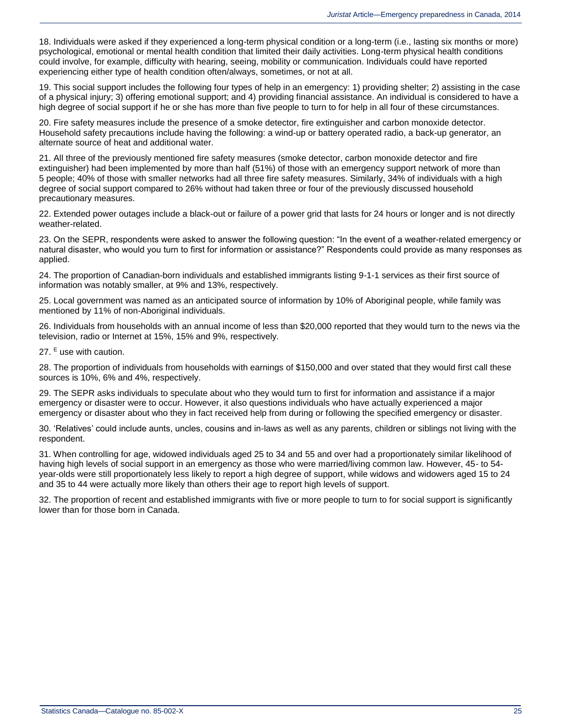18. Individuals were asked if they experienced a long-term physical condition or a long-term (i.e., lasting six months or more) psychological, emotional or mental health condition that limited their daily activities. Long-term physical health conditions could involve, for example, difficulty with hearing, seeing, mobility or communication. Individuals could have reported experiencing either type of health condition often/always, sometimes, or not at all.

19. This social support includes the following four types of help in an emergency: 1) providing shelter; 2) assisting in the case of a physical injury; 3) offering emotional support; and 4) providing financial assistance. An individual is considered to have a high degree of social support if he or she has more than five people to turn to for help in all four of these circumstances.

20. Fire safety measures include the presence of a smoke detector, fire extinguisher and carbon monoxide detector. Household safety precautions include having the following: a wind-up or battery operated radio, a back-up generator, an alternate source of heat and additional water.

21. All three of the previously mentioned fire safety measures (smoke detector, carbon monoxide detector and fire extinguisher) had been implemented by more than half (51%) of those with an emergency support network of more than 5 people; 40% of those with smaller networks had all three fire safety measures. Similarly, 34% of individuals with a high degree of social support compared to 26% without had taken three or four of the previously discussed household precautionary measures.

22. Extended power outages include a black-out or failure of a power grid that lasts for 24 hours or longer and is not directly weather-related.

23. On the SEPR, respondents were asked to answer the following question: "In the event of a weather-related emergency or natural disaster, who would you turn to first for information or assistance?" Respondents could provide as many responses as applied.

24. The proportion of Canadian-born individuals and established immigrants listing 9-1-1 services as their first source of information was notably smaller, at 9% and 13%, respectively.

25. Local government was named as an anticipated source of information by 10% of Aboriginal people, while family was mentioned by 11% of non-Aboriginal individuals.

26. Individuals from households with an annual income of less than \$20,000 reported that they would turn to the news via the television, radio or Internet at 15%, 15% and 9%, respectively.

27.  $E$  use with caution.

28. The proportion of individuals from households with earnings of \$150,000 and over stated that they would first call these sources is 10%, 6% and 4%, respectively.

29. The SEPR asks individuals to speculate about who they would turn to first for information and assistance if a major emergency or disaster were to occur. However, it also questions individuals who have actually experienced a major emergency or disaster about who they in fact received help from during or following the specified emergency or disaster.

30. 'Relatives' could include aunts, uncles, cousins and in-laws as well as any parents, children or siblings not living with the respondent.

31. When controlling for age, widowed individuals aged 25 to 34 and 55 and over had a proportionately similar likelihood of having high levels of social support in an emergency as those who were married/living common law. However, 45- to 54 year-olds were still proportionately less likely to report a high degree of support, while widows and widowers aged 15 to 24 and 35 to 44 were actually more likely than others their age to report high levels of support.

32. The proportion of recent and established immigrants with five or more people to turn to for social support is significantly lower than for those born in Canada.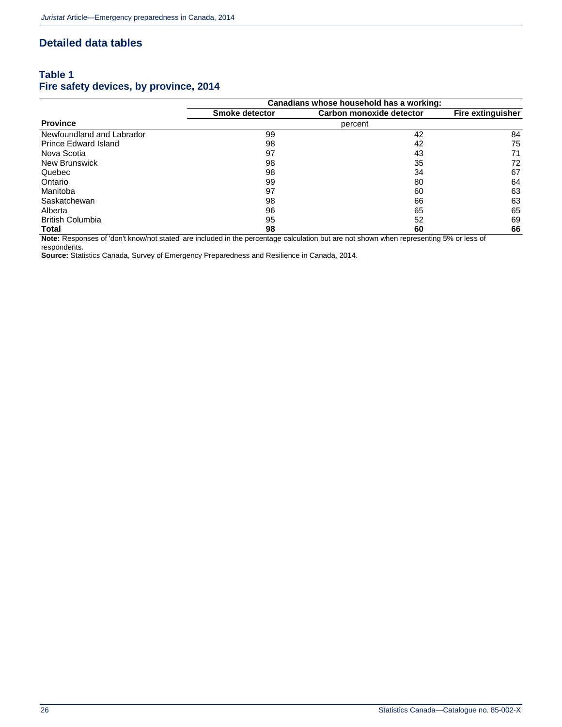### **Detailed data tables**

### **Table 1 Fire safety devices, by province, 2014**

|                             |                | Canadians whose household has a working: |    |  |  |
|-----------------------------|----------------|------------------------------------------|----|--|--|
|                             | Smoke detector | Carbon monoxide detector                 |    |  |  |
| <b>Province</b>             |                | percent                                  |    |  |  |
| Newfoundland and Labrador   | 99             | 42                                       | 84 |  |  |
| <b>Prince Edward Island</b> | 98             | 42                                       | 75 |  |  |
| Nova Scotia                 | 97             | 43                                       | 71 |  |  |
| <b>New Brunswick</b>        | 98             | 35                                       | 72 |  |  |
| Quebec                      | 98             | 34                                       | 67 |  |  |
| Ontario                     | 99             | 80                                       | 64 |  |  |
| Manitoba                    | 97             | 60                                       | 63 |  |  |
| Saskatchewan                | 98             | 66                                       | 63 |  |  |
| Alberta                     | 96             | 65                                       | 65 |  |  |
| <b>British Columbia</b>     | 95             | 52                                       | 69 |  |  |
| Total                       | 98             | 60                                       | 66 |  |  |

**Note:** Responses of 'don't know/not stated' are included in the percentage calculation but are not shown when representing 5% or less of respondents.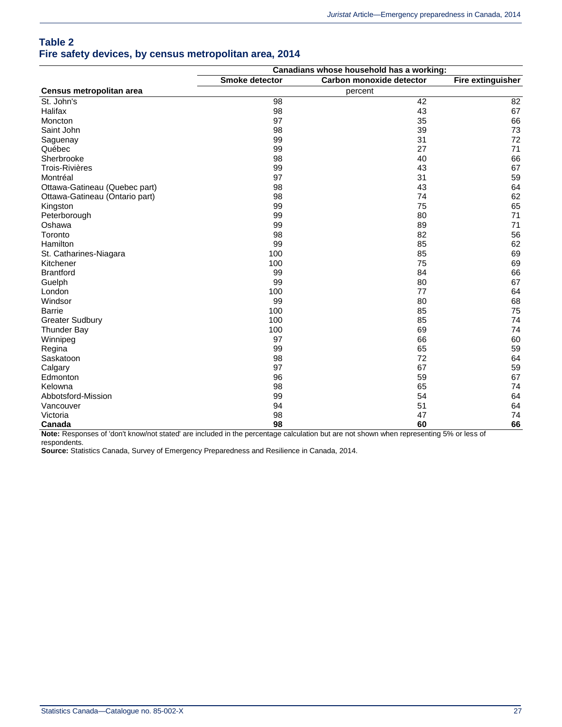### **Table 2 Fire safety devices, by census metropolitan area, 2014**

|                                                                          |                 | Canadians whose household has a working: |                   |
|--------------------------------------------------------------------------|-----------------|------------------------------------------|-------------------|
|                                                                          | Smoke detector  | Carbon monoxide detector                 | Fire extinguisher |
| Census metropolitan area                                                 |                 | percent                                  |                   |
| St. John's                                                               | 98              | 42                                       | 82                |
| Halifax                                                                  | 98              | 43                                       | 67                |
| Moncton                                                                  | 97              | 35                                       | 66                |
| Saint John                                                               | 98              | 39                                       | 73                |
| Saguenay                                                                 | 99              | 31                                       | 72                |
| Québec                                                                   | 99              | 27                                       | 71                |
| Sherbrooke                                                               | 98              | 40                                       | 66                |
| <b>Trois-Rivières</b>                                                    | 99              | 43                                       | 67                |
| Montréal                                                                 | 97              | 31                                       | 59                |
| Ottawa-Gatineau (Quebec part)                                            | 98              | 43                                       | 64                |
| Ottawa-Gatineau (Ontario part)                                           | 98              | 74                                       | 62                |
| Kingston                                                                 | 99              | 75                                       | 65                |
| Peterborough                                                             | 99              | 80                                       | 71                |
| Oshawa                                                                   | 99              | 89                                       | 71                |
| Toronto                                                                  | 98              | 82                                       | 56                |
| Hamilton                                                                 | 99              | 85                                       | 62                |
| St. Catharines-Niagara                                                   | 100             | 85                                       | 69                |
| Kitchener                                                                | 100             | 75                                       | 69                |
| <b>Brantford</b>                                                         | 99              | 84                                       | 66                |
| Guelph                                                                   | 99              | 80                                       | 67                |
| London                                                                   | 100             | 77                                       | 64                |
| Windsor                                                                  | 99              | 80                                       | 68                |
| <b>Barrie</b>                                                            | 100             | 85                                       | 75                |
| <b>Greater Sudbury</b>                                                   | 100             | 85                                       | 74                |
| <b>Thunder Bay</b>                                                       | 100             | 69                                       | 74                |
| Winnipeg                                                                 | 97              | 66                                       | 60                |
| Regina                                                                   | 99              | 65                                       | 59                |
| Saskatoon                                                                | 98              | 72                                       | 64                |
| Calgary                                                                  | 97              | 67                                       | 59                |
| Edmonton                                                                 | 96              | 59                                       | 67                |
| Kelowna                                                                  | 98              | 65                                       | 74                |
| Abbotsford-Mission                                                       | 99              | 54                                       | 64                |
| Vancouver                                                                | 94              | 51                                       | 64                |
| Victoria                                                                 | 98              | 47                                       | 74                |
| Canada<br>Nata: Deparange of Idealt Impuring tatated are included in the | 98<br>$\ddotsc$ | 60<br>ممثغمان بملم                       | 66<br>$\sim$      |

**Note:** Responses of 'don't know/not stated' are included in the percentage calculation but are not shown when representing 5% or less of respondents.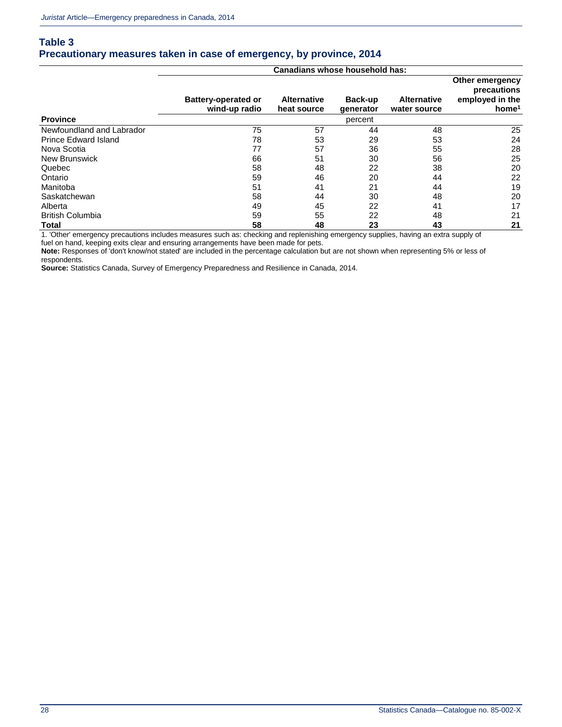### **Table 3 Precautionary measures taken in case of emergency, by province, 2014**

|                             |                                             | Canadians whose household has:    |                      |                                    |                                                                        |
|-----------------------------|---------------------------------------------|-----------------------------------|----------------------|------------------------------------|------------------------------------------------------------------------|
|                             | <b>Battery-operated or</b><br>wind-up radio | <b>Alternative</b><br>heat source | Back-up<br>qenerator | <b>Alternative</b><br>water source | Other emergency<br>precautions<br>employed in the<br>home <sup>1</sup> |
| <b>Province</b>             |                                             |                                   | percent              |                                    |                                                                        |
| Newfoundland and Labrador   | 75                                          | 57                                | 44                   | 48                                 | 25                                                                     |
| <b>Prince Edward Island</b> | 78                                          | 53                                | 29                   | 53                                 | 24                                                                     |
| Nova Scotia                 | 77                                          | 57                                | 36                   | 55                                 | 28                                                                     |
| <b>New Brunswick</b>        | 66                                          | 51                                | 30                   | 56                                 | 25                                                                     |
| Quebec                      | 58                                          | 48                                | 22                   | 38                                 | 20                                                                     |
| Ontario                     | 59                                          | 46                                | 20                   | 44                                 | 22                                                                     |
| Manitoba                    | 51                                          | 41                                | 21                   | 44                                 | 19                                                                     |
| Saskatchewan                | 58                                          | 44                                | 30                   | 48                                 | 20                                                                     |
| Alberta                     | 49                                          | 45                                | 22                   | 41                                 | 17                                                                     |
| <b>British Columbia</b>     | 59                                          | 55                                | 22                   | 48                                 | 21                                                                     |
| Total                       | 58                                          | 48                                | 23                   | 43                                 | 21                                                                     |

1. 'Other' emergency precautions includes measures such as: checking and replenishing emergency supplies, having an extra supply of

fuel on hand, keeping exits clear and ensuring arrangements have been made for pets.

**Note:** Responses of 'don't know/not stated' are included in the percentage calculation but are not shown when representing 5% or less of respondents.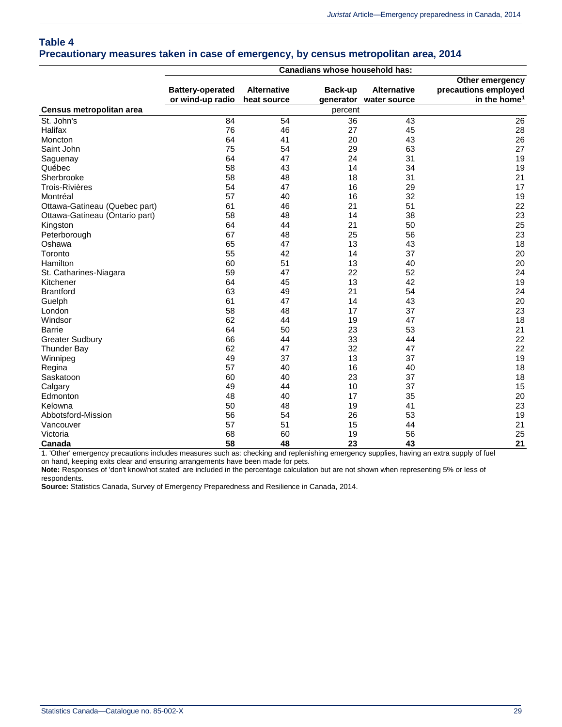### **Table 4 Precautionary measures taken in case of emergency, by census metropolitan area, 2014**

|                                |                         |                    | Canadians whose household has: |                        |                          |
|--------------------------------|-------------------------|--------------------|--------------------------------|------------------------|--------------------------|
|                                |                         |                    |                                |                        | Other emergency          |
|                                | <b>Battery-operated</b> | <b>Alternative</b> | Back-up                        | <b>Alternative</b>     | precautions employed     |
|                                | or wind-up radio        | heat source        |                                | generator water source | in the home <sup>1</sup> |
| Census metropolitan area       |                         |                    | percent                        |                        |                          |
| St. John's                     | 84                      | 54                 | 36                             | 43                     | 26                       |
| Halifax                        | 76                      | 46                 | 27                             | 45                     | 28                       |
| Moncton                        | 64                      | 41                 | 20                             | 43                     | 26                       |
| Saint John                     | 75                      | 54                 | 29                             | 63                     | 27                       |
| Saguenay                       | 64                      | 47                 | 24                             | 31                     | 19                       |
| Québec                         | 58                      | 43                 | 14                             | 34                     | 19                       |
| Sherbrooke                     | 58                      | 48                 | 18                             | 31                     | 21                       |
| <b>Trois-Rivières</b>          | 54                      | 47                 | 16                             | 29                     | 17                       |
| Montréal                       | 57                      | 40                 | 16                             | 32                     | 19                       |
| Ottawa-Gatineau (Quebec part)  | 61                      | 46                 | 21                             | 51                     | 22                       |
| Ottawa-Gatineau (Ontario part) | 58                      | 48                 | 14                             | 38                     | 23                       |
| Kingston                       | 64                      | 44                 | 21                             | 50                     | 25                       |
| Peterborough                   | 67                      | 48                 | 25                             | 56                     | 23                       |
| Oshawa                         | 65                      | 47                 | 13                             | 43                     | 18                       |
| Toronto                        | 55                      | 42                 | 14                             | 37                     | 20                       |
| Hamilton                       | 60                      | 51                 | 13                             | 40                     | 20                       |
| St. Catharines-Niagara         | 59                      | 47                 | 22                             | 52                     | 24                       |
| Kitchener                      | 64                      | 45                 | 13                             | 42                     | 19                       |
| <b>Brantford</b>               | 63                      | 49                 | 21                             | 54                     | 24                       |
| Guelph                         | 61                      | 47                 | 14                             | 43                     | 20                       |
| London                         | 58                      | 48                 | 17                             | 37                     | 23                       |
| Windsor                        | 62                      | 44                 | 19                             | 47                     | 18                       |
| <b>Barrie</b>                  | 64                      | 50                 | 23                             | 53                     | 21                       |
| <b>Greater Sudbury</b>         | 66                      | 44                 | 33                             | 44                     | 22                       |
| <b>Thunder Bay</b>             | 62                      | 47                 | 32                             | 47                     | 22                       |
| Winnipeg                       | 49                      | 37                 | 13                             | 37                     | 19                       |
| Regina                         | 57                      | 40                 | 16                             | 40                     | 18                       |
| Saskatoon                      | 60                      | 40                 | 23                             | 37                     | 18                       |
| Calgary                        | 49                      | 44                 | 10                             | 37                     | 15                       |
| Edmonton                       | 48                      | 40                 | 17                             | 35                     | 20                       |
| Kelowna                        | 50                      | 48                 | 19                             | 41                     | 23                       |
| Abbotsford-Mission             | 56                      | 54                 | 26                             | 53                     | 19                       |
| Vancouver                      | 57                      | 51                 | 15                             | 44                     | 21                       |
| Victoria                       | 68                      | 60                 | 19                             | 56                     | 25                       |
| Canada                         | 58                      | 48                 | 23                             | 43                     | 21                       |

1. 'Other' emergency precautions includes measures such as: checking and replenishing emergency supplies, having an extra supply of fuel

on hand, keeping exits clear and ensuring arrangements have been made for pets.

**Note:** Responses of 'don't know/not stated' are included in the percentage calculation but are not shown when representing 5% or less of respondents.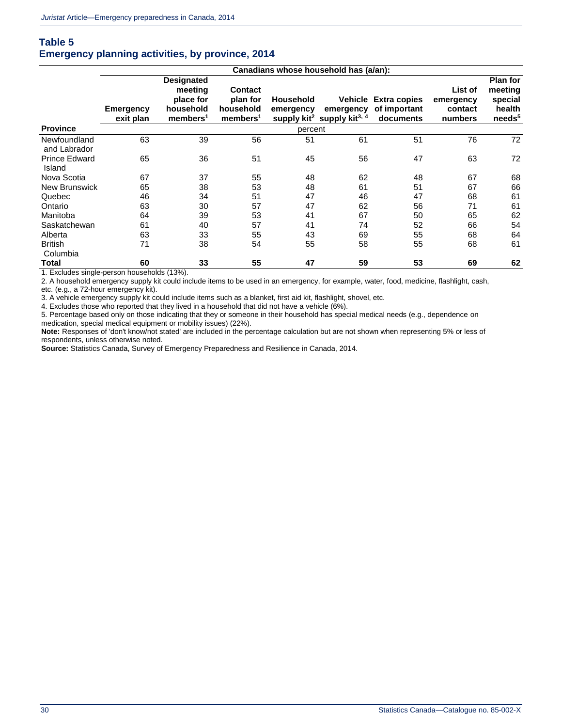### **Table 5 Emergency planning activities, by province, 2014**

|                                |                        |                                                                                |                                                                 |                               | Canadians whose household has (a/an):                           |                                                   |                                            |                                                                       |
|--------------------------------|------------------------|--------------------------------------------------------------------------------|-----------------------------------------------------------------|-------------------------------|-----------------------------------------------------------------|---------------------------------------------------|--------------------------------------------|-----------------------------------------------------------------------|
|                                | Emergency<br>exit plan | <b>Designated</b><br>meeting<br>place for<br>household<br>members <sup>1</sup> | <b>Contact</b><br>plan for<br>household<br>members <sup>1</sup> | <b>Household</b><br>emergency | emergency<br>supply kit <sup>2</sup> supply kit <sup>3, 4</sup> | Vehicle Extra copies<br>of important<br>documents | List of<br>emergency<br>contact<br>numbers | <b>Plan for</b><br>meeting<br>special<br>health<br>needs <sup>5</sup> |
| <b>Province</b>                |                        |                                                                                |                                                                 | percent                       |                                                                 |                                                   |                                            |                                                                       |
| Newfoundland<br>and Labrador   | 63                     | 39                                                                             | 56                                                              | 51                            | 61                                                              | 51                                                | 76                                         | 72                                                                    |
| <b>Prince Edward</b><br>Island | 65                     | 36                                                                             | 51                                                              | 45                            | 56                                                              | 47                                                | 63                                         | 72                                                                    |
| Nova Scotia                    | 67                     | 37                                                                             | 55                                                              | 48                            | 62                                                              | 48                                                | 67                                         | 68                                                                    |
| New Brunswick                  | 65                     | 38                                                                             | 53                                                              | 48                            | 61                                                              | 51                                                | 67                                         | 66                                                                    |
| Quebec                         | 46                     | 34                                                                             | 51                                                              | 47                            | 46                                                              | 47                                                | 68                                         | 61                                                                    |
| Ontario                        | 63                     | 30                                                                             | 57                                                              | 47                            | 62                                                              | 56                                                | 71                                         | 61                                                                    |
| Manitoba                       | 64                     | 39                                                                             | 53                                                              | 41                            | 67                                                              | 50                                                | 65                                         | 62                                                                    |
| Saskatchewan                   | 61                     | 40                                                                             | 57                                                              | 41                            | 74                                                              | 52                                                | 66                                         | 54                                                                    |
| Alberta                        | 63                     | 33                                                                             | 55                                                              | 43                            | 69                                                              | 55                                                | 68                                         | 64                                                                    |
| <b>British</b><br>Columbia     | 71                     | 38                                                                             | 54                                                              | 55                            | 58                                                              | 55                                                | 68                                         | 61                                                                    |
| Total                          | 60                     | 33                                                                             | 55                                                              | 47                            | 59                                                              | 53                                                | 69                                         | 62                                                                    |

1. Excludes single-person households (13%).

2. A household emergency supply kit could include items to be used in an emergency, for example, water, food, medicine, flashlight, cash, etc. (e.g., a 72-hour emergency kit).

3. A vehicle emergency supply kit could include items such as a blanket, first aid kit, flashlight, shovel, etc.

4. Excludes those who reported that they lived in a household that did not have a vehicle (6%).

5. Percentage based only on those indicating that they or someone in their household has special medical needs (e.g., dependence on medication, special medical equipment or mobility issues) (22%).

**Note:** Responses of 'don't know/not stated' are included in the percentage calculation but are not shown when representing 5% or less of respondents, unless otherwise noted.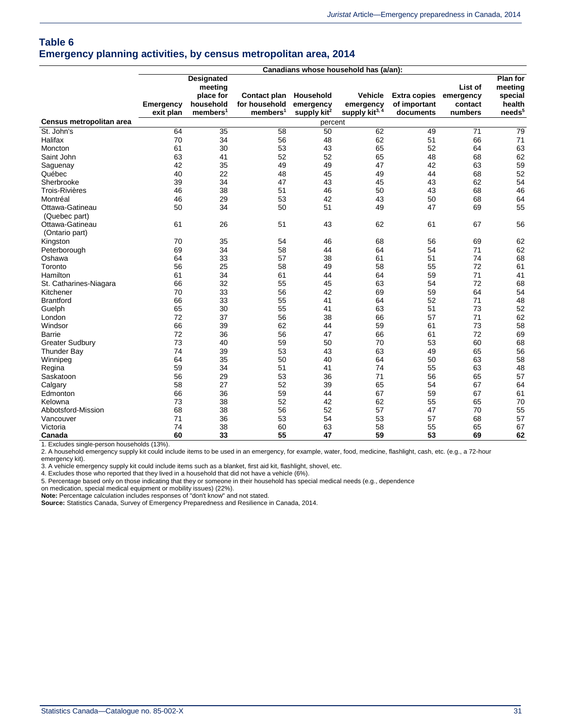### **Table 6 Emergency planning activities, by census metropolitan area, 2014**

|                          | Canadians whose household has (a/an): |                      |                      |                |                            |                     |           |                    |
|--------------------------|---------------------------------------|----------------------|----------------------|----------------|----------------------------|---------------------|-----------|--------------------|
|                          |                                       | <b>Designated</b>    |                      |                |                            |                     |           | <b>Plan for</b>    |
|                          |                                       | meeting              |                      |                |                            |                     | List of   | meeting            |
|                          |                                       | place for            | Contact plan         | Household      | <b>Vehicle</b>             | <b>Extra copies</b> | emergency | special            |
|                          | Emergency                             | household            | for household        | emergency      | emergency                  | of important        | contact   | health             |
|                          | exit plan                             | members <sup>1</sup> | members <sup>1</sup> | supply $kit^2$ | supply kit <sup>3, 4</sup> | documents           | numbers   | needs <sup>5</sup> |
| Census metropolitan area |                                       |                      |                      | percent        |                            |                     |           |                    |
| St. John's               | 64                                    | 35                   | 58                   | 50             | 62                         | 49                  | 71        | 79                 |
| Halifax                  | 70                                    | 34                   | 56                   | 48             | 62                         | 51                  | 66        | 71                 |
| Moncton                  | 61                                    | 30                   | 53                   | 43             | 65                         | 52                  | 64        | 63                 |
| Saint John               | 63                                    | 41                   | 52                   | 52             | 65                         | 48                  | 68        | 62                 |
| Saguenay                 | 42                                    | 35                   | 49                   | 49             | 47                         | 42                  | 63        | 59                 |
| Québec                   | 40                                    | 22                   | 48                   | 45             | 49                         | 44                  | 68        | 52                 |
| Sherbrooke               | 39                                    | 34                   | 47                   | 43             | 45                         | 43                  | 62        | 54                 |
| <b>Trois-Rivières</b>    | 46                                    | 38                   | 51                   | 46             | 50                         | 43                  | 68        | 46                 |
| Montréal                 | 46                                    | 29                   | 53                   | 42             | 43                         | 50                  | 68        | 64                 |
| Ottawa-Gatineau          | 50                                    | 34                   | 50                   | 51             | 49                         | 47                  | 69        | 55                 |
| (Quebec part)            |                                       |                      |                      |                |                            |                     |           |                    |
| Ottawa-Gatineau          | 61                                    | 26                   | 51                   | 43             | 62                         | 61                  | 67        | 56                 |
| (Ontario part)           |                                       |                      |                      |                |                            |                     |           |                    |
| Kingston                 | 70                                    | 35                   | 54                   | 46             | 68                         | 56                  | 69        | 62                 |
| Peterborough             | 69                                    | 34                   | 58                   | 44             | 64                         | 54                  | 71        | 62                 |
| Oshawa                   | 64                                    | 33                   | 57                   | 38             | 61                         | 51                  | 74        | 68                 |
| Toronto                  | 56                                    | 25                   | 58                   | 49             | 58                         | 55                  | 72        | 61                 |
| Hamilton                 | 61                                    | 34                   | 61                   | 44             | 64                         | 59                  | 71        | 41                 |
| St. Catharines-Niagara   | 66                                    | 32                   | 55                   | 45             | 63                         | 54                  | 72        | 68                 |
| Kitchener                | 70                                    | 33                   | 56                   | 42             | 69                         | 59                  | 64        | 54                 |
| <b>Brantford</b>         | 66                                    | 33                   | 55                   | 41             | 64                         | 52                  | 71        | 48                 |
| Guelph                   | 65                                    | 30                   | 55                   | 41             | 63                         | 51                  | 73        | 52                 |
| London                   | 72                                    | 37                   | 56                   | 38             | 66                         | 57                  | 71        | 62                 |
| Windsor                  | 66                                    | 39                   | 62                   | 44             | 59                         | 61                  | 73        | 58                 |
| Barrie                   | 72                                    | 36                   | 56                   | 47             | 66                         | 61                  | 72        | 69                 |
| <b>Greater Sudbury</b>   | 73                                    | 40                   | 59                   | 50             | 70                         | 53                  | 60        | 68                 |
| <b>Thunder Bay</b>       | 74                                    | 39                   | 53                   | 43             | 63                         | 49                  | 65        | 56                 |
| Winnipeg                 | 64                                    | 35                   | 50                   | 40             | 64                         | 50                  | 63        | 58                 |
| Regina                   | 59                                    | 34                   | 51                   | 41             | 74                         | 55                  | 63        | 48                 |
| Saskatoon                | 56                                    | 29                   | 53                   | 36             | 71                         | 56                  | 65        | 57                 |
| Calgary                  | 58                                    | 27                   | 52                   | 39             | 65                         | 54                  | 67        | 64                 |
| Edmonton                 | 66                                    | 36                   | 59                   | 44             | 67                         | 59                  | 67        | 61                 |
| Kelowna                  | 73                                    | 38                   | 52                   | 42             | 62                         | 55                  | 65        | 70                 |
| Abbotsford-Mission       | 68                                    | 38                   | 56                   | 52             | 57                         | 47                  | 70        | 55                 |
| Vancouver                | 71                                    | 36                   | 53                   | 54             | 53                         | 57                  | 68        | 57                 |
| Victoria                 | 74                                    | 38                   | 60                   | 63             | 58                         | 55                  | 65        | 67                 |
| Canada                   | 60                                    | 33                   | 55                   | 47             | 59                         | 53                  | 69        | 62                 |

1. Excludes single-person households (13%).

2. A household emergency supply kit could include items to be used in an emergency, for example, water, food, medicine, flashlight, cash, etc. (e.g., a 72-hour emergency kit).

3. A vehicle emergency supply kit could include items such as a blanket, first aid kit, flashlight, shovel, etc. 4. Excludes those who reported that they lived in a household that did not have a vehicle (6%).

5. Percentage based only on those indicating that they or someone in their household has special medical needs (e.g., dependence

on medication, special medical equipment or mobility issues) (22%).

**Note:** Percentage calculation includes responses of "don't know" and not stated.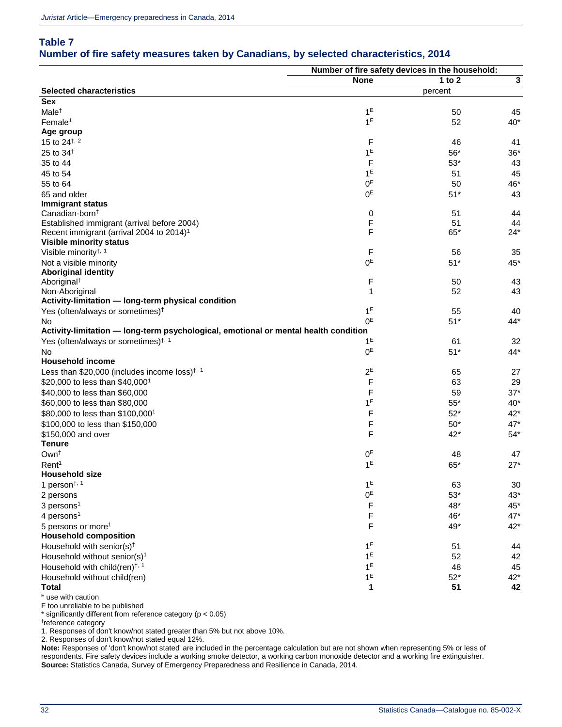### **Table 7 Number of fire safety measures taken by Canadians, by selected characteristics, 2014**

|                                                                                     | Number of fire safety devices in the household: |             |             |
|-------------------------------------------------------------------------------------|-------------------------------------------------|-------------|-------------|
|                                                                                     | <b>None</b>                                     | 1 to $2$    | $\mathbf 3$ |
| <b>Selected characteristics</b>                                                     |                                                 | percent     |             |
| <b>Sex</b>                                                                          |                                                 |             |             |
| Male <sup>t</sup>                                                                   | 1 <sup>E</sup>                                  | 50          | 45          |
| Female <sup>1</sup>                                                                 | 1 <sup>E</sup>                                  | 52          | $40*$       |
| Age group                                                                           |                                                 |             |             |
| 15 to $24^{+,2}$                                                                    | F                                               | 46          | 41          |
| 25 to 34 <sup>t</sup>                                                               | 1 <sup>E</sup>                                  | 56*         | $36*$       |
| 35 to 44                                                                            | F                                               | $53^{\ast}$ | 43          |
| 45 to 54                                                                            | 1 <sup>E</sup>                                  | 51          | 45          |
| 55 to 64                                                                            | 0 <sup>E</sup>                                  | 50          | 46*         |
| 65 and older                                                                        | 0 <sup>E</sup>                                  | $51*$       | 43          |
| <b>Immigrant status</b>                                                             |                                                 |             |             |
| Canadian-born <sup>t</sup>                                                          | 0                                               | 51          | 44          |
| Established immigrant (arrival before 2004)                                         | F                                               | 51          | 44          |
| Recent immigrant (arrival 2004 to 2014) <sup>1</sup>                                | F                                               | $65*$       | $24*$       |
| <b>Visible minority status</b>                                                      |                                                 |             |             |
| Visible minority <sup>†, 1</sup>                                                    | F                                               | 56          | 35          |
| Not a visible minority                                                              | 0 <sup>E</sup>                                  | $51*$       | 45*         |
| <b>Aboriginal identity</b>                                                          |                                                 |             |             |
| Aboriginal <sup>+</sup>                                                             | F                                               | 50          | 43          |
| Non-Aboriginal                                                                      | 1                                               | 52          | 43          |
| Activity-limitation - long-term physical condition                                  |                                                 |             |             |
| Yes (often/always or sometimes) <sup>†</sup>                                        | 1 <sup>E</sup>                                  | 55          | 40          |
| No                                                                                  | 0 <sup>E</sup>                                  | $51*$       | $44*$       |
| Activity-limitation - long-term psychological, emotional or mental health condition |                                                 |             |             |
| Yes (often/always or sometimes) <sup>†, 1</sup>                                     | 1 <sup>E</sup>                                  | 61          | 32          |
| No.                                                                                 | 0 <sup>E</sup>                                  | $51*$       | $44*$       |
| <b>Household income</b>                                                             |                                                 |             |             |
| Less than \$20,000 (includes income loss) <sup><math>\dagger</math>, 1</sup>        | $2^E$                                           | 65          | 27          |
| \$20,000 to less than \$40,000 <sup>1</sup>                                         | F                                               | 63          | 29          |
| \$40,000 to less than \$60,000                                                      | F                                               | 59          | $37*$       |
| \$60,000 to less than \$80,000                                                      | $1^E$                                           | $55*$       | $40*$       |
| \$80,000 to less than \$100,000 <sup>1</sup>                                        | F                                               | $52*$       | $42*$       |
| \$100,000 to less than \$150,000                                                    | F                                               | $50*$       | $47*$       |
| \$150,000 and over                                                                  | F                                               | $42*$       | $54*$       |
| <b>Tenure</b>                                                                       |                                                 |             |             |
| Own <sup>t</sup>                                                                    | 0 <sup>E</sup>                                  | 48          | 47          |
| Rent <sup>1</sup>                                                                   | 1 <sup>E</sup>                                  | $65*$       | $27*$       |
| Household size                                                                      |                                                 |             |             |
| 1 person <sup><math>\dagger</math>, 1</sup>                                         | 1 <sup>E</sup>                                  | 63          | 30          |
| 2 persons                                                                           | 0 <sup>E</sup>                                  | $53*$       | $43*$       |
| $3$ persons <sup>1</sup>                                                            | F                                               | 48*         | 45*         |
|                                                                                     | F                                               | 46*         | $47*$       |
| 4 persons <sup>1</sup>                                                              |                                                 |             |             |
| 5 persons or more <sup>1</sup>                                                      | F                                               | 49*         | $42*$       |
| <b>Household composition</b>                                                        |                                                 |             |             |
| Household with senior(s) <sup>†</sup>                                               | 1 <sup>E</sup>                                  | 51          | 44          |
| Household without senior(s) <sup>1</sup>                                            | 1 <sup>E</sup>                                  | 52          | 42          |
| Household with child(ren) <sup><math>\dagger</math>, 1</sup>                        | 1 <sup>E</sup>                                  | 48          | 45          |
| Household without child(ren)                                                        | 1 <sup>E</sup>                                  | $52*$       | $42*$       |
| Total                                                                               | 1                                               | 51          | 42          |

use with caution F too unreliable to be published

\* significantly different from reference category (p < 0.05)

† reference category

1. Responses of don't know/not stated greater than 5% but not above 10%.

2. Responses of don't know/not stated equal 12%.

**Note:** Responses of 'don't know/not stated' are included in the percentage calculation but are not shown when representing 5% or less of respondents. Fire safety devices include a working smoke detector, a working carbon monoxide detector and a working fire extinguisher. **Source:** Statistics Canada, Survey of Emergency Preparedness and Resilience in Canada, 2014.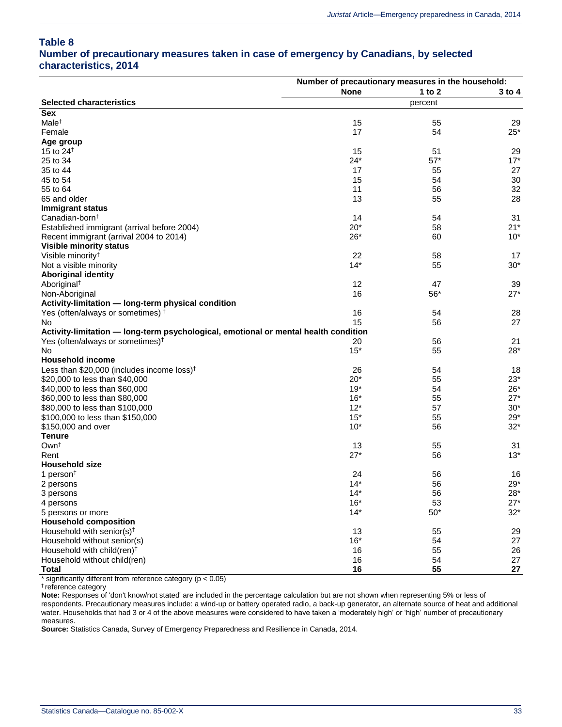#### **Table 8**

### **Number of precautionary measures taken in case of emergency by Canadians, by selected characteristics, 2014**

|                                                                                     | Number of precautionary measures in the household: |          |                     |
|-------------------------------------------------------------------------------------|----------------------------------------------------|----------|---------------------|
|                                                                                     | <b>None</b>                                        | 1 to $2$ | $3$ to $4$          |
| <b>Selected characteristics</b>                                                     |                                                    | percent  |                     |
| <b>Sex</b>                                                                          |                                                    |          |                     |
| Male <sup>+</sup>                                                                   | 15                                                 | 55       | 29                  |
| Female                                                                              | 17                                                 | 54       | $25*$               |
| Age group                                                                           |                                                    |          |                     |
| 15 to $24†$                                                                         | 15                                                 | 51       | 29                  |
| 25 to 34                                                                            | $24*$                                              | $57*$    | $17*$               |
| 35 to 44                                                                            | 17                                                 | 55       | 27                  |
| 45 to 54                                                                            | 15                                                 | 54       | 30                  |
| 55 to 64                                                                            | 11                                                 | 56       | 32                  |
| 65 and older                                                                        | 13                                                 | 55       | 28                  |
| <b>Immigrant status</b>                                                             |                                                    |          |                     |
| Canadian-born <sup>t</sup>                                                          | 14                                                 | 54       | 31                  |
| Established immigrant (arrival before 2004)                                         | $20*$                                              | 58       | $21*$               |
| Recent immigrant (arrival 2004 to 2014)                                             | $26*$                                              | 60       | $10*$               |
| <b>Visible minority status</b>                                                      |                                                    |          |                     |
| Visible minority <sup>†</sup>                                                       | 22                                                 | 58       | 17                  |
| Not a visible minority                                                              | $14*$                                              | 55       | $30*$               |
| <b>Aboriginal identity</b>                                                          |                                                    |          |                     |
| Aboriginal <sup>+</sup>                                                             | 12                                                 | 47       | 39                  |
| Non-Aboriginal                                                                      | 16                                                 | $56*$    | $27*$               |
| Activity-limitation - long-term physical condition                                  |                                                    |          |                     |
| Yes (often/always or sometimes) <sup>†</sup>                                        | 16                                                 | 54       | 28                  |
| No.                                                                                 | 15                                                 | 56       | 27                  |
| Activity-limitation - long-term psychological, emotional or mental health condition |                                                    |          |                     |
| Yes (often/always or sometimes) <sup>†</sup>                                        | 20                                                 | 56       | 21                  |
| No                                                                                  | $15*$                                              | 55       | $28*$               |
| <b>Household income</b>                                                             |                                                    |          |                     |
| Less than $$20,000$ (includes income loss) <sup>†</sup>                             | 26                                                 | 54       | 18                  |
| \$20,000 to less than \$40,000                                                      | $20*$                                              | 55       | $23*$               |
| \$40,000 to less than \$60,000                                                      | $19*$                                              | 54       | $26*$               |
| \$60,000 to less than \$80,000                                                      | $16*$                                              | 55       | $27*$               |
| \$80,000 to less than \$100,000                                                     | $12*$                                              | 57       | $30*$               |
| \$100,000 to less than \$150,000                                                    | $15*$                                              | 55       | $29*$               |
| \$150,000 and over                                                                  | $10*$                                              | 56       | $32*$               |
| <b>Tenure</b>                                                                       |                                                    |          |                     |
| Own <sup>+</sup>                                                                    | 13                                                 | 55       | 31                  |
| Rent                                                                                | $27*$                                              | 56       | $13*$               |
| <b>Household size</b>                                                               |                                                    |          |                     |
| 1 person <sup><math>\dagger</math></sup>                                            | 24                                                 | 56       | 16                  |
| 2 persons                                                                           | $14*$                                              | 56       | $29*$               |
|                                                                                     |                                                    |          |                     |
| 3 persons<br>4 persons                                                              | $14*$<br>$16*$                                     | 56<br>53 | 28*<br>$27^{\star}$ |
|                                                                                     | $14*$                                              | $50*$    | $32*$               |
| 5 persons or more                                                                   |                                                    |          |                     |
| <b>Household composition</b>                                                        |                                                    |          |                     |
| Household with senior(s) <sup>t</sup>                                               | 13                                                 | 55       | 29                  |
| Household without senior(s)                                                         | $16*$                                              | 54       | 27                  |
| Household with child(ren) <sup>†</sup>                                              | 16                                                 | 55       | 26                  |
| Household without child(ren)                                                        | 16                                                 | 54       | 27                  |
| <b>Total</b>                                                                        | 16                                                 | 55       | 27                  |

significantly different from reference category ( $p < 0.05$ )

† reference category

**Note:** Responses of 'don't know/not stated' are included in the percentage calculation but are not shown when representing 5% or less of respondents. Precautionary measures include: a wind-up or battery operated radio, a back-up generator, an alternate source of heat and additional water. Households that had 3 or 4 of the above measures were considered to have taken a 'moderately high' or 'high' number of precautionary measures.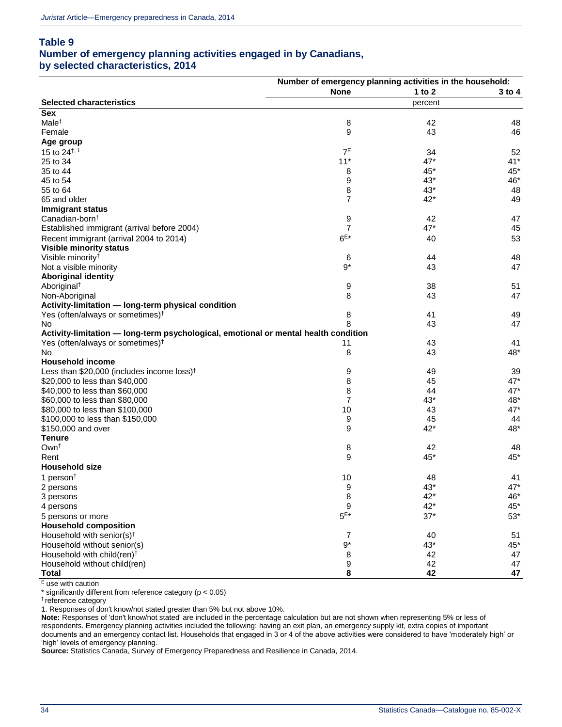### **Table 9**

### **Number of emergency planning activities engaged in by Canadians,**

**by selected characteristics, 2014**

|                                                                                     | Number of emergency planning activities in the household: |          |            |
|-------------------------------------------------------------------------------------|-----------------------------------------------------------|----------|------------|
|                                                                                     | <b>None</b>                                               | 1 to $2$ | $3$ to $4$ |
| <b>Selected characteristics</b>                                                     |                                                           | percent  |            |
| <b>Sex</b>                                                                          |                                                           |          |            |
| Male <sup>t</sup>                                                                   | 8                                                         | 42       | 48         |
| Female                                                                              | 9                                                         | 43       | 46         |
| Age group                                                                           |                                                           |          |            |
| 15 to $24^{+, 1}$                                                                   | $7^E$                                                     | 34       | 52         |
| 25 to 34                                                                            | $11*$                                                     | $47*$    | $41*$      |
| 35 to 44                                                                            | 8                                                         | $45*$    | 45*        |
| 45 to 54                                                                            | 9                                                         | $43*$    | 46*        |
| 55 to 64                                                                            | 8                                                         | $43*$    | 48         |
| 65 and older                                                                        | 7                                                         | $42*$    | 49         |
| <b>Immigrant status</b>                                                             |                                                           |          |            |
| Canadian-born <sup>†</sup>                                                          | 9                                                         | 42       | 47         |
| Established immigrant (arrival before 2004)                                         | 7                                                         | $47*$    | 45         |
| Recent immigrant (arrival 2004 to 2014)                                             | $6E*$                                                     | 40       | 53         |
| <b>Visible minority status</b>                                                      |                                                           |          |            |
| Visible minority <sup>†</sup>                                                       |                                                           | 44       | 48         |
| Not a visible minority                                                              | 6<br>$9*$                                                 | 43       | 47         |
| <b>Aboriginal identity</b>                                                          |                                                           |          |            |
|                                                                                     |                                                           |          |            |
| Aboriginal <sup>+</sup>                                                             | 9<br>8                                                    | 38       | 51         |
| Non-Aboriginal                                                                      |                                                           | 43       | 47         |
| Activity-limitation - long-term physical condition                                  |                                                           |          |            |
| Yes (often/always or sometimes) <sup>†</sup>                                        | 8                                                         | 41       | 49         |
| No.                                                                                 | 8                                                         | 43       | 47         |
| Activity-limitation - long-term psychological, emotional or mental health condition |                                                           |          |            |
| Yes (often/always or sometimes) <sup>†</sup>                                        | 11                                                        | 43       | 41         |
| No.                                                                                 | 8                                                         | 43       | 48*        |
| <b>Household income</b>                                                             |                                                           |          |            |
| Less than \$20,000 (includes income loss) <sup>†</sup>                              | 9                                                         | 49       | 39         |
| \$20,000 to less than \$40,000                                                      | 8                                                         | 45       | 47*        |
| \$40,000 to less than \$60,000                                                      | 8                                                         | 44       | $47*$      |
| \$60,000 to less than \$80,000                                                      | 7                                                         | $43*$    | 48*        |
| \$80,000 to less than \$100,000                                                     | 10                                                        | 43       | $47*$      |
| \$100,000 to less than \$150,000                                                    | 9                                                         | 45       | 44         |
| \$150,000 and over                                                                  | 9                                                         | $42*$    | 48*        |
| <b>Tenure</b>                                                                       |                                                           |          |            |
| Own <sup>t</sup>                                                                    | 8                                                         | 42       | 48         |
| Rent                                                                                | 9                                                         | $45*$    | 45*        |
| <b>Household size</b>                                                               |                                                           |          |            |
| 1 person $†$                                                                        | 10                                                        | 48       | 41         |
| 2 persons                                                                           | 9                                                         | 43*      | $47*$      |
| 3 persons                                                                           | 8                                                         | $42*$    | 46*        |
| 4 persons                                                                           | 9                                                         | $42*$    | $45*$      |
| 5 persons or more                                                                   | $5E*$                                                     | $37*$    | $53*$      |
| <b>Household composition</b>                                                        |                                                           |          |            |
| Household with senior(s) <sup>t</sup>                                               | 7                                                         | 40       | 51         |
| Household without senior(s)                                                         | $9*$                                                      | 43*      | 45*        |
| Household with child(ren) <sup>t</sup>                                              | 8                                                         | 42       | 47         |
| Household without child(ren)                                                        | 9                                                         | 42       | 47         |
| <b>Total</b>                                                                        | 8                                                         | 42       | 47         |

 $E$  use with caution

\* significantly different from reference category (p < 0.05)

† reference category

1. Responses of don't know/not stated greater than 5% but not above 10%.

**Note:** Responses of 'don't know/not stated' are included in the percentage calculation but are not shown when representing 5% or less of respondents. Emergency planning activities included the following: having an exit plan, an emergency supply kit, extra copies of important documents and an emergency contact list. Households that engaged in 3 or 4 of the above activities were considered to have 'moderately high' or 'high' levels of emergency planning.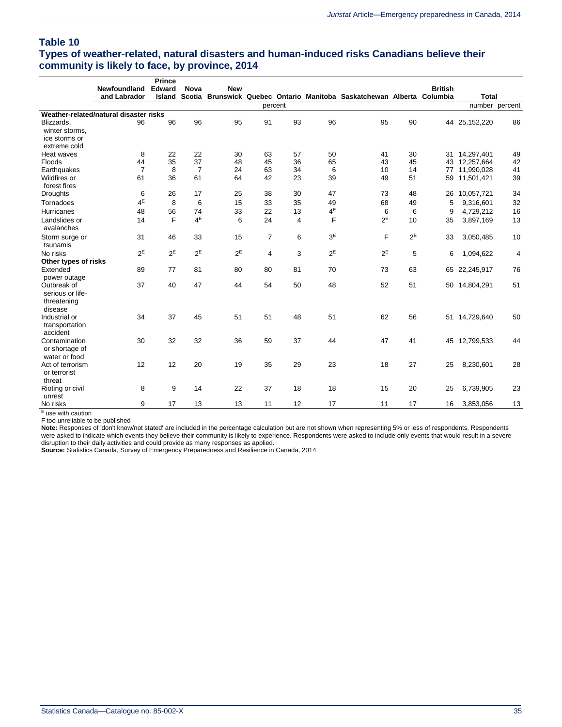#### **Table 10**

### **Types of weather-related, natural disasters and human-induced risks Canadians believe their community is likely to face, by province, 2014**

|                                                           |                                        | <b>Prince</b> |                |            |                |         |                |                                                                 |       |                |               |                |
|-----------------------------------------------------------|----------------------------------------|---------------|----------------|------------|----------------|---------|----------------|-----------------------------------------------------------------|-------|----------------|---------------|----------------|
|                                                           | Newfoundland                           | Edward        | <b>Nova</b>    | <b>New</b> |                |         |                |                                                                 |       | <b>British</b> |               |                |
|                                                           | and Labrador                           | <b>Island</b> | Scotia         |            |                |         |                | Brunswick Quebec Ontario Manitoba Saskatchewan Alberta Columbia |       |                | <b>Total</b>  |                |
|                                                           |                                        |               |                |            |                | percent |                |                                                                 |       |                |               | number percent |
|                                                           | Weather-related/natural disaster risks |               |                |            |                |         |                |                                                                 |       |                |               |                |
| Blizzards,                                                | 96                                     | 96            | 96             | 95         | 91             | 93      | 96             | 95                                                              | 90    |                | 44 25,152,220 | 86             |
| winter storms,                                            |                                        |               |                |            |                |         |                |                                                                 |       |                |               |                |
| ice storms or                                             |                                        |               |                |            |                |         |                |                                                                 |       |                |               |                |
| extreme cold                                              |                                        |               |                |            |                |         |                |                                                                 |       |                |               |                |
| Heat waves                                                | 8                                      | 22            | 22             | 30         | 63             | 57      | 50             | 41                                                              | 30    |                | 31 14,297,401 | 49             |
| Floods                                                    | 44                                     | 35            | 37             | 48         | 45             | 36      | 65             | 43                                                              | 45    |                | 43 12,257,664 | 42             |
| Earthquakes                                               | $\overline{7}$                         | 8             | $\overline{7}$ | 24         | 63             | 34      | 6              | 10                                                              | 14    | 77             | 11,990,028    | 41             |
| Wildfires or                                              | 61                                     | 36            | 61             | 64         | 42             | 23      | 39             | 49                                                              | 51    | 59             | 11,501,421    | 39             |
| forest fires                                              |                                        |               |                |            |                |         |                |                                                                 |       |                |               |                |
| <b>Droughts</b>                                           | 6                                      | 26            | 17             | 25         | 38             | 30      | 47             | 73                                                              | 48    | 26             | 10,057,721    | 34             |
| Tornadoes                                                 | $4^E$                                  | 8             | 6              | 15         | 33             | 35      | 49             | 68                                                              | 49    | 5              | 9,316,601     | 32             |
| <b>Hurricanes</b>                                         | 48                                     | 56            | 74             | 33         | 22             | 13      | 4E             | 6                                                               | 6     | 9              | 4,729,212     | 16             |
| Landslides or                                             | 14                                     | F             | $4^E$          | 6          | 24             | 4       | F              | $2^E$                                                           | 10    | 35             | 3,897,169     | 13             |
| avalanches                                                |                                        |               |                |            |                |         |                |                                                                 |       |                |               |                |
| Storm surge or<br>tsunamis                                | 31                                     | 46            | 33             | 15         | $\overline{7}$ | 6       | 3 <sup>E</sup> | F                                                               | $2^E$ | 33             | 3,050,485     | 10             |
| No risks                                                  | 2E                                     | $2^E$         | $2^E$          | $2^E$      | $\overline{4}$ | 3       | $2^E$          | $2^E$                                                           | 5     | 6              | 1,094,622     | 4              |
| Other types of risks                                      |                                        |               |                |            |                |         |                |                                                                 |       |                |               |                |
| Extended                                                  | 89                                     | 77            | 81             | 80         | 80             | 81      | 70             | 73                                                              | 63    |                | 65 22,245,917 | 76             |
| power outage                                              |                                        |               |                |            |                |         |                |                                                                 |       |                |               |                |
| Outbreak of<br>serious or life-<br>threatening<br>disease | 37                                     | 40            | 47             | 44         | 54             | 50      | 48             | 52                                                              | 51    |                | 50 14,804,291 | 51             |
| Industrial or                                             | 34                                     | 37            | 45             | 51         | 51             | 48      | 51             | 62                                                              | 56    |                | 51 14,729,640 | 50             |
| transportation                                            |                                        |               |                |            |                |         |                |                                                                 |       |                |               |                |
| accident                                                  |                                        |               |                |            |                |         |                |                                                                 |       |                |               |                |
| Contamination<br>or shortage of<br>water or food          | 30                                     | 32            | 32             | 36         | 59             | 37      | 44             | 47                                                              | 41    |                | 45 12,799,533 | 44             |
| Act of terrorism                                          | 12                                     | 12            | 20             | 19         | 35             | 29      | 23             | 18                                                              | 27    | 25             | 8,230,601     | 28             |
| or terrorist                                              |                                        |               |                |            |                |         |                |                                                                 |       |                |               |                |
| threat                                                    |                                        |               |                |            |                |         |                |                                                                 |       |                |               |                |
| Rioting or civil<br>unrest                                | 8                                      | 9             | 14             | 22         | 37             | 18      | 18             | 15                                                              | 20    | 25             | 6,739,905     | 23             |
| No risks                                                  | 9                                      | 17            | 13             | 13         | 11             | 12      | 17             | 11                                                              | 17    | 16             | 3,853,056     | 13             |

 $E$  use with caution

F too unreliable to be published

**Note:** Responses of 'don't know/not stated' are included in the percentage calculation but are not shown when representing 5% or less of respondents. Respondents were asked to indicate which events they believe their community is likely to experience. Respondents were asked to include only events that would result in a severe disruption to their daily activities and could provide as many responses as applied. **Source:** Statistics Canada, Survey of Emergency Preparedness and Resilience in Canada, 2014.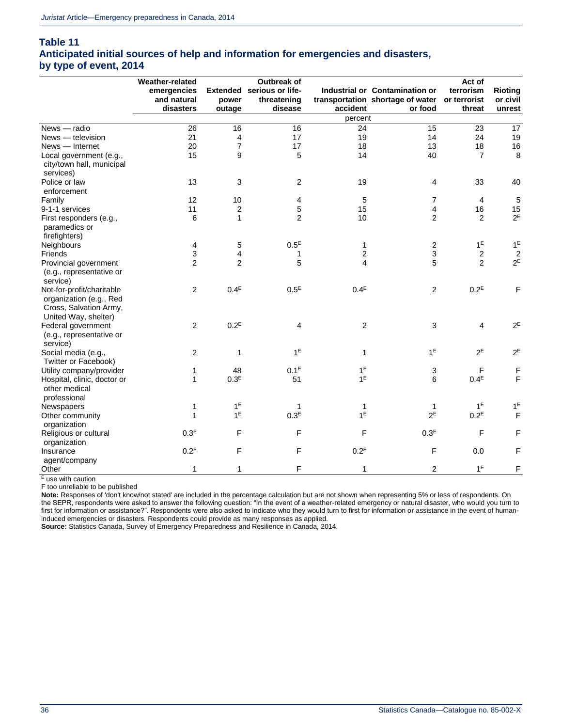#### **Table 11 Anticipated initial sources of help and information for emergencies and disasters, by type of event, 2014**

|                                                                                                        | Weather-related  |                  | <b>Outbreak of</b>        |                         |                                               | Act of           |                         |
|--------------------------------------------------------------------------------------------------------|------------------|------------------|---------------------------|-------------------------|-----------------------------------------------|------------------|-------------------------|
|                                                                                                        | emergencies      |                  | Extended serious or life- |                         | Industrial or Contamination or                | terrorism        | <b>Rioting</b>          |
|                                                                                                        | and natural      | power            | threatening               |                         | transportation shortage of water or terrorist |                  | or civil                |
|                                                                                                        | disasters        | outage           | disease                   | accident                | or food                                       | threat           | unrest                  |
|                                                                                                        |                  |                  |                           | percent                 |                                               |                  |                         |
| News - radio                                                                                           | 26               | 16               | 16                        | 24                      | 15                                            | 23               | 17                      |
| News - television                                                                                      | 21               | 4                | 17                        | 19                      | 14                                            | 24               | 19                      |
| News - Internet                                                                                        | 20               | 7                | 17                        | 18                      | 13                                            | 18               | 16                      |
| Local government (e.g.,<br>city/town hall, municipal<br>services)                                      | 15               | 9                | $\mathbf 5$               | 14                      | 40                                            | $\overline{7}$   | 8                       |
| Police or law                                                                                          | 13               | 3                | $\overline{c}$            | 19                      | 4                                             | 33               | 40                      |
| enforcement                                                                                            |                  |                  |                           |                         |                                               |                  |                         |
| Family                                                                                                 | 12               | 10               | 4                         | 5                       | 7                                             | $\overline{4}$   | 5                       |
| 9-1-1 services                                                                                         | 11               | $\overline{c}$   | 5                         | 15                      | 4                                             | 16               | 15                      |
| First responders (e.g.,<br>paramedics or<br>firefighters)                                              | 6                | $\mathbf{1}$     | $\overline{2}$            | 10                      | $\overline{c}$                                | 2                | $2^E$                   |
| Neighbours                                                                                             | 4                | 5                | $0.5^E$                   | 1                       | 2                                             | 1 <sup>E</sup>   | 1 <sup>E</sup>          |
| Friends                                                                                                | 3                | 4                | 1                         | $\overline{\mathbf{c}}$ | 3                                             | $\sqrt{2}$       | $\overline{\mathbf{c}}$ |
| Provincial government<br>(e.g., representative or<br>service)                                          | $\overline{2}$   | 2                | 5                         | 4                       | 5                                             | $\overline{2}$   | $2^E$                   |
| Not-for-profit/charitable<br>organization (e.g., Red<br>Cross, Salvation Army,<br>United Way, shelter) | $\overline{2}$   | $0.4^E$          | $0.5^E$                   | 0.4 <sup>E</sup>        | $\overline{2}$                                | $0.2^E$          | $\mathsf F$             |
| Federal government<br>(e.g., representative or<br>service)                                             | $\overline{c}$   | $0.2^E$          | 4                         | $\overline{2}$          | 3                                             | $\overline{4}$   | $2^E$                   |
| Social media (e.g.,<br>Twitter or Facebook)                                                            | $\overline{c}$   | $\mathbf{1}$     | 1 <sup>E</sup>            | $\mathbf{1}$            | 1 <sup>E</sup>                                | $2^E$            | $2^{\mathsf{E}}$        |
| Utility company/provider                                                                               | 1                | 48               | 0.1 <sup>E</sup>          | $1^E$                   | 3                                             | F                | F                       |
| Hospital, clinic, doctor or<br>other medical<br>professional                                           | $\mathbf{1}$     | 0.3 <sup>E</sup> | 51                        | 1 <sup>E</sup>          | 6                                             | 0.4 <sup>E</sup> | F                       |
| Newspapers                                                                                             | 1                | 1 <sup>E</sup>   | $\mathbf 1$               | 1                       | $\mathbf{1}$                                  | 1 <sup>E</sup>   | $1^E$                   |
| Other community<br>organization                                                                        | 1                | 1 <sup>E</sup>   | 0.3 <sup>E</sup>          | $1^E$                   | $2^E$                                         | $0.2^E$          | $\mathsf F$             |
| Religious or cultural<br>organization                                                                  | 0.3 <sup>E</sup> | F                | $\mathsf F$               | F                       | 0.3 <sup>E</sup>                              | F                | F                       |
| Insurance<br>agent/company                                                                             | $0.2^E$          | F                | $\mathsf F$               | $0.2^E$                 | F                                             | 0.0              | F                       |
| Other                                                                                                  | 1                | 1                | F                         | 1                       | 2                                             | 1 <sup>E</sup>   | F                       |

<sup>E</sup> use with caution

F too unreliable to be published

**Note:** Responses of 'don't know/not stated' are included in the percentage calculation but are not shown when representing 5% or less of respondents. On the SEPR, respondents were asked to answer the following question: "In the event of a weather-related emergency or natural disaster, who would you turn to first for information or assistance?". Respondents were also asked to indicate who they would turn to first for information or assistance in the event of humaninduced emergencies or disasters. Respondents could provide as many responses as applied.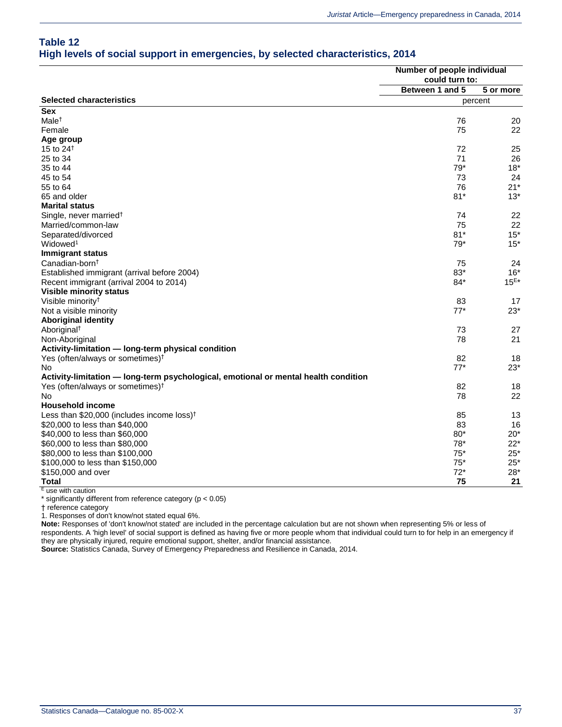### **Table 12 High levels of social support in emergencies, by selected characteristics, 2014**

|                                                                                     | Number of people individual<br>could turn to:<br>Between 1 and 5<br>5 or more |           |  |
|-------------------------------------------------------------------------------------|-------------------------------------------------------------------------------|-----------|--|
|                                                                                     |                                                                               |           |  |
|                                                                                     |                                                                               |           |  |
| <b>Selected characteristics</b>                                                     |                                                                               | percent   |  |
| <b>Sex</b>                                                                          |                                                                               |           |  |
| Male <sup>+</sup>                                                                   | 76                                                                            | 20        |  |
| Female                                                                              | 75                                                                            | 22        |  |
| Age group                                                                           |                                                                               |           |  |
| 15 to $24†$                                                                         | 72                                                                            | 25        |  |
| 25 to 34                                                                            | 71                                                                            | 26        |  |
| 35 to 44                                                                            | 79*                                                                           | $18*$     |  |
| 45 to 54                                                                            | 73                                                                            | 24        |  |
| 55 to 64                                                                            | 76                                                                            | $21*$     |  |
| 65 and older                                                                        | $81*$                                                                         | $13*$     |  |
| <b>Marital status</b>                                                               |                                                                               |           |  |
| Single, never married <sup>†</sup>                                                  | 74                                                                            | 22        |  |
| Married/common-law                                                                  | 75                                                                            | 22        |  |
| Separated/divorced                                                                  | $81*$                                                                         | $15*$     |  |
| Widowed <sup>1</sup>                                                                | $79*$                                                                         | $15*$     |  |
| <b>Immigrant status</b>                                                             |                                                                               |           |  |
| Canadian-born <sup>†</sup>                                                          | 75                                                                            | 24        |  |
| Established immigrant (arrival before 2004)                                         | 83*                                                                           | $16*$     |  |
| Recent immigrant (arrival 2004 to 2014)                                             | 84*                                                                           | $15^{E*}$ |  |
| <b>Visible minority status</b>                                                      |                                                                               |           |  |
| Visible minority <sup>†</sup>                                                       | 83                                                                            | 17        |  |
| Not a visible minority                                                              | $77*$                                                                         | $23*$     |  |
| <b>Aboriginal identity</b>                                                          |                                                                               |           |  |
| Aboriginal <sup>†</sup>                                                             | 73                                                                            | 27        |  |
| Non-Aboriginal                                                                      | 78                                                                            | 21        |  |
| Activity-limitation - long-term physical condition                                  |                                                                               |           |  |
| Yes (often/always or sometimes) <sup>†</sup>                                        | 82                                                                            | 18        |  |
| No                                                                                  | $77*$                                                                         | $23*$     |  |
| Activity-limitation - long-term psychological, emotional or mental health condition |                                                                               |           |  |
| Yes (often/always or sometimes) <sup>†</sup>                                        | 82                                                                            | 18        |  |
| No                                                                                  | 78                                                                            | 22        |  |
| <b>Household income</b>                                                             |                                                                               |           |  |
| Less than \$20,000 (includes income loss) <sup>†</sup>                              | 85                                                                            | 13        |  |
| \$20,000 to less than \$40,000                                                      | 83                                                                            | 16        |  |
| \$40,000 to less than \$60,000                                                      | $80*$                                                                         | $20*$     |  |
| \$60,000 to less than \$80,000                                                      | $78*$                                                                         | $22*$     |  |
| \$80,000 to less than \$100,000                                                     | $75*$                                                                         | $25*$     |  |
| \$100,000 to less than \$150,000                                                    | $75*$                                                                         | $25*$     |  |
| \$150,000 and over                                                                  | $72*$                                                                         | $28*$     |  |
| Total                                                                               | 75                                                                            | 21        |  |

<sup>E</sup> use with caution

\* significantly different from reference category (p < 0.05)

† reference category

1. Responses of don't know/not stated equal 6%.

**Note:** Responses of 'don't know/not stated' are included in the percentage calculation but are not shown when representing 5% or less of

respondents. A 'high level' of social support is defined as having five or more people whom that individual could turn to for help in an emergency if they are physically injured, require emotional support, shelter, and/or financial assistance.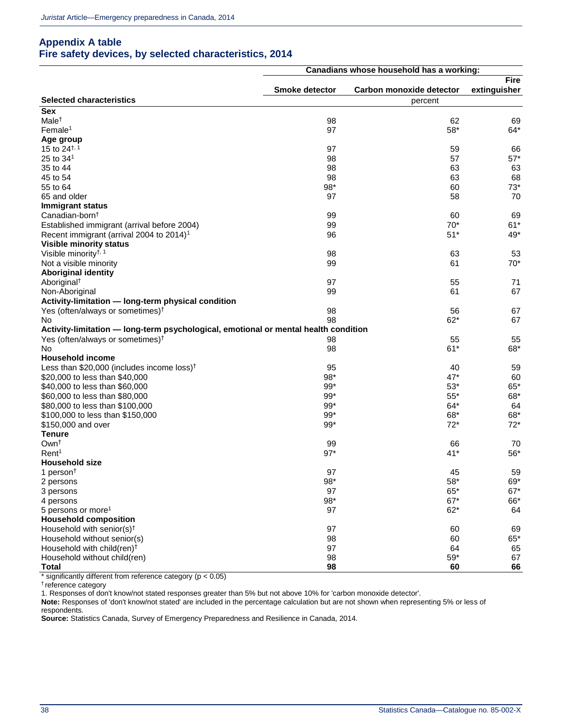### **Appendix A table Fire safety devices, by selected characteristics, 2014**

|                                                                                     | Canadians whose household has a working: |                          |              |  |
|-------------------------------------------------------------------------------------|------------------------------------------|--------------------------|--------------|--|
|                                                                                     |                                          |                          | <b>Fire</b>  |  |
|                                                                                     | Smoke detector                           | Carbon monoxide detector | extinguisher |  |
| <b>Selected characteristics</b>                                                     |                                          | percent                  |              |  |
| <b>Sex</b>                                                                          |                                          |                          |              |  |
| Male <sup>t</sup>                                                                   | 98                                       | 62                       | 69           |  |
| Female <sup>1</sup>                                                                 | 97                                       | 58*                      | $64*$        |  |
| Age group                                                                           |                                          |                          |              |  |
| 15 to 24 <sup><math>\dagger</math>, 1</sup>                                         | 97                                       | 59                       | 66           |  |
| 25 to 34 <sup>1</sup>                                                               | 98                                       | 57                       | $57*$        |  |
| 35 to 44                                                                            | 98                                       | 63                       | 63           |  |
| 45 to 54                                                                            | 98                                       | 63                       | 68           |  |
| 55 to 64                                                                            | $98*$                                    | 60                       | $73*$        |  |
| 65 and older                                                                        | 97                                       | 58                       | 70           |  |
| <b>Immigrant status</b>                                                             |                                          |                          |              |  |
| Canadian-born <sup>t</sup>                                                          | 99                                       | 60                       | 69           |  |
| Established immigrant (arrival before 2004)                                         | 99                                       | $70*$                    | $61*$        |  |
| Recent immigrant (arrival 2004 to 2014) <sup>1</sup>                                | 96                                       | $51*$                    | 49*          |  |
| <b>Visible minority status</b>                                                      |                                          |                          |              |  |
| Visible minority <sup>†, 1</sup>                                                    | 98                                       | 63                       | 53           |  |
| Not a visible minority                                                              | 99                                       | 61                       | $70*$        |  |
| <b>Aboriginal identity</b>                                                          |                                          |                          |              |  |
|                                                                                     | 97                                       | 55                       | 71           |  |
| Aboriginal <sup>†</sup>                                                             |                                          | 61                       | 67           |  |
| Non-Aboriginal                                                                      | 99                                       |                          |              |  |
| Activity-limitation - long-term physical condition                                  |                                          |                          |              |  |
| Yes (often/always or sometimes) <sup>†</sup>                                        | 98                                       | 56                       | 67           |  |
| No                                                                                  | 98                                       | $62*$                    | 67           |  |
| Activity-limitation — long-term psychological, emotional or mental health condition |                                          |                          |              |  |
| Yes (often/always or sometimes) <sup>†</sup>                                        | 98                                       | 55                       | 55           |  |
| No.                                                                                 | 98                                       | $61*$                    | 68*          |  |
| <b>Household income</b>                                                             |                                          |                          |              |  |
| Less than $$20,000$ (includes income loss) <sup>†</sup>                             | 95                                       | 40                       | 59           |  |
| \$20,000 to less than \$40,000                                                      | 98*                                      | $47*$                    | 60           |  |
| \$40,000 to less than \$60,000                                                      | $99*$                                    | $53*$                    | 65*          |  |
| \$60,000 to less than \$80,000                                                      | $99*$                                    | $55*$                    | 68*          |  |
| \$80,000 to less than \$100,000                                                     | $99*$                                    | $64*$                    | 64           |  |
| \$100,000 to less than \$150,000                                                    | $99*$                                    | 68*                      | 68*          |  |
| \$150,000 and over                                                                  | $99*$                                    | $72*$                    | $72*$        |  |
| <b>Tenure</b>                                                                       |                                          |                          |              |  |
| Own <sup>+</sup>                                                                    | 99                                       | 66                       | 70           |  |
| Rent <sup>1</sup>                                                                   | $97*$                                    | $41*$                    | $56*$        |  |
| <b>Household size</b>                                                               |                                          |                          |              |  |
| 1 person <sup><math>\dagger</math></sup>                                            | 97                                       | 45                       | 59           |  |
| 2 persons                                                                           | $98*$                                    | $58*$                    | 69*          |  |
| 3 persons                                                                           | 97                                       | 65*                      | $67*$        |  |
| 4 persons                                                                           | $98*$                                    | $67*$                    | 66*          |  |
| 5 persons or more <sup>1</sup>                                                      | 97                                       | $62*$                    | 64           |  |
| <b>Household composition</b>                                                        |                                          |                          |              |  |
| Household with senior(s) <sup>t</sup>                                               | 97                                       | 60                       | 69           |  |
| Household without senior(s)                                                         | 98                                       | 60                       | $65*$        |  |
| Household with child(ren) <sup>†</sup>                                              | 97                                       | 64                       | 65           |  |
| Household without child(ren)                                                        | 98                                       | $59^{\ast}$              | 67           |  |
| <b>Total</b>                                                                        | 98                                       | 60                       | 66           |  |

 $*$  significantly different from reference category ( $p < 0.05$ )

† reference category

1. Responses of don't know/not stated responses greater than 5% but not above 10% for 'carbon monoxide detector'.

**Note:** Responses of 'don't know/not stated' are included in the percentage calculation but are not shown when representing 5% or less of

respondents.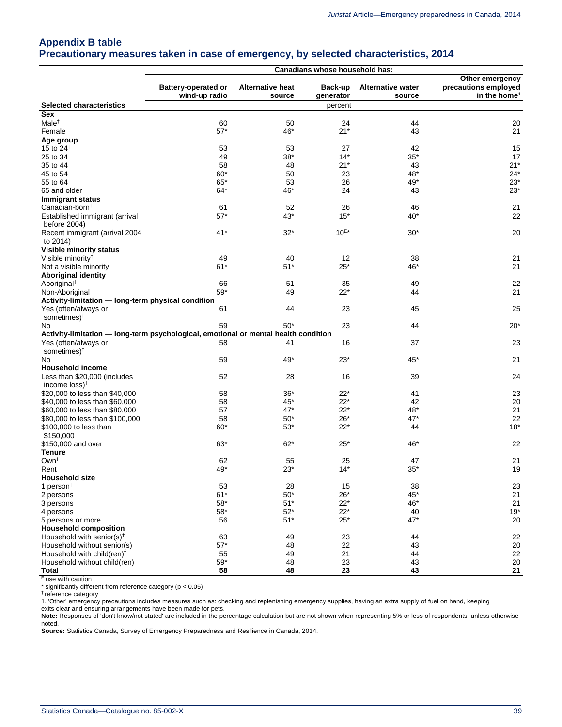### **Appendix B table Precautionary measures taken in case of emergency, by selected characteristics, 2014**

| <b>Battery-operated or</b><br><b>Alternative heat</b><br>Back-up<br><b>Alternative water</b><br>precautions employed<br>wind-up radio<br>in the home <sup>1</sup><br>source<br>generator<br>source<br><b>Selected characteristics</b><br>percent<br><b>Sex</b><br>Male <sup>+</sup><br>60<br>50<br>24<br>44<br>20<br>$57*$<br>$21*$<br>Female<br>46*<br>43<br>21<br>Age group<br>15 to $24^{\dagger}$<br>53<br>53<br>27<br>42<br>15<br>$35*$<br>25 to 34<br>49<br>38*<br>$14*$<br>17<br>$21*$<br>43<br>$21*$<br>35 to 44<br>58<br>48<br>60*<br>48*<br>$24*$<br>45 to 54<br>50<br>23<br>$65*$<br>53<br>26<br>49*<br>$23*$<br>55 to 64<br>24<br>$23*$<br>65 and older<br>64*<br>46*<br>43<br>Immigrant status<br>Canadian-born <sup>†</sup><br>52<br>26<br>46<br>21<br>61<br>22<br>Established immigrant (arrival<br>$57*$<br>43*<br>$15*$<br>40*<br>before 2004)<br>$10^{E*}$<br>$41*$<br>$32*$<br>20<br>Recent immigrant (arrival 2004<br>$30*$<br>to 2014)<br><b>Visible minority status</b><br>Visible minority <sup>†</sup><br>49<br>40<br>38<br>12<br>21<br>$61*$<br>$25*$<br>21<br>Not a visible minority<br>$51*$<br>46*<br><b>Aboriginal identity</b><br>22<br>Aboriginal <sup>†</sup><br>66<br>51<br>35<br>49<br>$59*$<br>$22*$<br>21<br>Non-Aboriginal<br>49<br>44<br>Activity-limitation - long-term physical condition<br>25<br>23<br>Yes (often/always or<br>61<br>44<br>45<br>sometimes) <sup>†</sup><br>59<br>$50*$<br>23<br>44<br>$20*$<br>No.<br>Activity-limitation - long-term psychological, emotional or mental health condition<br>23<br>Yes (often/always or<br>58<br>16<br>37<br>41<br>sometimes) <sup>†</sup><br>59<br>$23*$<br>21<br>49*<br>45*<br>No<br><b>Household income</b><br>Less than \$20,000 (includes<br>52<br>16<br>39<br>24<br>28<br>income $loss$ <sup>+</sup><br>\$20,000 to less than \$40,000<br>58<br>36*<br>22*<br>41<br>23<br>\$40,000 to less than \$60,000<br>58<br>45*<br>22*<br>42<br>20<br>57<br>$22*$<br>48*<br>21<br>\$60,000 to less than \$80,000<br>47*<br>47*<br>22<br>\$80,000 to less than \$100,000<br>58<br>$50*$<br>26*<br>$22*$<br>$18*$<br>\$100,000 to less than<br>$60*$<br>$53*$<br>44<br>\$150,000<br>22<br>\$150,000 and over<br>63*<br>$62*$<br>25*<br>46*<br><b>Tenure</b><br>Own <sup>+</sup><br>21<br>62<br>55<br>25<br>47<br>19<br>49*<br>$23*$<br>$14*$<br>$35*$<br>Rent<br>Household size<br>1 person $†$<br>53<br>28<br>15<br>38<br>23<br>$61*$<br>$50*$<br>$26*$<br>45*<br>21<br>2 persons<br>$58^{\ast}$<br>$51*$<br>$22*$<br>46*<br>21<br>3 persons<br>$22*$<br>$58^{\ast}$<br>$52*$<br>$19*$<br>40<br>4 persons<br>$51*$<br>47*<br>56<br>$25*$<br>20<br>5 persons or more<br><b>Household composition</b><br>63<br>Household with senior(s) <sup><math>\dagger</math></sup><br>49<br>23<br>44<br>22<br>$57*$<br>20<br>Household without senior(s)<br>48<br>22<br>43<br>Household with child(ren) <sup>+</sup><br>55<br>21<br>22<br>49<br>44<br>$59^{\ast}$<br>23<br>43<br>20<br>Household without child(ren)<br>48<br>58<br>23<br><b>Total</b><br>48<br>43<br>21 |  | Canadians whose household has: |                 |
|--------------------------------------------------------------------------------------------------------------------------------------------------------------------------------------------------------------------------------------------------------------------------------------------------------------------------------------------------------------------------------------------------------------------------------------------------------------------------------------------------------------------------------------------------------------------------------------------------------------------------------------------------------------------------------------------------------------------------------------------------------------------------------------------------------------------------------------------------------------------------------------------------------------------------------------------------------------------------------------------------------------------------------------------------------------------------------------------------------------------------------------------------------------------------------------------------------------------------------------------------------------------------------------------------------------------------------------------------------------------------------------------------------------------------------------------------------------------------------------------------------------------------------------------------------------------------------------------------------------------------------------------------------------------------------------------------------------------------------------------------------------------------------------------------------------------------------------------------------------------------------------------------------------------------------------------------------------------------------------------------------------------------------------------------------------------------------------------------------------------------------------------------------------------------------------------------------------------------------------------------------------------------------------------------------------------------------------------------------------------------------------------------------------------------------------------------------------------------------------------------------------------------------------------------------------------------------------------------------------------------------------------------------------------------------------------------------------------------------------------------------------------------------------------------------------------------------------------------------------------------------------------------------------------------------------------------------------------------------------------------------------------------------------------------|--|--------------------------------|-----------------|
|                                                                                                                                                                                                                                                                                                                                                                                                                                                                                                                                                                                                                                                                                                                                                                                                                                                                                                                                                                                                                                                                                                                                                                                                                                                                                                                                                                                                                                                                                                                                                                                                                                                                                                                                                                                                                                                                                                                                                                                                                                                                                                                                                                                                                                                                                                                                                                                                                                                                                                                                                                                                                                                                                                                                                                                                                                                                                                                                                                                                                                                  |  |                                | Other emergency |
|                                                                                                                                                                                                                                                                                                                                                                                                                                                                                                                                                                                                                                                                                                                                                                                                                                                                                                                                                                                                                                                                                                                                                                                                                                                                                                                                                                                                                                                                                                                                                                                                                                                                                                                                                                                                                                                                                                                                                                                                                                                                                                                                                                                                                                                                                                                                                                                                                                                                                                                                                                                                                                                                                                                                                                                                                                                                                                                                                                                                                                                  |  |                                |                 |
|                                                                                                                                                                                                                                                                                                                                                                                                                                                                                                                                                                                                                                                                                                                                                                                                                                                                                                                                                                                                                                                                                                                                                                                                                                                                                                                                                                                                                                                                                                                                                                                                                                                                                                                                                                                                                                                                                                                                                                                                                                                                                                                                                                                                                                                                                                                                                                                                                                                                                                                                                                                                                                                                                                                                                                                                                                                                                                                                                                                                                                                  |  |                                |                 |
|                                                                                                                                                                                                                                                                                                                                                                                                                                                                                                                                                                                                                                                                                                                                                                                                                                                                                                                                                                                                                                                                                                                                                                                                                                                                                                                                                                                                                                                                                                                                                                                                                                                                                                                                                                                                                                                                                                                                                                                                                                                                                                                                                                                                                                                                                                                                                                                                                                                                                                                                                                                                                                                                                                                                                                                                                                                                                                                                                                                                                                                  |  |                                |                 |
|                                                                                                                                                                                                                                                                                                                                                                                                                                                                                                                                                                                                                                                                                                                                                                                                                                                                                                                                                                                                                                                                                                                                                                                                                                                                                                                                                                                                                                                                                                                                                                                                                                                                                                                                                                                                                                                                                                                                                                                                                                                                                                                                                                                                                                                                                                                                                                                                                                                                                                                                                                                                                                                                                                                                                                                                                                                                                                                                                                                                                                                  |  |                                |                 |
|                                                                                                                                                                                                                                                                                                                                                                                                                                                                                                                                                                                                                                                                                                                                                                                                                                                                                                                                                                                                                                                                                                                                                                                                                                                                                                                                                                                                                                                                                                                                                                                                                                                                                                                                                                                                                                                                                                                                                                                                                                                                                                                                                                                                                                                                                                                                                                                                                                                                                                                                                                                                                                                                                                                                                                                                                                                                                                                                                                                                                                                  |  |                                |                 |
|                                                                                                                                                                                                                                                                                                                                                                                                                                                                                                                                                                                                                                                                                                                                                                                                                                                                                                                                                                                                                                                                                                                                                                                                                                                                                                                                                                                                                                                                                                                                                                                                                                                                                                                                                                                                                                                                                                                                                                                                                                                                                                                                                                                                                                                                                                                                                                                                                                                                                                                                                                                                                                                                                                                                                                                                                                                                                                                                                                                                                                                  |  |                                |                 |
|                                                                                                                                                                                                                                                                                                                                                                                                                                                                                                                                                                                                                                                                                                                                                                                                                                                                                                                                                                                                                                                                                                                                                                                                                                                                                                                                                                                                                                                                                                                                                                                                                                                                                                                                                                                                                                                                                                                                                                                                                                                                                                                                                                                                                                                                                                                                                                                                                                                                                                                                                                                                                                                                                                                                                                                                                                                                                                                                                                                                                                                  |  |                                |                 |
|                                                                                                                                                                                                                                                                                                                                                                                                                                                                                                                                                                                                                                                                                                                                                                                                                                                                                                                                                                                                                                                                                                                                                                                                                                                                                                                                                                                                                                                                                                                                                                                                                                                                                                                                                                                                                                                                                                                                                                                                                                                                                                                                                                                                                                                                                                                                                                                                                                                                                                                                                                                                                                                                                                                                                                                                                                                                                                                                                                                                                                                  |  |                                |                 |
|                                                                                                                                                                                                                                                                                                                                                                                                                                                                                                                                                                                                                                                                                                                                                                                                                                                                                                                                                                                                                                                                                                                                                                                                                                                                                                                                                                                                                                                                                                                                                                                                                                                                                                                                                                                                                                                                                                                                                                                                                                                                                                                                                                                                                                                                                                                                                                                                                                                                                                                                                                                                                                                                                                                                                                                                                                                                                                                                                                                                                                                  |  |                                |                 |
|                                                                                                                                                                                                                                                                                                                                                                                                                                                                                                                                                                                                                                                                                                                                                                                                                                                                                                                                                                                                                                                                                                                                                                                                                                                                                                                                                                                                                                                                                                                                                                                                                                                                                                                                                                                                                                                                                                                                                                                                                                                                                                                                                                                                                                                                                                                                                                                                                                                                                                                                                                                                                                                                                                                                                                                                                                                                                                                                                                                                                                                  |  |                                |                 |
|                                                                                                                                                                                                                                                                                                                                                                                                                                                                                                                                                                                                                                                                                                                                                                                                                                                                                                                                                                                                                                                                                                                                                                                                                                                                                                                                                                                                                                                                                                                                                                                                                                                                                                                                                                                                                                                                                                                                                                                                                                                                                                                                                                                                                                                                                                                                                                                                                                                                                                                                                                                                                                                                                                                                                                                                                                                                                                                                                                                                                                                  |  |                                |                 |
|                                                                                                                                                                                                                                                                                                                                                                                                                                                                                                                                                                                                                                                                                                                                                                                                                                                                                                                                                                                                                                                                                                                                                                                                                                                                                                                                                                                                                                                                                                                                                                                                                                                                                                                                                                                                                                                                                                                                                                                                                                                                                                                                                                                                                                                                                                                                                                                                                                                                                                                                                                                                                                                                                                                                                                                                                                                                                                                                                                                                                                                  |  |                                |                 |
|                                                                                                                                                                                                                                                                                                                                                                                                                                                                                                                                                                                                                                                                                                                                                                                                                                                                                                                                                                                                                                                                                                                                                                                                                                                                                                                                                                                                                                                                                                                                                                                                                                                                                                                                                                                                                                                                                                                                                                                                                                                                                                                                                                                                                                                                                                                                                                                                                                                                                                                                                                                                                                                                                                                                                                                                                                                                                                                                                                                                                                                  |  |                                |                 |
|                                                                                                                                                                                                                                                                                                                                                                                                                                                                                                                                                                                                                                                                                                                                                                                                                                                                                                                                                                                                                                                                                                                                                                                                                                                                                                                                                                                                                                                                                                                                                                                                                                                                                                                                                                                                                                                                                                                                                                                                                                                                                                                                                                                                                                                                                                                                                                                                                                                                                                                                                                                                                                                                                                                                                                                                                                                                                                                                                                                                                                                  |  |                                |                 |
|                                                                                                                                                                                                                                                                                                                                                                                                                                                                                                                                                                                                                                                                                                                                                                                                                                                                                                                                                                                                                                                                                                                                                                                                                                                                                                                                                                                                                                                                                                                                                                                                                                                                                                                                                                                                                                                                                                                                                                                                                                                                                                                                                                                                                                                                                                                                                                                                                                                                                                                                                                                                                                                                                                                                                                                                                                                                                                                                                                                                                                                  |  |                                |                 |
|                                                                                                                                                                                                                                                                                                                                                                                                                                                                                                                                                                                                                                                                                                                                                                                                                                                                                                                                                                                                                                                                                                                                                                                                                                                                                                                                                                                                                                                                                                                                                                                                                                                                                                                                                                                                                                                                                                                                                                                                                                                                                                                                                                                                                                                                                                                                                                                                                                                                                                                                                                                                                                                                                                                                                                                                                                                                                                                                                                                                                                                  |  |                                |                 |
|                                                                                                                                                                                                                                                                                                                                                                                                                                                                                                                                                                                                                                                                                                                                                                                                                                                                                                                                                                                                                                                                                                                                                                                                                                                                                                                                                                                                                                                                                                                                                                                                                                                                                                                                                                                                                                                                                                                                                                                                                                                                                                                                                                                                                                                                                                                                                                                                                                                                                                                                                                                                                                                                                                                                                                                                                                                                                                                                                                                                                                                  |  |                                |                 |
|                                                                                                                                                                                                                                                                                                                                                                                                                                                                                                                                                                                                                                                                                                                                                                                                                                                                                                                                                                                                                                                                                                                                                                                                                                                                                                                                                                                                                                                                                                                                                                                                                                                                                                                                                                                                                                                                                                                                                                                                                                                                                                                                                                                                                                                                                                                                                                                                                                                                                                                                                                                                                                                                                                                                                                                                                                                                                                                                                                                                                                                  |  |                                |                 |
|                                                                                                                                                                                                                                                                                                                                                                                                                                                                                                                                                                                                                                                                                                                                                                                                                                                                                                                                                                                                                                                                                                                                                                                                                                                                                                                                                                                                                                                                                                                                                                                                                                                                                                                                                                                                                                                                                                                                                                                                                                                                                                                                                                                                                                                                                                                                                                                                                                                                                                                                                                                                                                                                                                                                                                                                                                                                                                                                                                                                                                                  |  |                                |                 |
|                                                                                                                                                                                                                                                                                                                                                                                                                                                                                                                                                                                                                                                                                                                                                                                                                                                                                                                                                                                                                                                                                                                                                                                                                                                                                                                                                                                                                                                                                                                                                                                                                                                                                                                                                                                                                                                                                                                                                                                                                                                                                                                                                                                                                                                                                                                                                                                                                                                                                                                                                                                                                                                                                                                                                                                                                                                                                                                                                                                                                                                  |  |                                |                 |
|                                                                                                                                                                                                                                                                                                                                                                                                                                                                                                                                                                                                                                                                                                                                                                                                                                                                                                                                                                                                                                                                                                                                                                                                                                                                                                                                                                                                                                                                                                                                                                                                                                                                                                                                                                                                                                                                                                                                                                                                                                                                                                                                                                                                                                                                                                                                                                                                                                                                                                                                                                                                                                                                                                                                                                                                                                                                                                                                                                                                                                                  |  |                                |                 |
|                                                                                                                                                                                                                                                                                                                                                                                                                                                                                                                                                                                                                                                                                                                                                                                                                                                                                                                                                                                                                                                                                                                                                                                                                                                                                                                                                                                                                                                                                                                                                                                                                                                                                                                                                                                                                                                                                                                                                                                                                                                                                                                                                                                                                                                                                                                                                                                                                                                                                                                                                                                                                                                                                                                                                                                                                                                                                                                                                                                                                                                  |  |                                |                 |
|                                                                                                                                                                                                                                                                                                                                                                                                                                                                                                                                                                                                                                                                                                                                                                                                                                                                                                                                                                                                                                                                                                                                                                                                                                                                                                                                                                                                                                                                                                                                                                                                                                                                                                                                                                                                                                                                                                                                                                                                                                                                                                                                                                                                                                                                                                                                                                                                                                                                                                                                                                                                                                                                                                                                                                                                                                                                                                                                                                                                                                                  |  |                                |                 |
|                                                                                                                                                                                                                                                                                                                                                                                                                                                                                                                                                                                                                                                                                                                                                                                                                                                                                                                                                                                                                                                                                                                                                                                                                                                                                                                                                                                                                                                                                                                                                                                                                                                                                                                                                                                                                                                                                                                                                                                                                                                                                                                                                                                                                                                                                                                                                                                                                                                                                                                                                                                                                                                                                                                                                                                                                                                                                                                                                                                                                                                  |  |                                |                 |
|                                                                                                                                                                                                                                                                                                                                                                                                                                                                                                                                                                                                                                                                                                                                                                                                                                                                                                                                                                                                                                                                                                                                                                                                                                                                                                                                                                                                                                                                                                                                                                                                                                                                                                                                                                                                                                                                                                                                                                                                                                                                                                                                                                                                                                                                                                                                                                                                                                                                                                                                                                                                                                                                                                                                                                                                                                                                                                                                                                                                                                                  |  |                                |                 |
|                                                                                                                                                                                                                                                                                                                                                                                                                                                                                                                                                                                                                                                                                                                                                                                                                                                                                                                                                                                                                                                                                                                                                                                                                                                                                                                                                                                                                                                                                                                                                                                                                                                                                                                                                                                                                                                                                                                                                                                                                                                                                                                                                                                                                                                                                                                                                                                                                                                                                                                                                                                                                                                                                                                                                                                                                                                                                                                                                                                                                                                  |  |                                |                 |
|                                                                                                                                                                                                                                                                                                                                                                                                                                                                                                                                                                                                                                                                                                                                                                                                                                                                                                                                                                                                                                                                                                                                                                                                                                                                                                                                                                                                                                                                                                                                                                                                                                                                                                                                                                                                                                                                                                                                                                                                                                                                                                                                                                                                                                                                                                                                                                                                                                                                                                                                                                                                                                                                                                                                                                                                                                                                                                                                                                                                                                                  |  |                                |                 |
|                                                                                                                                                                                                                                                                                                                                                                                                                                                                                                                                                                                                                                                                                                                                                                                                                                                                                                                                                                                                                                                                                                                                                                                                                                                                                                                                                                                                                                                                                                                                                                                                                                                                                                                                                                                                                                                                                                                                                                                                                                                                                                                                                                                                                                                                                                                                                                                                                                                                                                                                                                                                                                                                                                                                                                                                                                                                                                                                                                                                                                                  |  |                                |                 |
|                                                                                                                                                                                                                                                                                                                                                                                                                                                                                                                                                                                                                                                                                                                                                                                                                                                                                                                                                                                                                                                                                                                                                                                                                                                                                                                                                                                                                                                                                                                                                                                                                                                                                                                                                                                                                                                                                                                                                                                                                                                                                                                                                                                                                                                                                                                                                                                                                                                                                                                                                                                                                                                                                                                                                                                                                                                                                                                                                                                                                                                  |  |                                |                 |
|                                                                                                                                                                                                                                                                                                                                                                                                                                                                                                                                                                                                                                                                                                                                                                                                                                                                                                                                                                                                                                                                                                                                                                                                                                                                                                                                                                                                                                                                                                                                                                                                                                                                                                                                                                                                                                                                                                                                                                                                                                                                                                                                                                                                                                                                                                                                                                                                                                                                                                                                                                                                                                                                                                                                                                                                                                                                                                                                                                                                                                                  |  |                                |                 |
|                                                                                                                                                                                                                                                                                                                                                                                                                                                                                                                                                                                                                                                                                                                                                                                                                                                                                                                                                                                                                                                                                                                                                                                                                                                                                                                                                                                                                                                                                                                                                                                                                                                                                                                                                                                                                                                                                                                                                                                                                                                                                                                                                                                                                                                                                                                                                                                                                                                                                                                                                                                                                                                                                                                                                                                                                                                                                                                                                                                                                                                  |  |                                |                 |
|                                                                                                                                                                                                                                                                                                                                                                                                                                                                                                                                                                                                                                                                                                                                                                                                                                                                                                                                                                                                                                                                                                                                                                                                                                                                                                                                                                                                                                                                                                                                                                                                                                                                                                                                                                                                                                                                                                                                                                                                                                                                                                                                                                                                                                                                                                                                                                                                                                                                                                                                                                                                                                                                                                                                                                                                                                                                                                                                                                                                                                                  |  |                                |                 |
|                                                                                                                                                                                                                                                                                                                                                                                                                                                                                                                                                                                                                                                                                                                                                                                                                                                                                                                                                                                                                                                                                                                                                                                                                                                                                                                                                                                                                                                                                                                                                                                                                                                                                                                                                                                                                                                                                                                                                                                                                                                                                                                                                                                                                                                                                                                                                                                                                                                                                                                                                                                                                                                                                                                                                                                                                                                                                                                                                                                                                                                  |  |                                |                 |
|                                                                                                                                                                                                                                                                                                                                                                                                                                                                                                                                                                                                                                                                                                                                                                                                                                                                                                                                                                                                                                                                                                                                                                                                                                                                                                                                                                                                                                                                                                                                                                                                                                                                                                                                                                                                                                                                                                                                                                                                                                                                                                                                                                                                                                                                                                                                                                                                                                                                                                                                                                                                                                                                                                                                                                                                                                                                                                                                                                                                                                                  |  |                                |                 |
|                                                                                                                                                                                                                                                                                                                                                                                                                                                                                                                                                                                                                                                                                                                                                                                                                                                                                                                                                                                                                                                                                                                                                                                                                                                                                                                                                                                                                                                                                                                                                                                                                                                                                                                                                                                                                                                                                                                                                                                                                                                                                                                                                                                                                                                                                                                                                                                                                                                                                                                                                                                                                                                                                                                                                                                                                                                                                                                                                                                                                                                  |  |                                |                 |
|                                                                                                                                                                                                                                                                                                                                                                                                                                                                                                                                                                                                                                                                                                                                                                                                                                                                                                                                                                                                                                                                                                                                                                                                                                                                                                                                                                                                                                                                                                                                                                                                                                                                                                                                                                                                                                                                                                                                                                                                                                                                                                                                                                                                                                                                                                                                                                                                                                                                                                                                                                                                                                                                                                                                                                                                                                                                                                                                                                                                                                                  |  |                                |                 |
|                                                                                                                                                                                                                                                                                                                                                                                                                                                                                                                                                                                                                                                                                                                                                                                                                                                                                                                                                                                                                                                                                                                                                                                                                                                                                                                                                                                                                                                                                                                                                                                                                                                                                                                                                                                                                                                                                                                                                                                                                                                                                                                                                                                                                                                                                                                                                                                                                                                                                                                                                                                                                                                                                                                                                                                                                                                                                                                                                                                                                                                  |  |                                |                 |
|                                                                                                                                                                                                                                                                                                                                                                                                                                                                                                                                                                                                                                                                                                                                                                                                                                                                                                                                                                                                                                                                                                                                                                                                                                                                                                                                                                                                                                                                                                                                                                                                                                                                                                                                                                                                                                                                                                                                                                                                                                                                                                                                                                                                                                                                                                                                                                                                                                                                                                                                                                                                                                                                                                                                                                                                                                                                                                                                                                                                                                                  |  |                                |                 |
|                                                                                                                                                                                                                                                                                                                                                                                                                                                                                                                                                                                                                                                                                                                                                                                                                                                                                                                                                                                                                                                                                                                                                                                                                                                                                                                                                                                                                                                                                                                                                                                                                                                                                                                                                                                                                                                                                                                                                                                                                                                                                                                                                                                                                                                                                                                                                                                                                                                                                                                                                                                                                                                                                                                                                                                                                                                                                                                                                                                                                                                  |  |                                |                 |
|                                                                                                                                                                                                                                                                                                                                                                                                                                                                                                                                                                                                                                                                                                                                                                                                                                                                                                                                                                                                                                                                                                                                                                                                                                                                                                                                                                                                                                                                                                                                                                                                                                                                                                                                                                                                                                                                                                                                                                                                                                                                                                                                                                                                                                                                                                                                                                                                                                                                                                                                                                                                                                                                                                                                                                                                                                                                                                                                                                                                                                                  |  |                                |                 |
|                                                                                                                                                                                                                                                                                                                                                                                                                                                                                                                                                                                                                                                                                                                                                                                                                                                                                                                                                                                                                                                                                                                                                                                                                                                                                                                                                                                                                                                                                                                                                                                                                                                                                                                                                                                                                                                                                                                                                                                                                                                                                                                                                                                                                                                                                                                                                                                                                                                                                                                                                                                                                                                                                                                                                                                                                                                                                                                                                                                                                                                  |  |                                |                 |
|                                                                                                                                                                                                                                                                                                                                                                                                                                                                                                                                                                                                                                                                                                                                                                                                                                                                                                                                                                                                                                                                                                                                                                                                                                                                                                                                                                                                                                                                                                                                                                                                                                                                                                                                                                                                                                                                                                                                                                                                                                                                                                                                                                                                                                                                                                                                                                                                                                                                                                                                                                                                                                                                                                                                                                                                                                                                                                                                                                                                                                                  |  |                                |                 |
|                                                                                                                                                                                                                                                                                                                                                                                                                                                                                                                                                                                                                                                                                                                                                                                                                                                                                                                                                                                                                                                                                                                                                                                                                                                                                                                                                                                                                                                                                                                                                                                                                                                                                                                                                                                                                                                                                                                                                                                                                                                                                                                                                                                                                                                                                                                                                                                                                                                                                                                                                                                                                                                                                                                                                                                                                                                                                                                                                                                                                                                  |  |                                |                 |
|                                                                                                                                                                                                                                                                                                                                                                                                                                                                                                                                                                                                                                                                                                                                                                                                                                                                                                                                                                                                                                                                                                                                                                                                                                                                                                                                                                                                                                                                                                                                                                                                                                                                                                                                                                                                                                                                                                                                                                                                                                                                                                                                                                                                                                                                                                                                                                                                                                                                                                                                                                                                                                                                                                                                                                                                                                                                                                                                                                                                                                                  |  |                                |                 |
|                                                                                                                                                                                                                                                                                                                                                                                                                                                                                                                                                                                                                                                                                                                                                                                                                                                                                                                                                                                                                                                                                                                                                                                                                                                                                                                                                                                                                                                                                                                                                                                                                                                                                                                                                                                                                                                                                                                                                                                                                                                                                                                                                                                                                                                                                                                                                                                                                                                                                                                                                                                                                                                                                                                                                                                                                                                                                                                                                                                                                                                  |  |                                |                 |
|                                                                                                                                                                                                                                                                                                                                                                                                                                                                                                                                                                                                                                                                                                                                                                                                                                                                                                                                                                                                                                                                                                                                                                                                                                                                                                                                                                                                                                                                                                                                                                                                                                                                                                                                                                                                                                                                                                                                                                                                                                                                                                                                                                                                                                                                                                                                                                                                                                                                                                                                                                                                                                                                                                                                                                                                                                                                                                                                                                                                                                                  |  |                                |                 |
|                                                                                                                                                                                                                                                                                                                                                                                                                                                                                                                                                                                                                                                                                                                                                                                                                                                                                                                                                                                                                                                                                                                                                                                                                                                                                                                                                                                                                                                                                                                                                                                                                                                                                                                                                                                                                                                                                                                                                                                                                                                                                                                                                                                                                                                                                                                                                                                                                                                                                                                                                                                                                                                                                                                                                                                                                                                                                                                                                                                                                                                  |  |                                |                 |
|                                                                                                                                                                                                                                                                                                                                                                                                                                                                                                                                                                                                                                                                                                                                                                                                                                                                                                                                                                                                                                                                                                                                                                                                                                                                                                                                                                                                                                                                                                                                                                                                                                                                                                                                                                                                                                                                                                                                                                                                                                                                                                                                                                                                                                                                                                                                                                                                                                                                                                                                                                                                                                                                                                                                                                                                                                                                                                                                                                                                                                                  |  |                                |                 |
|                                                                                                                                                                                                                                                                                                                                                                                                                                                                                                                                                                                                                                                                                                                                                                                                                                                                                                                                                                                                                                                                                                                                                                                                                                                                                                                                                                                                                                                                                                                                                                                                                                                                                                                                                                                                                                                                                                                                                                                                                                                                                                                                                                                                                                                                                                                                                                                                                                                                                                                                                                                                                                                                                                                                                                                                                                                                                                                                                                                                                                                  |  |                                |                 |
|                                                                                                                                                                                                                                                                                                                                                                                                                                                                                                                                                                                                                                                                                                                                                                                                                                                                                                                                                                                                                                                                                                                                                                                                                                                                                                                                                                                                                                                                                                                                                                                                                                                                                                                                                                                                                                                                                                                                                                                                                                                                                                                                                                                                                                                                                                                                                                                                                                                                                                                                                                                                                                                                                                                                                                                                                                                                                                                                                                                                                                                  |  |                                |                 |
|                                                                                                                                                                                                                                                                                                                                                                                                                                                                                                                                                                                                                                                                                                                                                                                                                                                                                                                                                                                                                                                                                                                                                                                                                                                                                                                                                                                                                                                                                                                                                                                                                                                                                                                                                                                                                                                                                                                                                                                                                                                                                                                                                                                                                                                                                                                                                                                                                                                                                                                                                                                                                                                                                                                                                                                                                                                                                                                                                                                                                                                  |  |                                |                 |
|                                                                                                                                                                                                                                                                                                                                                                                                                                                                                                                                                                                                                                                                                                                                                                                                                                                                                                                                                                                                                                                                                                                                                                                                                                                                                                                                                                                                                                                                                                                                                                                                                                                                                                                                                                                                                                                                                                                                                                                                                                                                                                                                                                                                                                                                                                                                                                                                                                                                                                                                                                                                                                                                                                                                                                                                                                                                                                                                                                                                                                                  |  |                                |                 |
|                                                                                                                                                                                                                                                                                                                                                                                                                                                                                                                                                                                                                                                                                                                                                                                                                                                                                                                                                                                                                                                                                                                                                                                                                                                                                                                                                                                                                                                                                                                                                                                                                                                                                                                                                                                                                                                                                                                                                                                                                                                                                                                                                                                                                                                                                                                                                                                                                                                                                                                                                                                                                                                                                                                                                                                                                                                                                                                                                                                                                                                  |  |                                |                 |
|                                                                                                                                                                                                                                                                                                                                                                                                                                                                                                                                                                                                                                                                                                                                                                                                                                                                                                                                                                                                                                                                                                                                                                                                                                                                                                                                                                                                                                                                                                                                                                                                                                                                                                                                                                                                                                                                                                                                                                                                                                                                                                                                                                                                                                                                                                                                                                                                                                                                                                                                                                                                                                                                                                                                                                                                                                                                                                                                                                                                                                                  |  |                                |                 |
|                                                                                                                                                                                                                                                                                                                                                                                                                                                                                                                                                                                                                                                                                                                                                                                                                                                                                                                                                                                                                                                                                                                                                                                                                                                                                                                                                                                                                                                                                                                                                                                                                                                                                                                                                                                                                                                                                                                                                                                                                                                                                                                                                                                                                                                                                                                                                                                                                                                                                                                                                                                                                                                                                                                                                                                                                                                                                                                                                                                                                                                  |  |                                |                 |
|                                                                                                                                                                                                                                                                                                                                                                                                                                                                                                                                                                                                                                                                                                                                                                                                                                                                                                                                                                                                                                                                                                                                                                                                                                                                                                                                                                                                                                                                                                                                                                                                                                                                                                                                                                                                                                                                                                                                                                                                                                                                                                                                                                                                                                                                                                                                                                                                                                                                                                                                                                                                                                                                                                                                                                                                                                                                                                                                                                                                                                                  |  |                                |                 |
|                                                                                                                                                                                                                                                                                                                                                                                                                                                                                                                                                                                                                                                                                                                                                                                                                                                                                                                                                                                                                                                                                                                                                                                                                                                                                                                                                                                                                                                                                                                                                                                                                                                                                                                                                                                                                                                                                                                                                                                                                                                                                                                                                                                                                                                                                                                                                                                                                                                                                                                                                                                                                                                                                                                                                                                                                                                                                                                                                                                                                                                  |  |                                |                 |

 $E$  use with caution

\* significantly different from reference category (p < 0.05)

† reference category

1. 'Other' emergency precautions includes measures such as: checking and replenishing emergency supplies, having an extra supply of fuel on hand, keeping

exits clear and ensuring arrangements have been made for pets.<br>**Note:** Responses of 'don't know/not stated' are included in the percentage calculation but are not shown when representing 5% or less of respondents, unless o noted.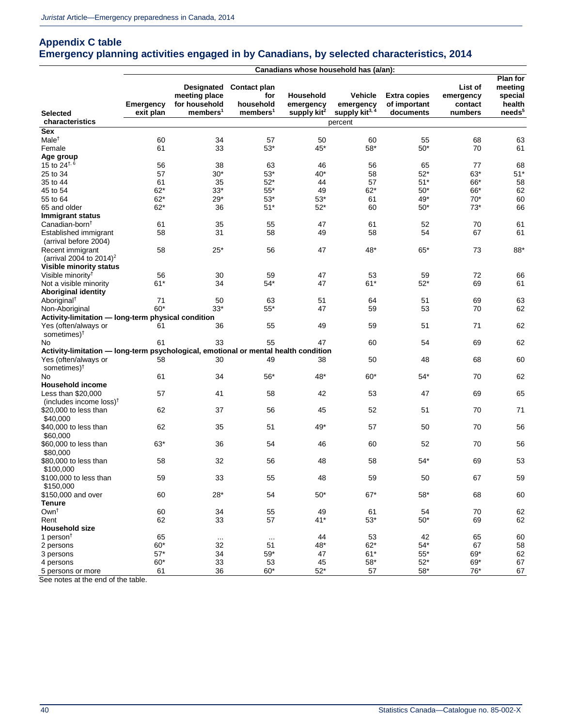### **Appendix C table Emergency planning activities engaged in by Canadians, by selected characteristics, 2014**

|                                                                                     |                               |                                                                      |                                                          | Canadians whose household has (a/an):    |                                                    |                                                  |                                            |                                                                |
|-------------------------------------------------------------------------------------|-------------------------------|----------------------------------------------------------------------|----------------------------------------------------------|------------------------------------------|----------------------------------------------------|--------------------------------------------------|--------------------------------------------|----------------------------------------------------------------|
| Selected                                                                            | <b>Emergency</b><br>exit plan | Designated<br>meeting place<br>for household<br>members <sup>1</sup> | Contact plan<br>for<br>household<br>members <sup>1</sup> | Household<br>emergency<br>supply $kit^2$ | Vehicle<br>emergency<br>supply kit <sup>3, 4</sup> | <b>Extra copies</b><br>of important<br>documents | List of<br>emergency<br>contact<br>numbers | Plan for<br>meeting<br>special<br>health<br>needs <sup>5</sup> |
| characteristics                                                                     |                               |                                                                      |                                                          |                                          | percent                                            |                                                  |                                            |                                                                |
| Sex                                                                                 |                               |                                                                      |                                                          |                                          |                                                    |                                                  |                                            |                                                                |
| Male <sup>†</sup>                                                                   | 60                            | 34                                                                   | 57                                                       | 50                                       | 60                                                 | 55                                               | 68                                         | 63                                                             |
| Female                                                                              | 61                            | 33                                                                   | $53*$                                                    | 45*                                      | $58*$                                              | $50*$                                            | 70                                         | 61                                                             |
| Age group                                                                           |                               |                                                                      |                                                          |                                          |                                                    |                                                  |                                            |                                                                |
| 15 to $24^{+,6}$                                                                    | 56                            | 38                                                                   | 63                                                       | 46                                       | 56                                                 | 65                                               | 77                                         | 68                                                             |
| 25 to 34                                                                            | 57                            | $30*$                                                                | $53*$                                                    | $40*$                                    | 58                                                 | $52*$                                            | 63*                                        | $51*$                                                          |
| 35 to 44                                                                            | 61                            | 35                                                                   | $52*$                                                    | 44                                       | 57                                                 | $51*$                                            | 66*                                        | 58                                                             |
| 45 to 54                                                                            | $62*$                         | 33*                                                                  | $55*$                                                    | 49                                       | $62*$                                              | $50*$                                            | 66*                                        | 62                                                             |
| 55 to 64                                                                            | $62*$                         | $29*$                                                                | $53*$                                                    | $53*$                                    | 61                                                 | 49*                                              | $70*$                                      | 60                                                             |
| 65 and older                                                                        | $62*$                         | 36                                                                   | $51*$                                                    | $52*$                                    | 60                                                 | $50*$                                            | $73*$                                      | 66                                                             |
| Immigrant status                                                                    |                               |                                                                      |                                                          |                                          |                                                    |                                                  |                                            |                                                                |
| Canadian-born <sup>t</sup>                                                          | 61                            | 35                                                                   | 55                                                       | 47                                       | 61                                                 | 52                                               | 70                                         | 61                                                             |
| Established immigrant                                                               | 58                            | 31                                                                   | 58                                                       | 49                                       | 58                                                 | 54                                               | 67                                         | 61                                                             |
| (arrival before 2004)                                                               |                               |                                                                      |                                                          |                                          |                                                    |                                                  |                                            |                                                                |
| Recent immigrant                                                                    | 58                            | $25*$                                                                | 56                                                       | 47                                       | 48*                                                | $65*$                                            | 73                                         | 88*                                                            |
| (arrival 2004 to 2014) <sup>2</sup>                                                 |                               |                                                                      |                                                          |                                          |                                                    |                                                  |                                            |                                                                |
| <b>Visible minority status</b>                                                      |                               |                                                                      |                                                          |                                          |                                                    |                                                  |                                            |                                                                |
| Visible minority <sup>†</sup>                                                       | 56                            | 30                                                                   | 59                                                       | 47                                       | 53                                                 | 59                                               | 72                                         | 66                                                             |
| Not a visible minority                                                              | $61*$                         | 34                                                                   | $54*$                                                    | 47                                       | $61*$                                              | 52*                                              | 69                                         | 61                                                             |
| <b>Aboriginal identity</b>                                                          |                               |                                                                      |                                                          |                                          |                                                    |                                                  |                                            |                                                                |
| Aboriginal <sup>†</sup>                                                             | 71                            | 50                                                                   | 63                                                       | 51                                       | 64                                                 | 51                                               | 69                                         | 63                                                             |
| Non-Aboriginal                                                                      | $60*$                         | $33*$                                                                | $55*$                                                    | 47                                       | 59                                                 | 53                                               | 70                                         | 62                                                             |
| Activity-limitation - long-term physical condition                                  |                               |                                                                      |                                                          |                                          |                                                    |                                                  |                                            |                                                                |
| Yes (often/always or                                                                | 61                            | 36                                                                   | 55                                                       | 49                                       | 59                                                 | 51                                               | 71                                         | 62                                                             |
| sometimes) <sup>†</sup>                                                             |                               |                                                                      |                                                          |                                          |                                                    |                                                  |                                            |                                                                |
| No.                                                                                 | 61                            | 33                                                                   | 55                                                       | 47                                       | 60                                                 | 54                                               | 69                                         | 62                                                             |
| Activity-limitation - long-term psychological, emotional or mental health condition |                               |                                                                      |                                                          |                                          |                                                    |                                                  |                                            |                                                                |
| Yes (often/always or                                                                | 58                            | 30                                                                   | 49                                                       | 38                                       | 50                                                 | 48                                               | 68                                         | 60                                                             |
| sometimes) <sup>†</sup>                                                             |                               |                                                                      |                                                          |                                          |                                                    |                                                  |                                            |                                                                |
| No                                                                                  | 61                            | 34                                                                   | $56*$                                                    | 48*                                      | $60*$                                              | 54*                                              | 70                                         | 62                                                             |
| <b>Household income</b>                                                             |                               |                                                                      |                                                          |                                          |                                                    |                                                  |                                            |                                                                |
| Less than \$20,000                                                                  | 57                            | 41                                                                   | 58                                                       | 42                                       | 53                                                 | 47                                               | 69                                         | 65                                                             |
| (includes income loss) $\uparrow$                                                   |                               |                                                                      |                                                          |                                          |                                                    |                                                  |                                            |                                                                |
| \$20,000 to less than                                                               | 62                            | 37                                                                   | 56                                                       | 45                                       | 52                                                 | 51                                               | 70                                         | 71                                                             |
| \$40,000                                                                            |                               |                                                                      |                                                          |                                          |                                                    |                                                  |                                            |                                                                |
| \$40,000 to less than                                                               | 62                            | 35                                                                   | 51                                                       | 49*                                      | 57                                                 | 50                                               | 70                                         | 56                                                             |
| \$60,000                                                                            |                               |                                                                      |                                                          |                                          |                                                    |                                                  |                                            |                                                                |
| \$60,000 to less than                                                               | 63*                           | 36                                                                   | 54                                                       | 46                                       | 60                                                 | 52                                               | 70                                         | 56                                                             |
| \$80,000                                                                            |                               |                                                                      |                                                          |                                          |                                                    |                                                  |                                            |                                                                |
| \$80,000 to less than                                                               | 58                            | 32                                                                   | 56                                                       | 48                                       | 58                                                 | 54*                                              | 69                                         | 53                                                             |
| \$100,000                                                                           |                               |                                                                      |                                                          |                                          |                                                    |                                                  |                                            |                                                                |
| \$100,000 to less than                                                              | 59                            | 33                                                                   | 55                                                       | 48                                       | 59                                                 | 50                                               | 67                                         | 59                                                             |
| \$150,000                                                                           |                               |                                                                      |                                                          |                                          |                                                    |                                                  |                                            |                                                                |
| \$150,000 and over                                                                  | 60                            | $28*$                                                                | 54                                                       | $50*$                                    | $67*$                                              | $58*$                                            | 68                                         | 60                                                             |
| <b>Tenure</b>                                                                       |                               |                                                                      |                                                          |                                          |                                                    |                                                  |                                            |                                                                |
| Own <sup>+</sup>                                                                    | 60                            | 34                                                                   | 55                                                       | 49                                       | 61                                                 | 54                                               | 70                                         | 62                                                             |
|                                                                                     |                               | 33                                                                   |                                                          | $41*$                                    |                                                    | $50*$                                            |                                            |                                                                |
| Rent<br><b>Household size</b>                                                       | 62                            |                                                                      | 57                                                       |                                          | $53^{\ast}$                                        |                                                  | 69                                         | 62                                                             |
| 1 person $†$                                                                        | 65                            |                                                                      |                                                          | 44                                       | 53                                                 | 42                                               | 65                                         |                                                                |
|                                                                                     |                               | $\cdots$                                                             | $\cdots$                                                 |                                          |                                                    |                                                  |                                            | 60                                                             |
| 2 persons                                                                           | $60*$                         | 32                                                                   | 51                                                       | 48*                                      | $62*$                                              | $54*$                                            | 67                                         | 58                                                             |
| 3 persons                                                                           | 57*                           | 34                                                                   | $59^{\ast}$                                              | 47                                       | $61*$                                              | $55*$                                            | 69*                                        | 62                                                             |
| 4 persons                                                                           | $60*$                         | 33                                                                   | 53                                                       | 45                                       | $58^{\ast}$                                        | $52*$                                            | 69*                                        | 67                                                             |
| 5 persons or more                                                                   | 61                            | 36                                                                   | 60*                                                      | $52*$                                    | 57                                                 | $58^{\ast}$                                      | 76*                                        | 67                                                             |

See notes at the end of the table.